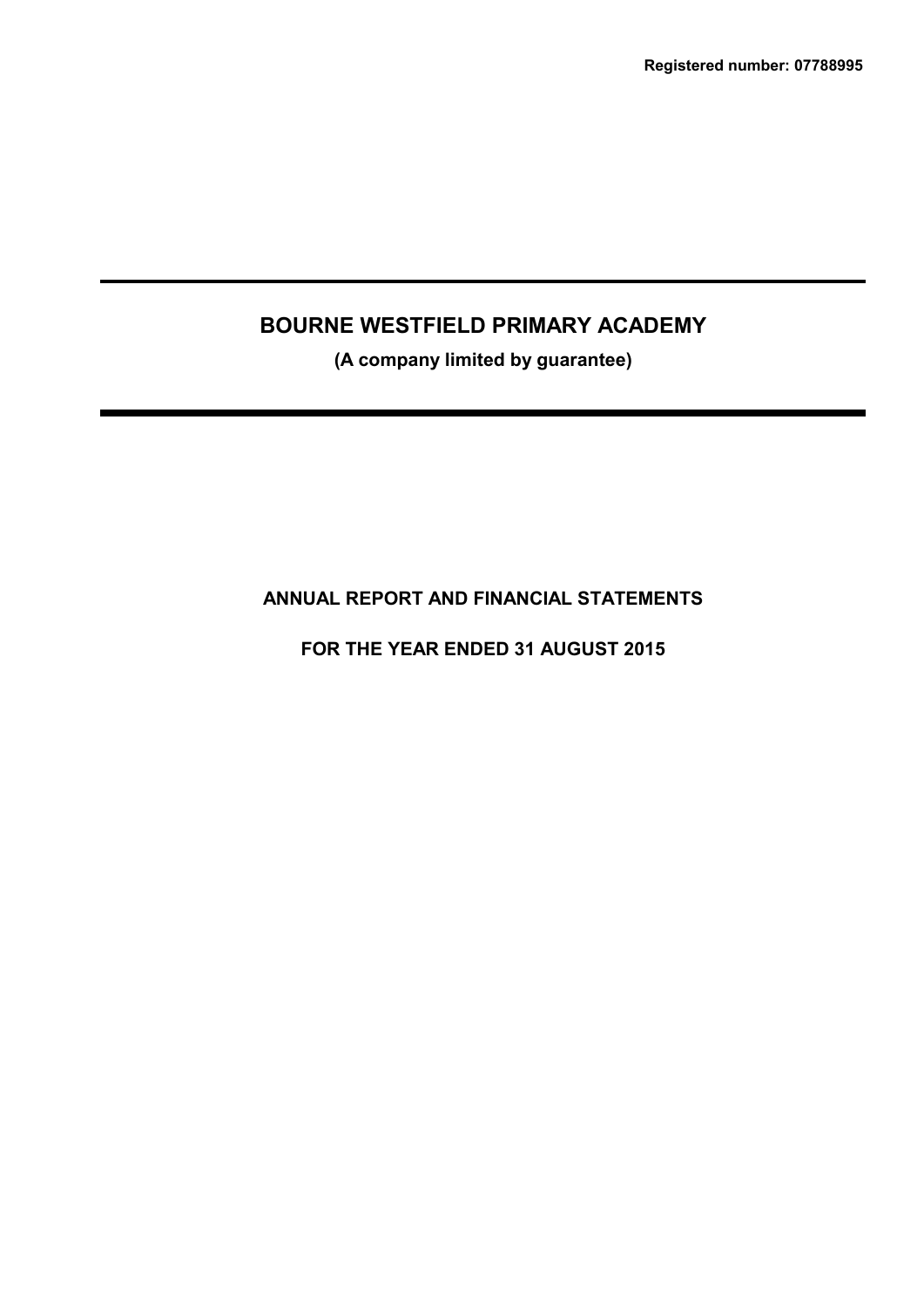**(A company limited by guarantee)**

**ANNUAL REPORT AND FINANCIAL STATEMENTS**

**FOR THE YEAR ENDED 31 AUGUST 2015**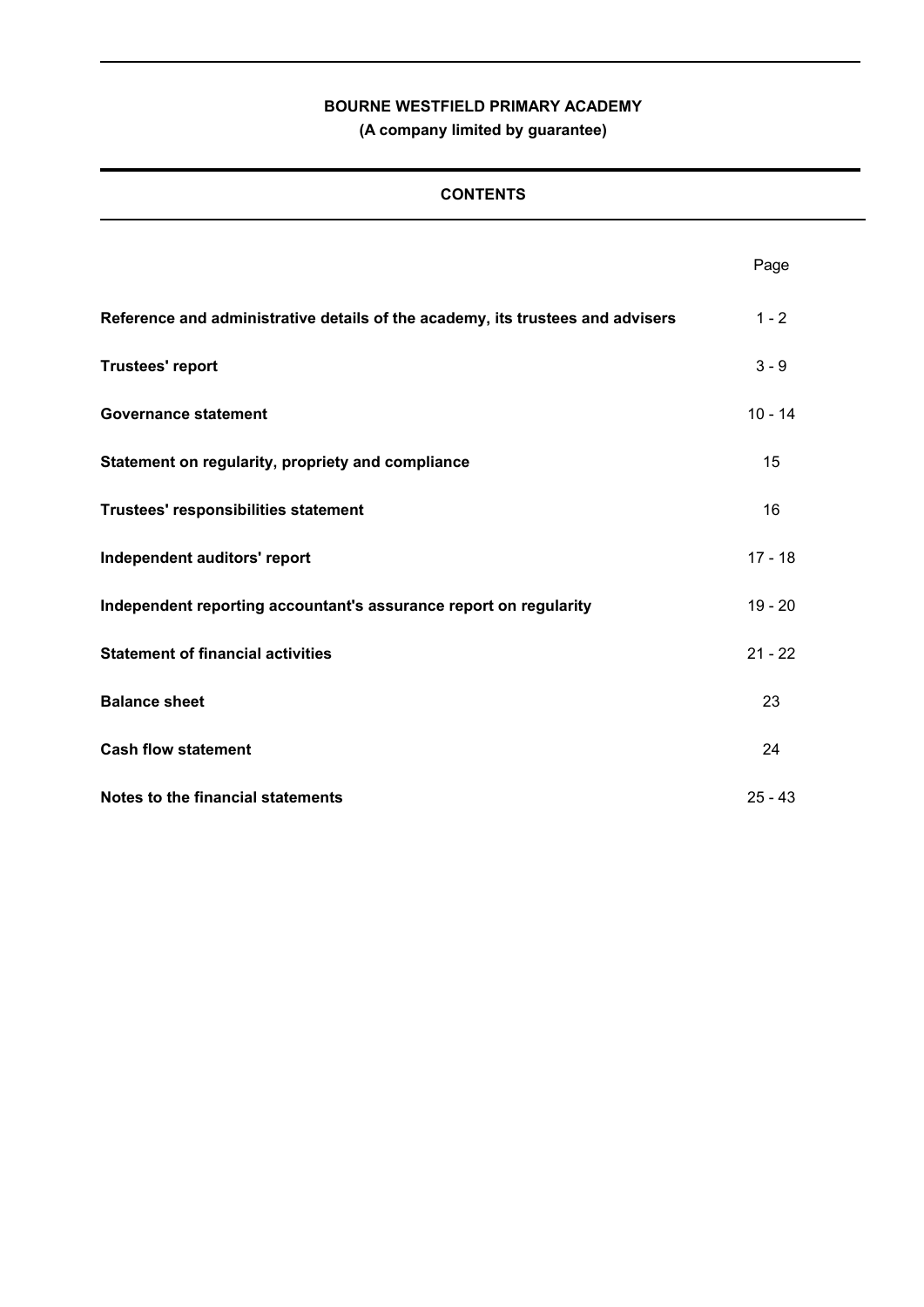**(A company limited by guarantee)**

## **CONTENTS**

|                                                                                | Page      |
|--------------------------------------------------------------------------------|-----------|
| Reference and administrative details of the academy, its trustees and advisers | $1 - 2$   |
| <b>Trustees' report</b>                                                        | $3 - 9$   |
| <b>Governance statement</b>                                                    | $10 - 14$ |
| Statement on regularity, propriety and compliance                              | 15        |
| Trustees' responsibilities statement                                           | 16        |
| Independent auditors' report                                                   | $17 - 18$ |
| Independent reporting accountant's assurance report on regularity              | $19 - 20$ |
| <b>Statement of financial activities</b>                                       | $21 - 22$ |
| <b>Balance sheet</b>                                                           | 23        |
| <b>Cash flow statement</b>                                                     | 24        |
| Notes to the financial statements                                              | $25 - 43$ |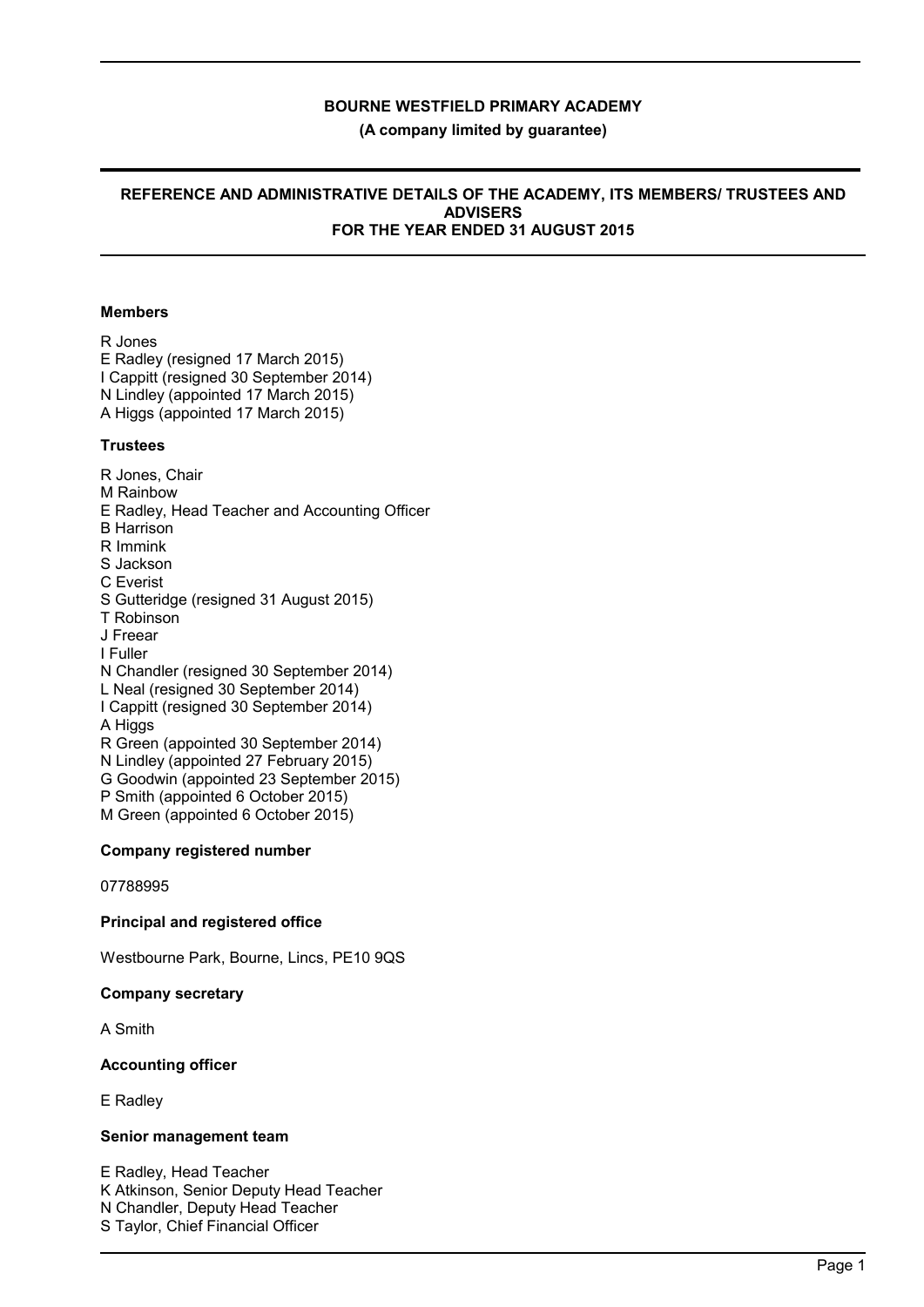**(A company limited by guarantee)**

#### **REFERENCE AND ADMINISTRATIVE DETAILS OF THE ACADEMY, ITS MEMBERS/ TRUSTEES AND ADVISERS FOR THE YEAR ENDED 31 AUGUST 2015**

#### **Members**

R Jones

E Radley (resigned 17 March 2015) I Cappitt (resigned 30 September 2014) N Lindley (appointed 17 March 2015) A Higgs (appointed 17 March 2015)

#### **Trustees**

- R Jones, Chair
- M Rainbow
- E Radley, Head Teacher and Accounting Officer
- B Harrison
- R Immink
- S Jackson
- C Everist
- S Gutteridge (resigned 31 August 2015)
- T Robinson
- J Freear
- I Fuller
- N Chandler (resigned 30 September 2014)
- L Neal (resigned 30 September 2014)
- I Cappitt (resigned 30 September 2014) A Higgs
- R Green (appointed 30 September 2014)
- N Lindley (appointed 27 February 2015)
- G Goodwin (appointed 23 September 2015)
- P Smith (appointed 6 October 2015)
- M Green (appointed 6 October 2015)

#### **Company registered number**

07788995

#### **Principal and registered office**

Westbourne Park, Bourne, Lincs, PE10 9QS

#### **Company secretary**

A Smith

#### **Accounting officer**

E Radley

#### **Senior management team**

E Radley, Head Teacher K Atkinson, Senior Deputy Head Teacher N Chandler, Deputy Head Teacher S Taylor, Chief Financial Officer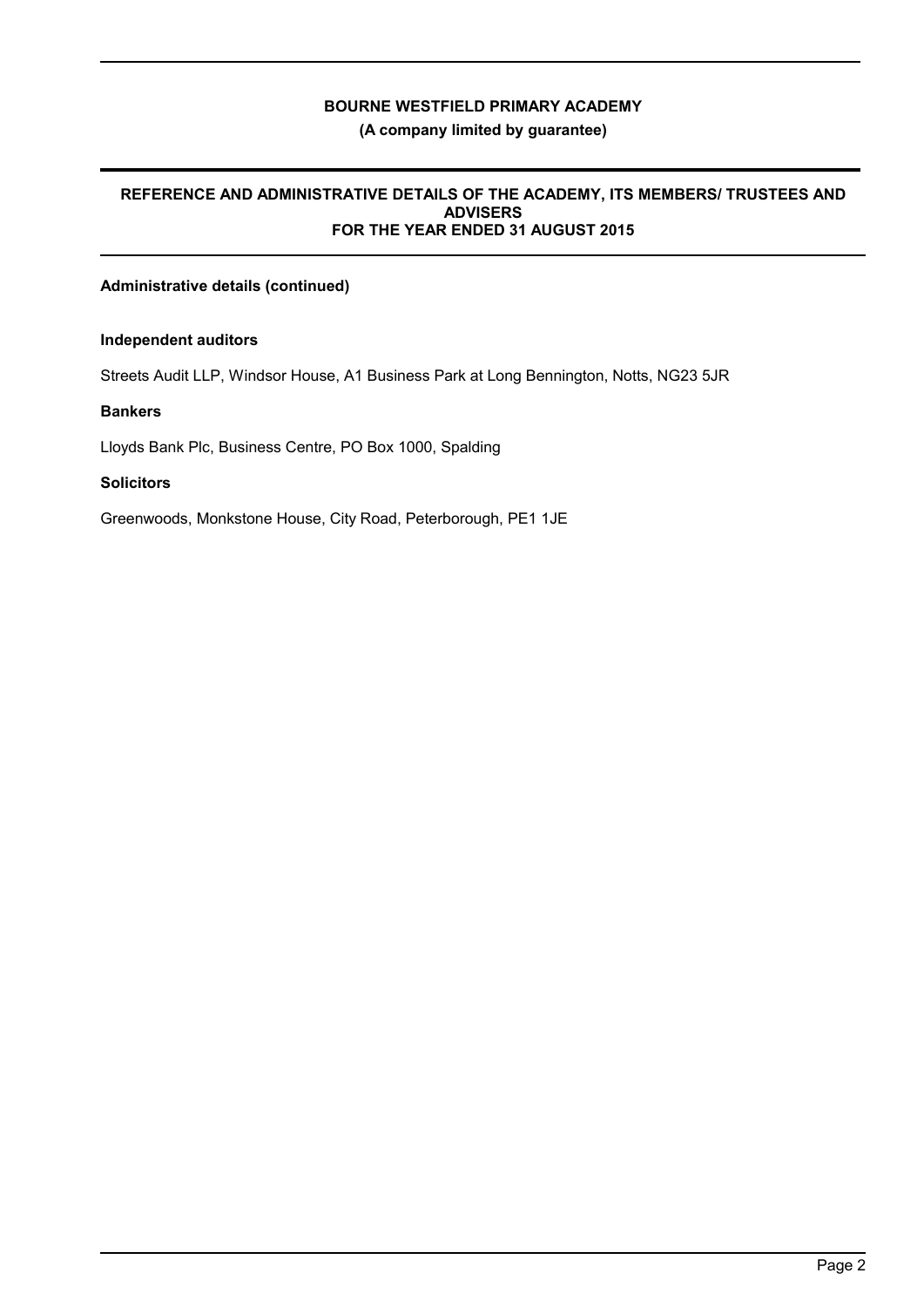### **(A company limited by guarantee)**

#### **REFERENCE AND ADMINISTRATIVE DETAILS OF THE ACADEMY, ITS MEMBERS/ TRUSTEES AND ADVISERS FOR THE YEAR ENDED 31 AUGUST 2015**

### **Administrative details (continued)**

## **Independent auditors**

Streets Audit LLP, Windsor House, A1 Business Park at Long Bennington, Notts, NG23 5JR

#### **Bankers**

Lloyds Bank Plc, Business Centre, PO Box 1000, Spalding

#### **Solicitors**

Greenwoods, Monkstone House, City Road, Peterborough, PE1 1JE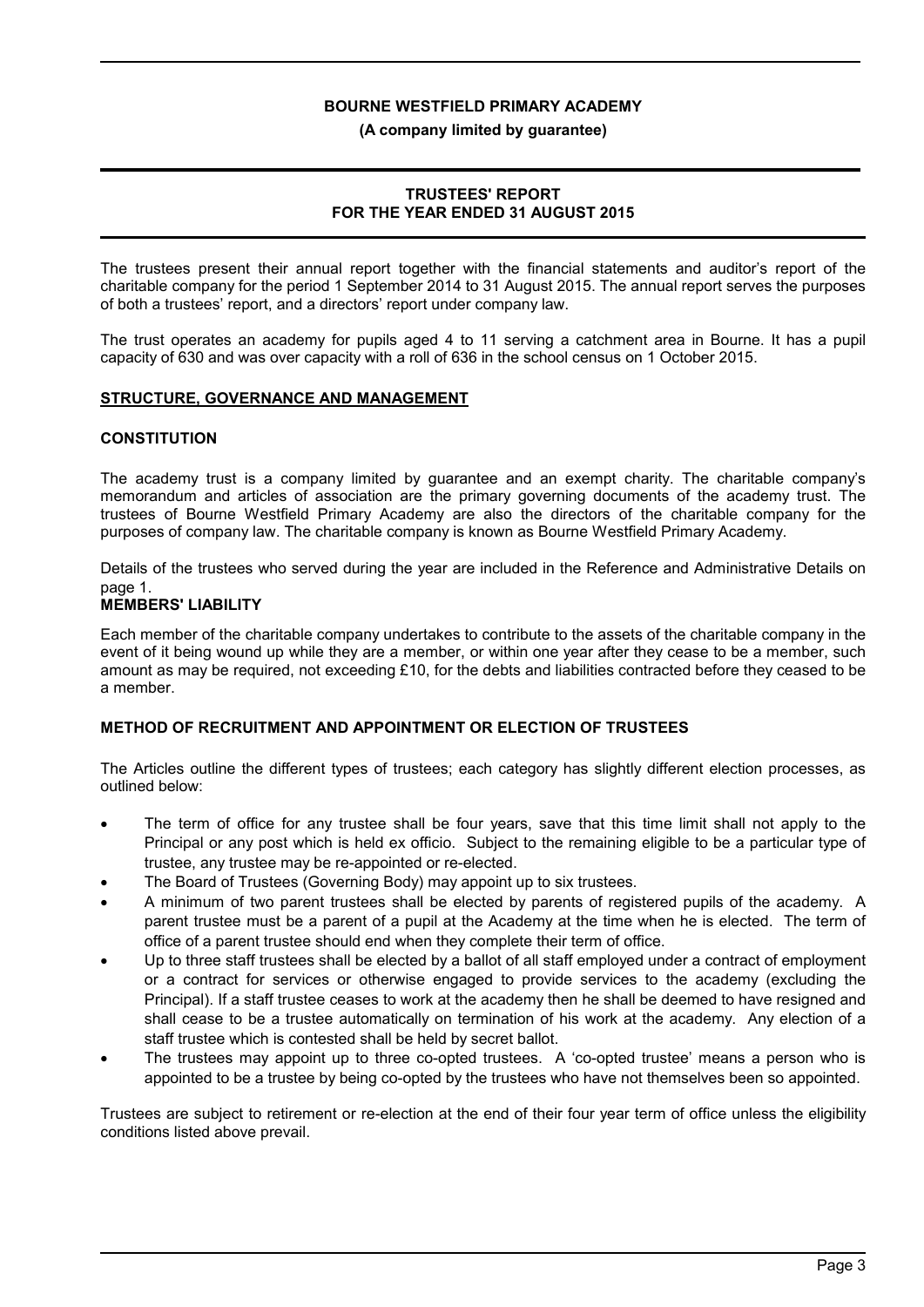#### **(A company limited by guarantee)**

### **TRUSTEES' REPORT FOR THE YEAR ENDED 31 AUGUST 2015**

The trustees present their annual report together with the financial statements and auditor's report of the charitable company for the period 1 September 2014 to 31 August 2015. The annual report serves the purposes of both a trustees' report, and a directors' report under company law.

The trust operates an academy for pupils aged 4 to 11 serving a catchment area in Bourne. It has a pupil capacity of 630 and was over capacity with a roll of 636 in the school census on 1 October 2015.

#### **STRUCTURE, GOVERNANCE AND MANAGEMENT**

#### **CONSTITUTION**

The academy trust is a company limited by guarantee and an exempt charity. The charitable company's memorandum and articles of association are the primary governing documents of the academy trust. The trustees of Bourne Westfield Primary Academy are also the directors of the charitable company for the purposes of company law. The charitable company is known as Bourne Westfield Primary Academy.

Details of the trustees who served during the year are included in the Reference and Administrative Details on page 1.

#### **MEMBERS' LIABILITY**

Each member of the charitable company undertakes to contribute to the assets of the charitable company in the event of it being wound up while they are a member, or within one year after they cease to be a member, such amount as may be required, not exceeding £10, for the debts and liabilities contracted before they ceased to be a member.

#### **METHOD OF RECRUITMENT AND APPOINTMENT OR ELECTION OF TRUSTEES**

The Articles outline the different types of trustees; each category has slightly different election processes, as outlined below:

- The term of office for any trustee shall be four years, save that this time limit shall not apply to the Principal or any post which is held ex officio. Subject to the remaining eligible to be a particular type of trustee, any trustee may be re-appointed or re-elected.
- The Board of Trustees (Governing Body) may appoint up to six trustees.
- A minimum of two parent trustees shall be elected by parents of registered pupils of the academy. A parent trustee must be a parent of a pupil at the Academy at the time when he is elected. The term of office of a parent trustee should end when they complete their term of office.
- Up to three staff trustees shall be elected by a ballot of all staff employed under a contract of employment or a contract for services or otherwise engaged to provide services to the academy (excluding the Principal). If a staff trustee ceases to work at the academy then he shall be deemed to have resigned and shall cease to be a trustee automatically on termination of his work at the academy. Any election of a staff trustee which is contested shall be held by secret ballot.
- The trustees may appoint up to three co-opted trustees. A 'co-opted trustee' means a person who is appointed to be a trustee by being co-opted by the trustees who have not themselves been so appointed.

Trustees are subject to retirement or re-election at the end of their four year term of office unless the eligibility conditions listed above prevail.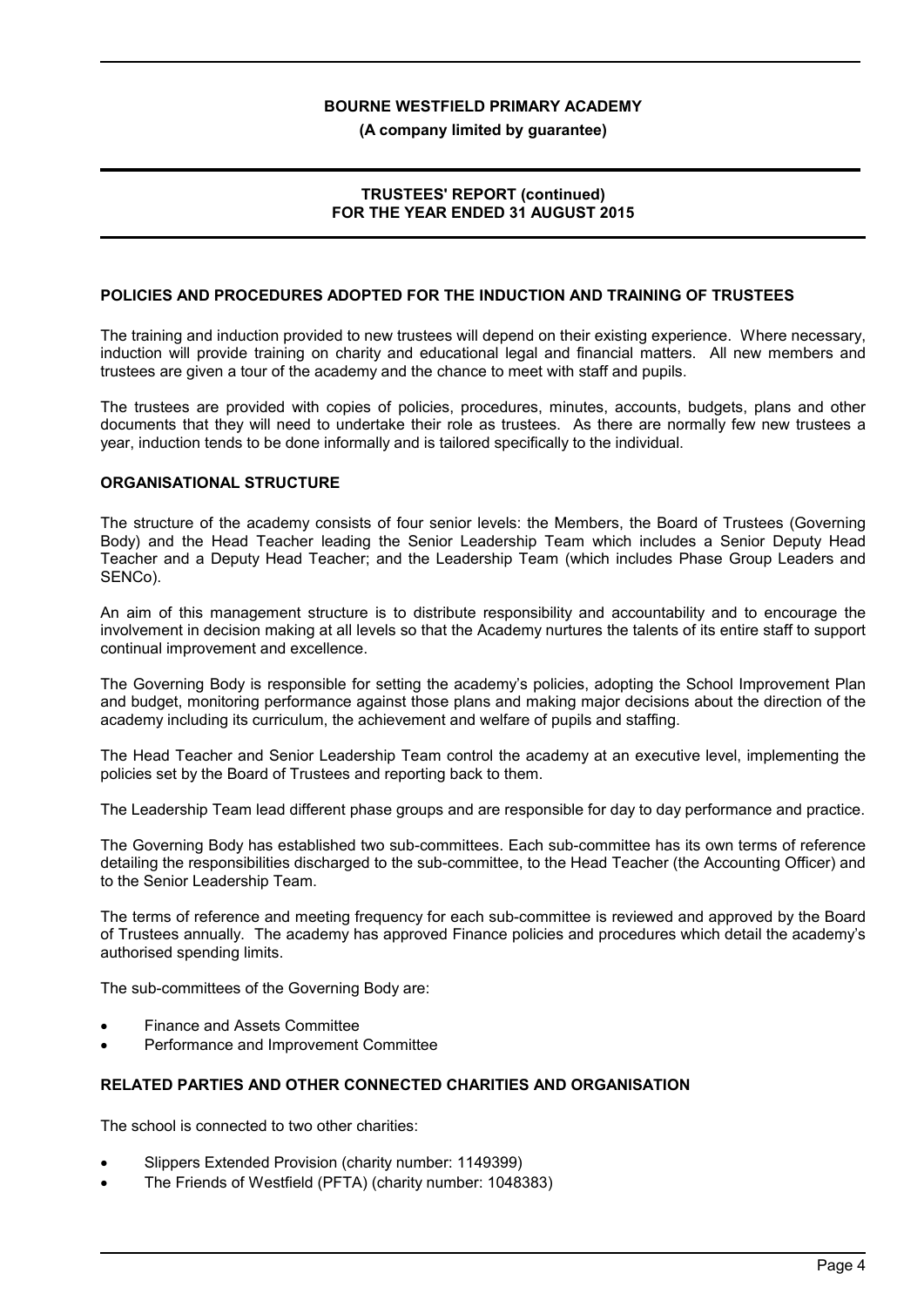**(A company limited by guarantee)**

### **TRUSTEES' REPORT (continued) FOR THE YEAR ENDED 31 AUGUST 2015**

#### **POLICIES AND PROCEDURES ADOPTED FOR THE INDUCTION AND TRAINING OF TRUSTEES**

The training and induction provided to new trustees will depend on their existing experience. Where necessary, induction will provide training on charity and educational legal and financial matters. All new members and trustees are given a tour of the academy and the chance to meet with staff and pupils.

The trustees are provided with copies of policies, procedures, minutes, accounts, budgets, plans and other documents that they will need to undertake their role as trustees. As there are normally few new trustees a year, induction tends to be done informally and is tailored specifically to the individual.

#### **ORGANISATIONAL STRUCTURE**

The structure of the academy consists of four senior levels: the Members, the Board of Trustees (Governing Body) and the Head Teacher leading the Senior Leadership Team which includes a Senior Deputy Head Teacher and a Deputy Head Teacher; and the Leadership Team (which includes Phase Group Leaders and SENCo).

An aim of this management structure is to distribute responsibility and accountability and to encourage the involvement in decision making at all levels so that the Academy nurtures the talents of its entire staff to support continual improvement and excellence.

The Governing Body is responsible for setting the academy's policies, adopting the School Improvement Plan and budget, monitoring performance against those plans and making major decisions about the direction of the academy including its curriculum, the achievement and welfare of pupils and staffing.

The Head Teacher and Senior Leadership Team control the academy at an executive level, implementing the policies set by the Board of Trustees and reporting back to them.

The Leadership Team lead different phase groups and are responsible for day to day performance and practice.

The Governing Body has established two sub-committees. Each sub-committee has its own terms of reference detailing the responsibilities discharged to the sub-committee, to the Head Teacher (the Accounting Officer) and to the Senior Leadership Team.

The terms of reference and meeting frequency for each sub-committee is reviewed and approved by the Board of Trustees annually. The academy has approved Finance policies and procedures which detail the academy's authorised spending limits.

The sub-committees of the Governing Body are:

- Finance and Assets Committee
- Performance and Improvement Committee

## **RELATED PARTIES AND OTHER CONNECTED CHARITIES AND ORGANISATION**

The school is connected to two other charities:

- Slippers Extended Provision (charity number: 1149399)
- The Friends of Westfield (PFTA) (charity number: 1048383)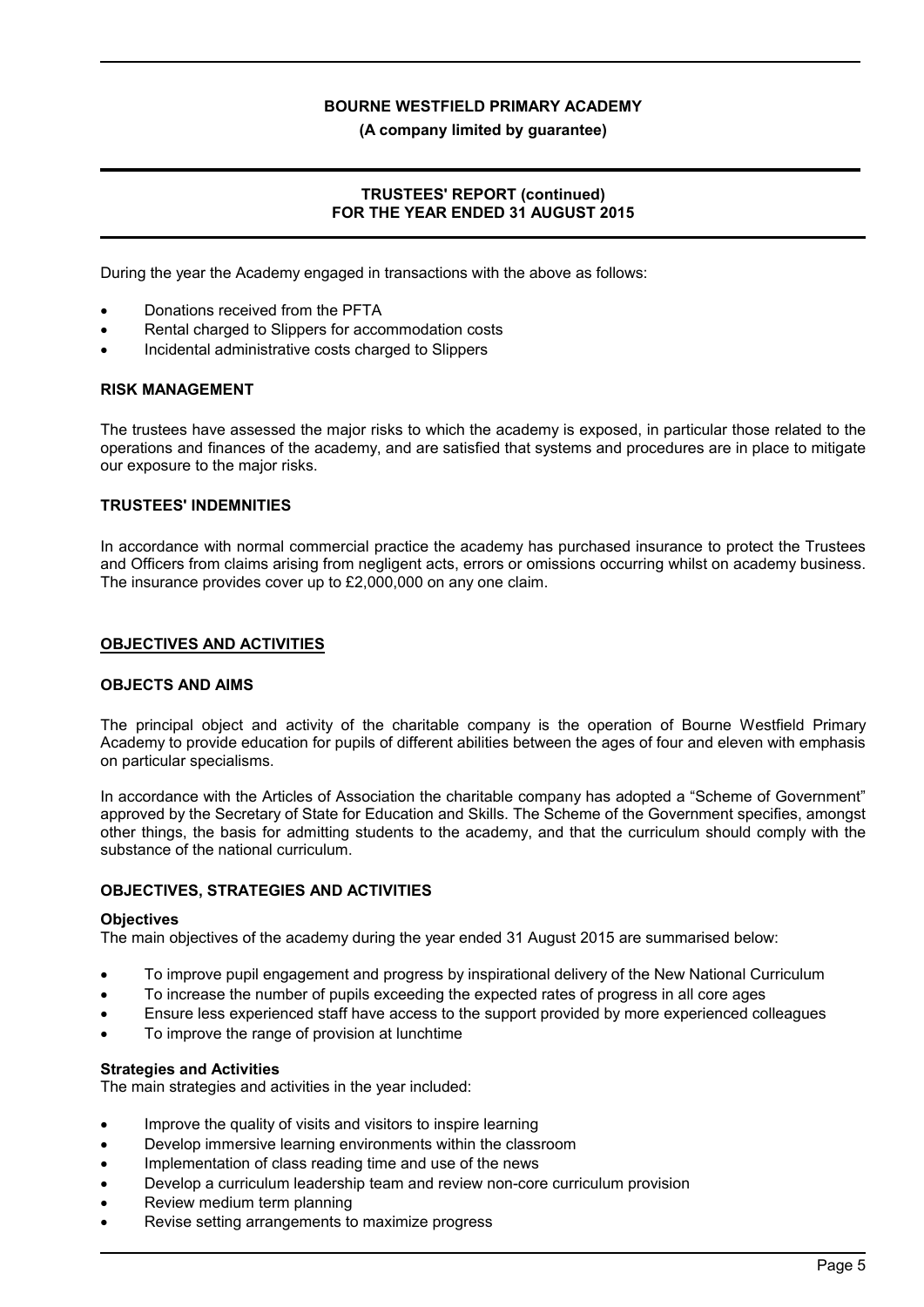**(A company limited by guarantee)**

## **TRUSTEES' REPORT (continued) FOR THE YEAR ENDED 31 AUGUST 2015**

During the year the Academy engaged in transactions with the above as follows:

- Donations received from the PFTA
- Rental charged to Slippers for accommodation costs
- Incidental administrative costs charged to Slippers

#### **RISK MANAGEMENT**

The trustees have assessed the major risks to which the academy is exposed, in particular those related to the operations and finances of the academy, and are satisfied that systems and procedures are in place to mitigate our exposure to the major risks.

#### **TRUSTEES' INDEMNITIES**

In accordance with normal commercial practice the academy has purchased insurance to protect the Trustees and Officers from claims arising from negligent acts, errors or omissions occurring whilst on academy business. The insurance provides cover up to £2,000,000 on any one claim.

#### **OBJECTIVES AND ACTIVITIES**

#### **OBJECTS AND AIMS**

The principal object and activity of the charitable company is the operation of Bourne Westfield Primary Academy to provide education for pupils of different abilities between the ages of four and eleven with emphasis on particular specialisms.

In accordance with the Articles of Association the charitable company has adopted a "Scheme of Government" approved by the Secretary of State for Education and Skills. The Scheme of the Government specifies, amongst other things, the basis for admitting students to the academy, and that the curriculum should comply with the substance of the national curriculum.

### **OBJECTIVES, STRATEGIES AND ACTIVITIES**

#### **Objectives**

The main objectives of the academy during the year ended 31 August 2015 are summarised below:

- To improve pupil engagement and progress by inspirational delivery of the New National Curriculum
- To increase the number of pupils exceeding the expected rates of progress in all core ages
- Ensure less experienced staff have access to the support provided by more experienced colleagues
- To improve the range of provision at lunchtime

#### **Strategies and Activities**

The main strategies and activities in the year included:

- Improve the quality of visits and visitors to inspire learning
- Develop immersive learning environments within the classroom
- Implementation of class reading time and use of the news
- Develop a curriculum leadership team and review non-core curriculum provision
- Review medium term planning
- Revise setting arrangements to maximize progress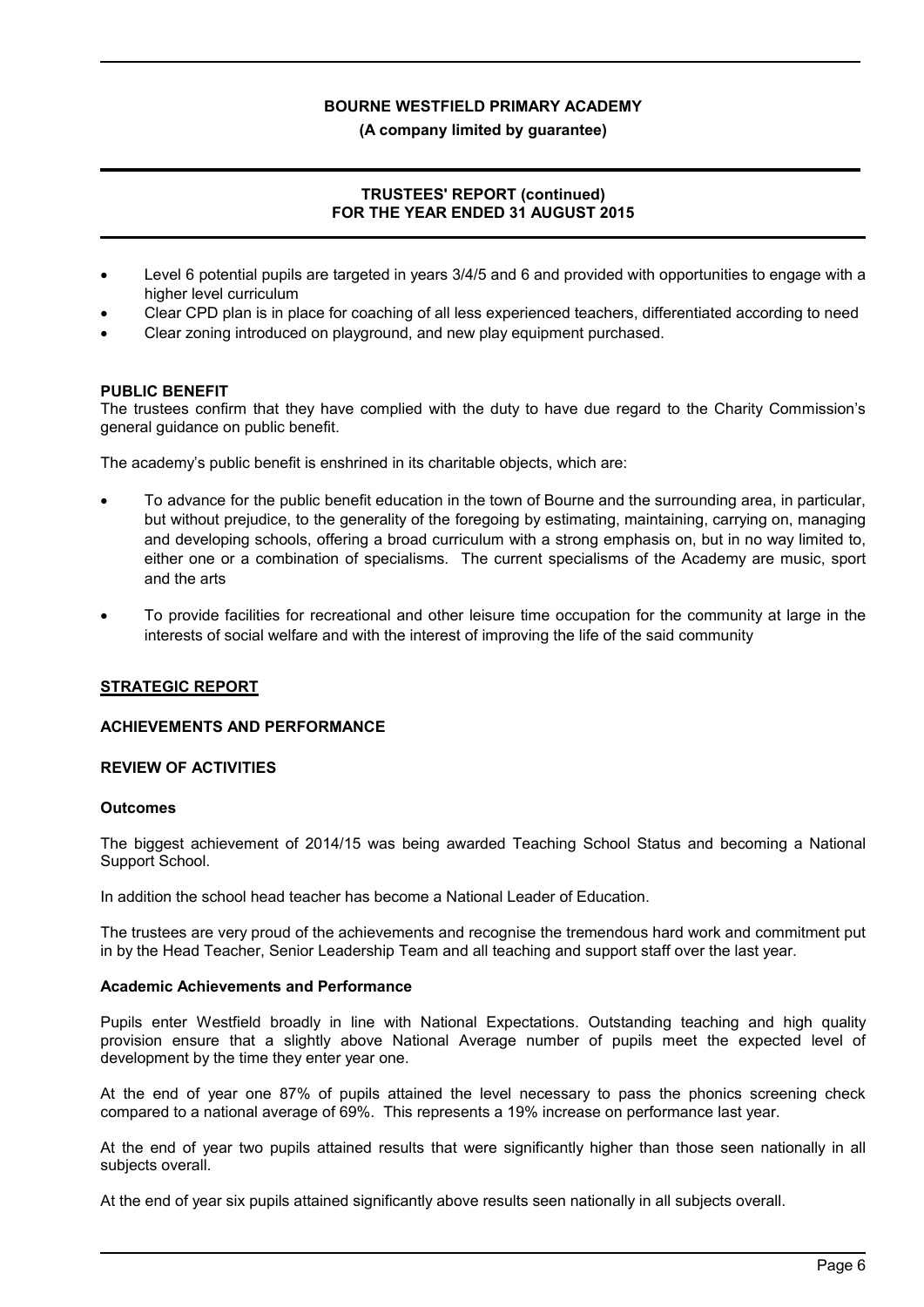**(A company limited by guarantee)**

## **TRUSTEES' REPORT (continued) FOR THE YEAR ENDED 31 AUGUST 2015**

- Level 6 potential pupils are targeted in years 3/4/5 and 6 and provided with opportunities to engage with a higher level curriculum
- Clear CPD plan is in place for coaching of all less experienced teachers, differentiated according to need
- Clear zoning introduced on playground, and new play equipment purchased.

#### **PUBLIC BENEFIT**

The trustees confirm that they have complied with the duty to have due regard to the Charity Commission's general guidance on public benefit.

The academy's public benefit is enshrined in its charitable objects, which are:

- To advance for the public benefit education in the town of Bourne and the surrounding area, in particular, but without prejudice, to the generality of the foregoing by estimating, maintaining, carrying on, managing and developing schools, offering a broad curriculum with a strong emphasis on, but in no way limited to, either one or a combination of specialisms. The current specialisms of the Academy are music, sport and the arts
- To provide facilities for recreational and other leisure time occupation for the community at large in the interests of social welfare and with the interest of improving the life of the said community

## **STRATEGIC REPORT**

#### **ACHIEVEMENTS AND PERFORMANCE**

#### **REVIEW OF ACTIVITIES**

## **Outcomes**

The biggest achievement of 2014/15 was being awarded Teaching School Status and becoming a National Support School.

In addition the school head teacher has become a National Leader of Education.

The trustees are very proud of the achievements and recognise the tremendous hard work and commitment put in by the Head Teacher, Senior Leadership Team and all teaching and support staff over the last year.

#### **Academic Achievements and Performance**

Pupils enter Westfield broadly in line with National Expectations. Outstanding teaching and high quality provision ensure that a slightly above National Average number of pupils meet the expected level of development by the time they enter year one.

At the end of year one 87% of pupils attained the level necessary to pass the phonics screening check compared to a national average of 69%. This represents a 19% increase on performance last year.

At the end of year two pupils attained results that were significantly higher than those seen nationally in all subjects overall.

At the end of year six pupils attained significantly above results seen nationally in all subjects overall.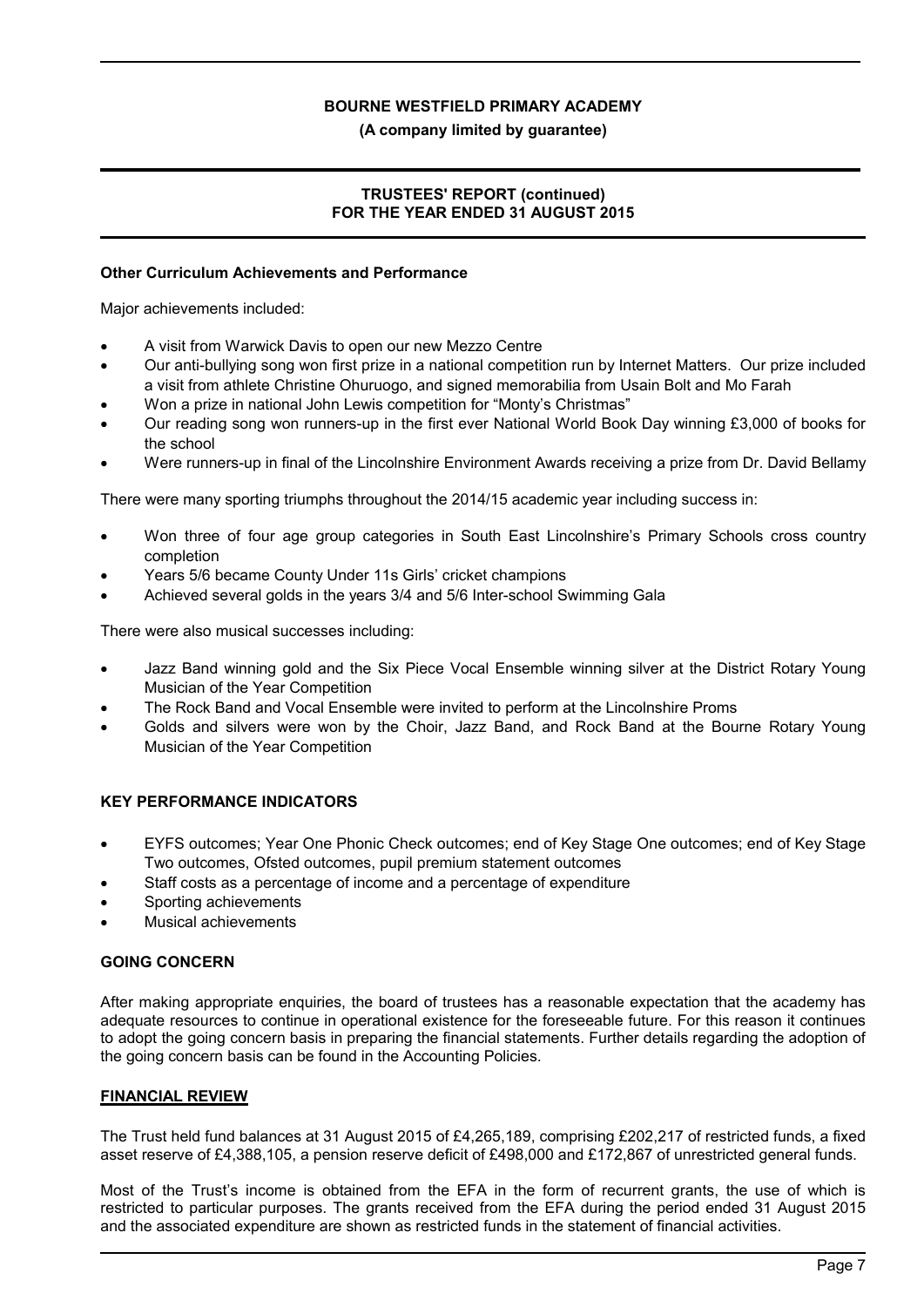#### **(A company limited by guarantee)**

### **TRUSTEES' REPORT (continued) FOR THE YEAR ENDED 31 AUGUST 2015**

#### **Other Curriculum Achievements and Performance**

Major achievements included:

- A visit from Warwick Davis to open our new Mezzo Centre
- Our anti-bullying song won first prize in a national competition run by Internet Matters. Our prize included a visit from athlete Christine Ohuruogo, and signed memorabilia from Usain Bolt and Mo Farah
- Won a prize in national John Lewis competition for "Monty's Christmas"
- Our reading song won runners-up in the first ever National World Book Day winning £3,000 of books for the school
- Were runners-up in final of the Lincolnshire Environment Awards receiving a prize from Dr. David Bellamy

There were many sporting triumphs throughout the 2014/15 academic year including success in:

- Won three of four age group categories in South East Lincolnshire's Primary Schools cross country completion
- Years 5/6 became County Under 11s Girls' cricket champions
- Achieved several golds in the years 3/4 and 5/6 Inter-school Swimming Gala

There were also musical successes including:

- Jazz Band winning gold and the Six Piece Vocal Ensemble winning silver at the District Rotary Young Musician of the Year Competition
- The Rock Band and Vocal Ensemble were invited to perform at the Lincolnshire Proms
- Golds and silvers were won by the Choir, Jazz Band, and Rock Band at the Bourne Rotary Young Musician of the Year Competition

#### **KEY PERFORMANCE INDICATORS**

- EYFS outcomes; Year One Phonic Check outcomes; end of Key Stage One outcomes; end of Key Stage Two outcomes, Ofsted outcomes, pupil premium statement outcomes
- Staff costs as a percentage of income and a percentage of expenditure
- Sporting achievements
- Musical achievements

#### **GOING CONCERN**

After making appropriate enquiries, the board of trustees has a reasonable expectation that the academy has adequate resources to continue in operational existence for the foreseeable future. For this reason it continues to adopt the going concern basis in preparing the financial statements. Further details regarding the adoption of the going concern basis can be found in the Accounting Policies.

#### **FINANCIAL REVIEW**

The Trust held fund balances at 31 August 2015 of £4,265,189, comprising £202,217 of restricted funds, a fixed asset reserve of £4,388,105, a pension reserve deficit of £498,000 and £172,867 of unrestricted general funds.

Most of the Trust's income is obtained from the EFA in the form of recurrent grants, the use of which is restricted to particular purposes. The grants received from the EFA during the period ended 31 August 2015 and the associated expenditure are shown as restricted funds in the statement of financial activities.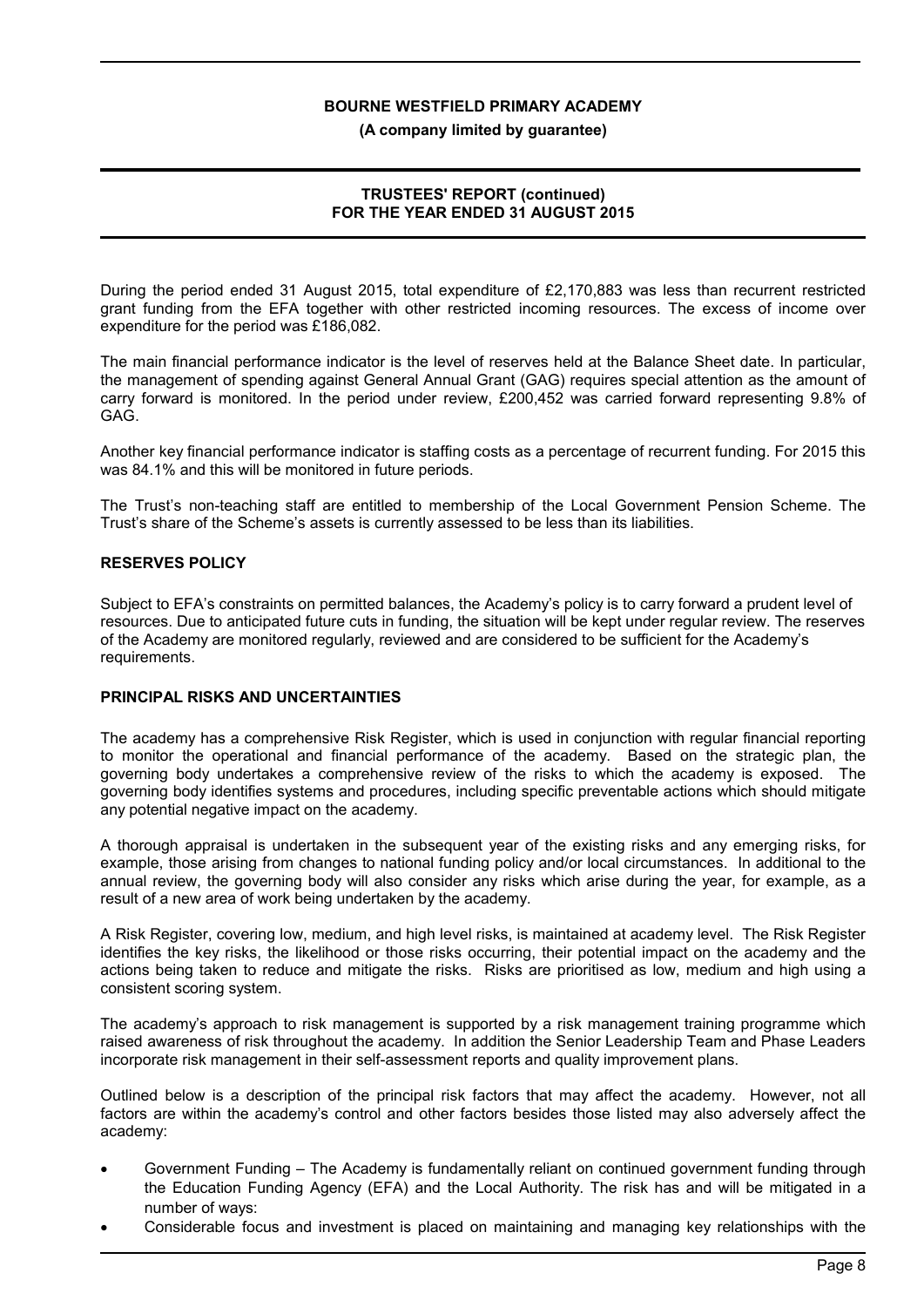**(A company limited by guarantee)**

#### **TRUSTEES' REPORT (continued) FOR THE YEAR ENDED 31 AUGUST 2015**

During the period ended 31 August 2015, total expenditure of £2,170,883 was less than recurrent restricted grant funding from the EFA together with other restricted incoming resources. The excess of income over expenditure for the period was £186,082.

The main financial performance indicator is the level of reserves held at the Balance Sheet date. In particular, the management of spending against General Annual Grant (GAG) requires special attention as the amount of carry forward is monitored. In the period under review, £200,452 was carried forward representing 9.8% of GAG.

Another key financial performance indicator is staffing costs as a percentage of recurrent funding. For 2015 this was 84.1% and this will be monitored in future periods.

The Trust's non-teaching staff are entitled to membership of the Local Government Pension Scheme. The Trust's share of the Scheme's assets is currently assessed to be less than its liabilities.

#### **RESERVES POLICY**

Subject to EFA's constraints on permitted balances, the Academy's policy is to carry forward a prudent level of resources. Due to anticipated future cuts in funding, the situation will be kept under regular review. The reserves of the Academy are monitored regularly, reviewed and are considered to be sufficient for the Academy's requirements.

#### **PRINCIPAL RISKS AND UNCERTAINTIES**

The academy has a comprehensive Risk Register, which is used in conjunction with regular financial reporting to monitor the operational and financial performance of the academy. Based on the strategic plan, the governing body undertakes a comprehensive review of the risks to which the academy is exposed. The governing body identifies systems and procedures, including specific preventable actions which should mitigate any potential negative impact on the academy.

A thorough appraisal is undertaken in the subsequent year of the existing risks and any emerging risks, for example, those arising from changes to national funding policy and/or local circumstances. In additional to the annual review, the governing body will also consider any risks which arise during the year, for example, as a result of a new area of work being undertaken by the academy.

A Risk Register, covering low, medium, and high level risks, is maintained at academy level. The Risk Register identifies the key risks, the likelihood or those risks occurring, their potential impact on the academy and the actions being taken to reduce and mitigate the risks. Risks are prioritised as low, medium and high using a consistent scoring system.

The academy's approach to risk management is supported by a risk management training programme which raised awareness of risk throughout the academy. In addition the Senior Leadership Team and Phase Leaders incorporate risk management in their self-assessment reports and quality improvement plans.

Outlined below is a description of the principal risk factors that may affect the academy. However, not all factors are within the academy's control and other factors besides those listed may also adversely affect the academy:

- Government Funding The Academy is fundamentally reliant on continued government funding through the Education Funding Agency (EFA) and the Local Authority. The risk has and will be mitigated in a number of ways:
- Considerable focus and investment is placed on maintaining and managing key relationships with the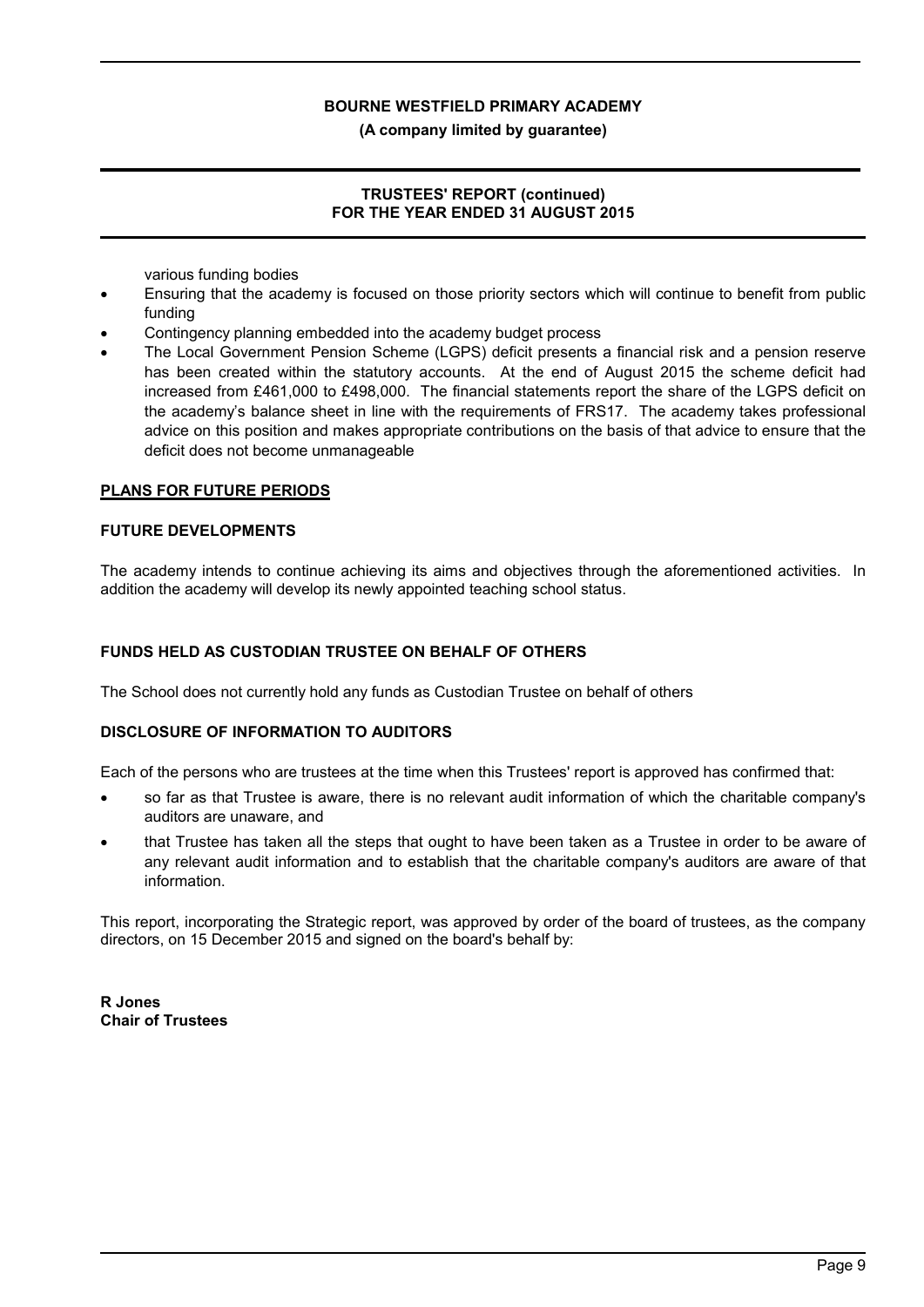**(A company limited by guarantee)**

#### **TRUSTEES' REPORT (continued) FOR THE YEAR ENDED 31 AUGUST 2015**

various funding bodies

- Ensuring that the academy is focused on those priority sectors which will continue to benefit from public funding
- Contingency planning embedded into the academy budget process
- The Local Government Pension Scheme (LGPS) deficit presents a financial risk and a pension reserve has been created within the statutory accounts. At the end of August 2015 the scheme deficit had increased from £461,000 to £498,000. The financial statements report the share of the LGPS deficit on the academy's balance sheet in line with the requirements of FRS17. The academy takes professional advice on this position and makes appropriate contributions on the basis of that advice to ensure that the deficit does not become unmanageable

#### **PLANS FOR FUTURE PERIODS**

#### **FUTURE DEVELOPMENTS**

The academy intends to continue achieving its aims and objectives through the aforementioned activities. In addition the academy will develop its newly appointed teaching school status.

### **FUNDS HELD AS CUSTODIAN TRUSTEE ON BEHALF OF OTHERS**

The School does not currently hold any funds as Custodian Trustee on behalf of others

#### **DISCLOSURE OF INFORMATION TO AUDITORS**

Each of the persons who are trustees at the time when this Trustees' report is approved has confirmed that:

- so far as that Trustee is aware, there is no relevant audit information of which the charitable company's auditors are unaware, and
- that Trustee has taken all the steps that ought to have been taken as a Trustee in order to be aware of any relevant audit information and to establish that the charitable company's auditors are aware of that information.

This report, incorporating the Strategic report, was approved by order of the board of trustees, as the company directors, on 15 December 2015 and signed on the board's behalf by:

**R Jones Chair of Trustees**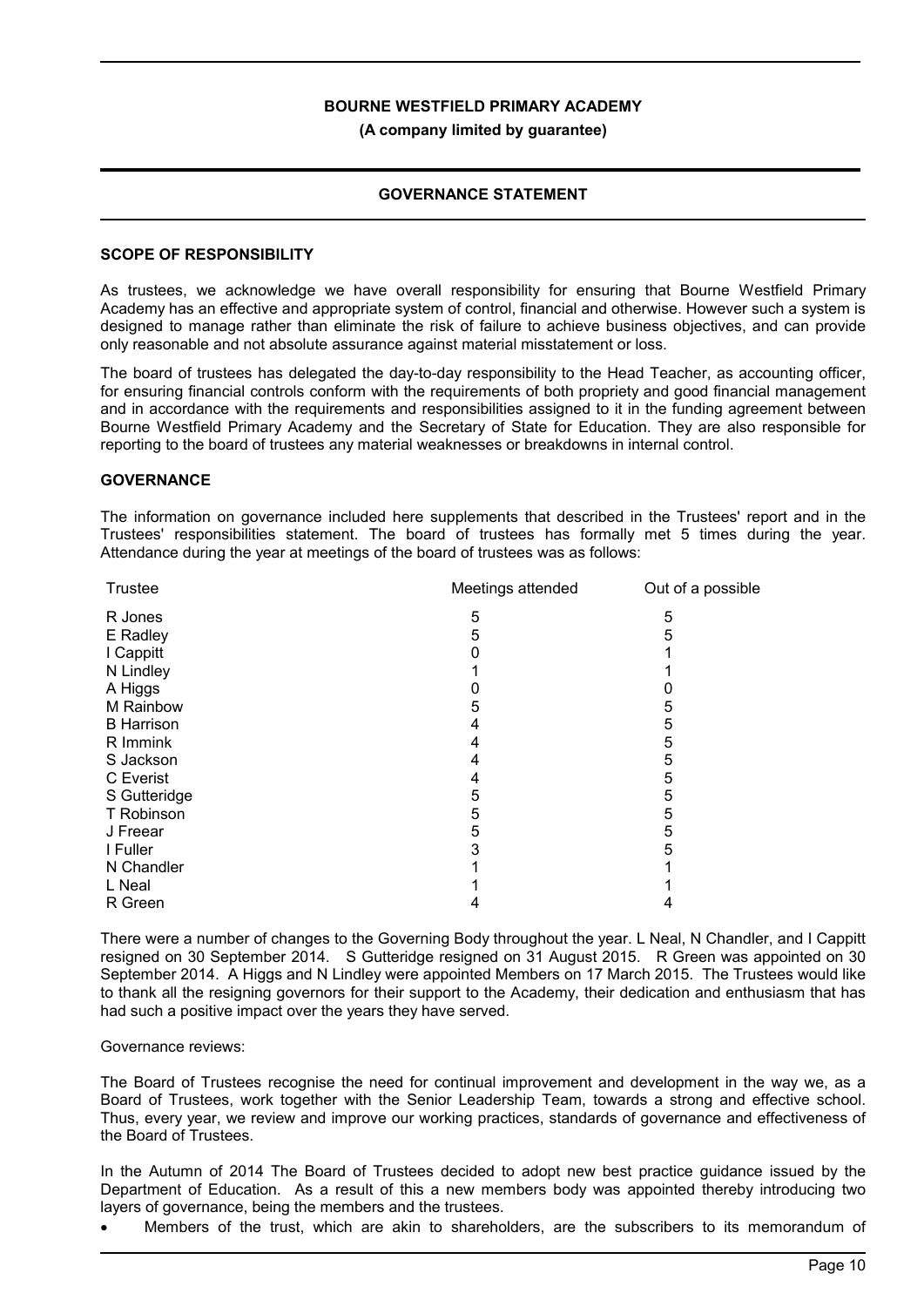**(A company limited by guarantee)**

### **GOVERNANCE STATEMENT**

#### **SCOPE OF RESPONSIBILITY**

As trustees, we acknowledge we have overall responsibility for ensuring that Bourne Westfield Primary Academy has an effective and appropriate system of control, financial and otherwise. However such a system is designed to manage rather than eliminate the risk of failure to achieve business objectives, and can provide only reasonable and not absolute assurance against material misstatement or loss.

The board of trustees has delegated the day-to-day responsibility to the Head Teacher, as accounting officer, for ensuring financial controls conform with the requirements of both propriety and good financial management and in accordance with the requirements and responsibilities assigned to it in the funding agreement between Bourne Westfield Primary Academy and the Secretary of State for Education. They are also responsible for reporting to the board of trustees any material weaknesses or breakdowns in internal control.

#### **GOVERNANCE**

The information on governance included here supplements that described in the Trustees' report and in the Trustees' responsibilities statement. The board of trustees has formally met 5 times during the year. Attendance during the year at meetings of the board of trustees was as follows:

| <b>Trustee</b>    | Meetings attended | Out of a possible |
|-------------------|-------------------|-------------------|
| R Jones           | 5                 | 5                 |
| E Radley          | 5                 | 5                 |
| I Cappitt         |                   |                   |
| N Lindley         |                   |                   |
| A Higgs           |                   |                   |
| M Rainbow         | 5                 | 5                 |
| <b>B</b> Harrison | 4                 | 5                 |
| R Immink          | 4                 | 5                 |
| S Jackson         | 4                 | 5                 |
| C Everist         | 4                 | 5                 |
| S Gutteridge      | 5                 | 5                 |
| T Robinson        | 5                 | 5                 |
| J Freear          | 5                 | 5                 |
| I Fuller          | 3                 | 5                 |
| N Chandler        |                   |                   |
| L Neal            |                   |                   |
| R Green           |                   |                   |

There were a number of changes to the Governing Body throughout the year. L Neal, N Chandler, and I Cappitt resigned on 30 September 2014. S Gutteridge resigned on 31 August 2015. R Green was appointed on 30 September 2014. A Higgs and N Lindley were appointed Members on 17 March 2015. The Trustees would like to thank all the resigning governors for their support to the Academy, their dedication and enthusiasm that has had such a positive impact over the years they have served.

#### Governance reviews:

The Board of Trustees recognise the need for continual improvement and development in the way we, as a Board of Trustees, work together with the Senior Leadership Team, towards a strong and effective school. Thus, every year, we review and improve our working practices, standards of governance and effectiveness of the Board of Trustees.

In the Autumn of 2014 The Board of Trustees decided to adopt new best practice guidance issued by the Department of Education. As a result of this a new members body was appointed thereby introducing two layers of governance, being the members and the trustees.

Members of the trust, which are akin to shareholders, are the subscribers to its memorandum of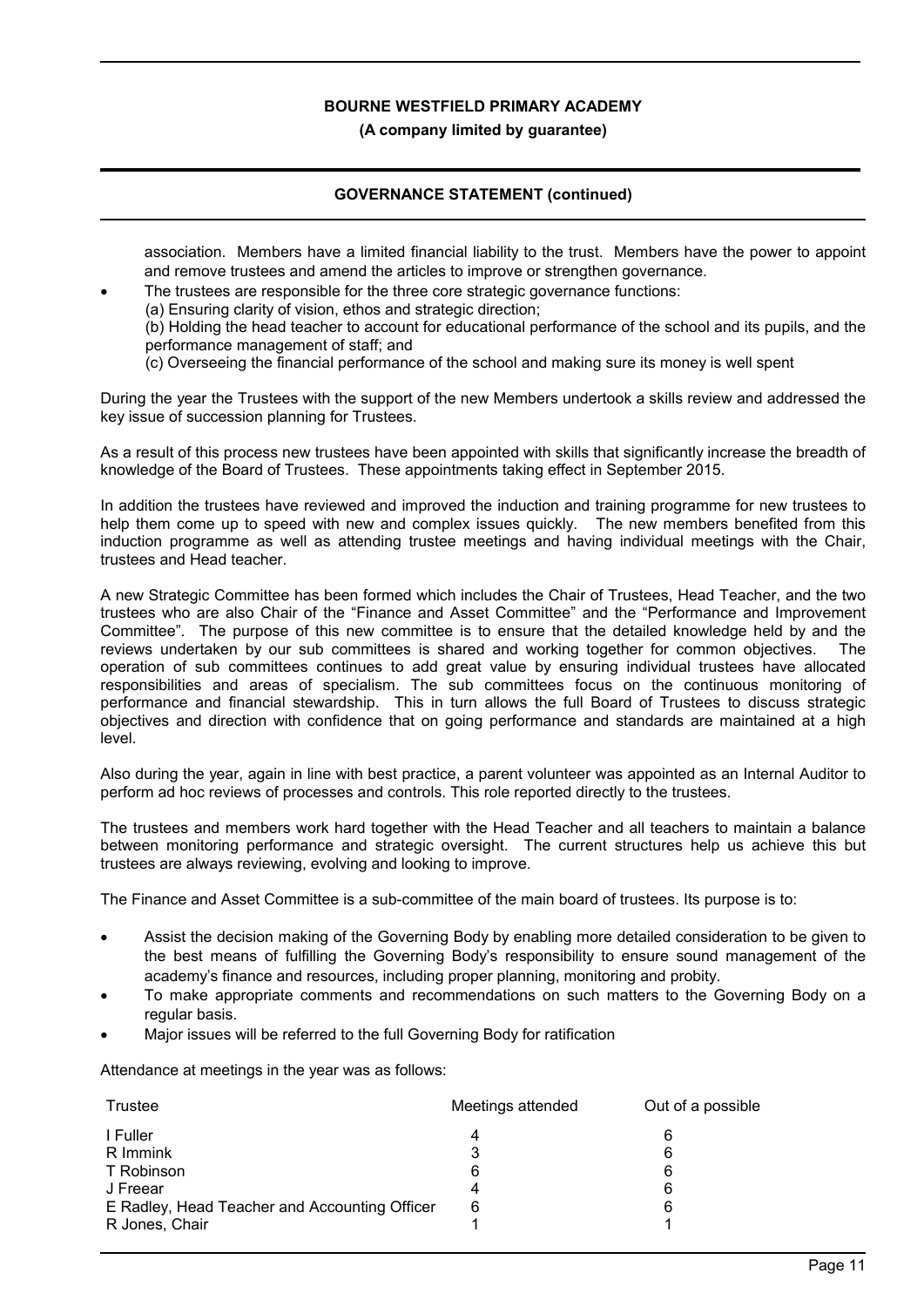**(A company limited by guarantee)**

## **GOVERNANCE STATEMENT (continued)**

association. Members have a limited financial liability to the trust. Members have the power to appoint and remove trustees and amend the articles to improve or strengthen governance.

- The trustees are responsible for the three core strategic governance functions:
	- (a) Ensuring clarity of vision, ethos and strategic direction;

(b) Holding the head teacher to account for educational performance of the school and its pupils, and the performance management of staff; and

(c) Overseeing the financial performance of the school and making sure its money is well spent

During the year the Trustees with the support of the new Members undertook a skills review and addressed the key issue of succession planning for Trustees.

As a result of this process new trustees have been appointed with skills that significantly increase the breadth of knowledge of the Board of Trustees. These appointments taking effect in September 2015.

In addition the trustees have reviewed and improved the induction and training programme for new trustees to help them come up to speed with new and complex issues quickly. The new members benefited from this induction programme as well as attending trustee meetings and having individual meetings with the Chair, trustees and Head teacher.

A new Strategic Committee has been formed which includes the Chair of Trustees, Head Teacher, and the two trustees who are also Chair of the "Finance and Asset Committee" and the "Performance and Improvement Committee". The purpose of this new committee is to ensure that the detailed knowledge held by and the reviews undertaken by our sub committees is shared and working together for common objectives. The operation of sub committees continues to add great value by ensuring individual trustees have allocated responsibilities and areas of specialism. The sub committees focus on the continuous monitoring of performance and financial stewardship. This in turn allows the full Board of Trustees to discuss strategic objectives and direction with confidence that on going performance and standards are maintained at a high level.

Also during the year, again in line with best practice, a parent volunteer was appointed as an Internal Auditor to perform ad hoc reviews of processes and controls. This role reported directly to the trustees.

The trustees and members work hard together with the Head Teacher and all teachers to maintain a balance between monitoring performance and strategic oversight. The current structures help us achieve this but trustees are always reviewing, evolving and looking to improve.

The Finance and Asset Committee is a sub-committee of the main board of trustees. Its purpose is to:

- Assist the decision making of the Governing Body by enabling more detailed consideration to be given to the best means of fulfilling the Governing Body's responsibility to ensure sound management of the academy's finance and resources, including proper planning, monitoring and probity.
- To make appropriate comments and recommendations on such matters to the Governing Body on a regular basis.
- Major issues will be referred to the full Governing Body for ratification

Attendance at meetings in the year was as follows:

| <b>Trustee</b>                                | Meetings attended | Out of a possible |
|-----------------------------------------------|-------------------|-------------------|
| I Fuller                                      | 4                 | 6                 |
| R Immink                                      | 3                 | 6                 |
| T Robinson                                    | 6                 | 6                 |
| J Freear                                      | 4                 | 6                 |
| E Radley, Head Teacher and Accounting Officer | 6                 | 6                 |
| R Jones, Chair                                |                   |                   |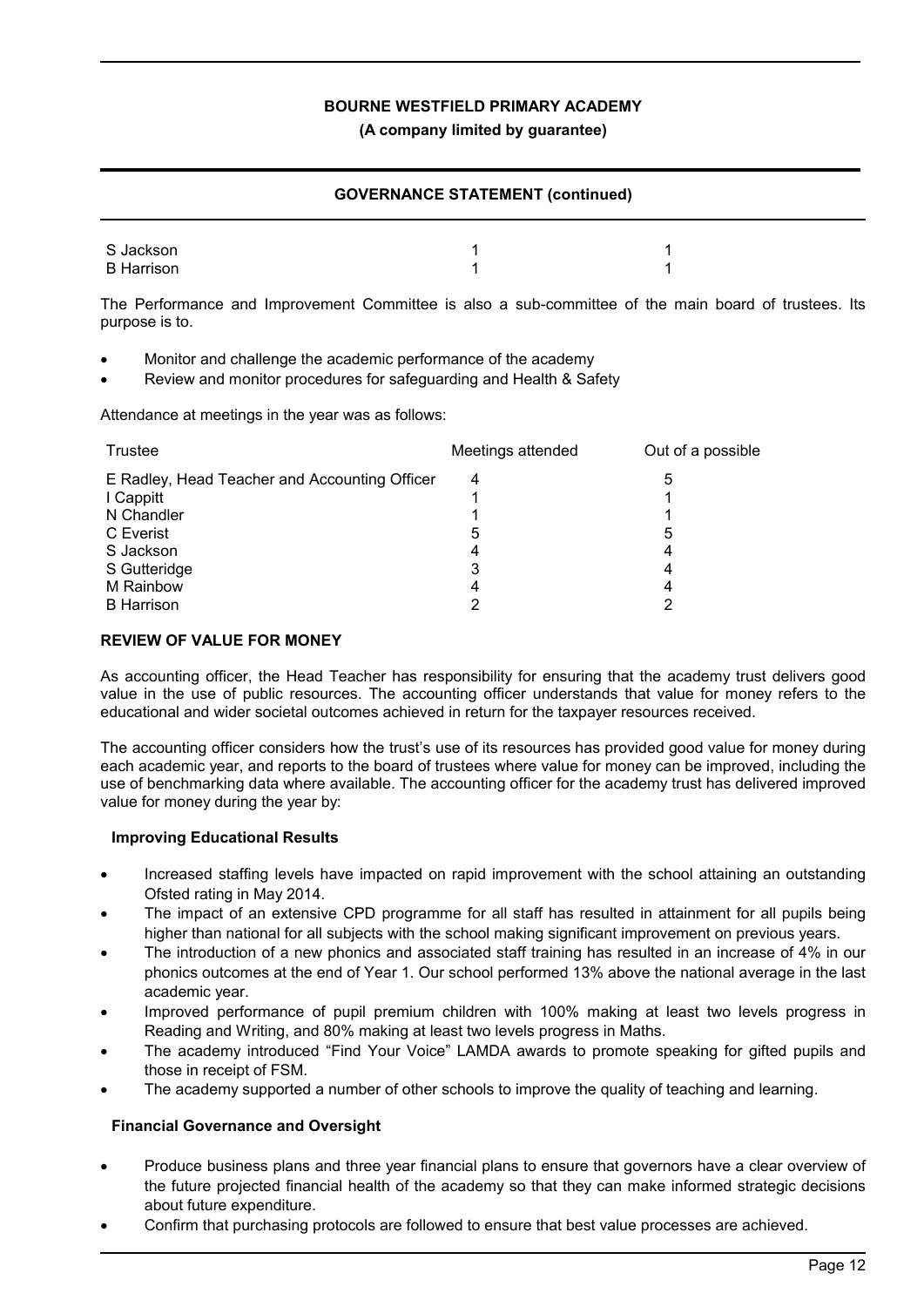**(A company limited by guarantee)**

## **GOVERNANCE STATEMENT (continued)**

| S Jackson         |  |
|-------------------|--|
| <b>B</b> Harrison |  |

The Performance and Improvement Committee is also a sub-committee of the main board of trustees. Its purpose is to.

- Monitor and challenge the academic performance of the academy
- Review and monitor procedures for safeguarding and Health & Safety

Attendance at meetings in the year was as follows:

| Trustee                                       | Meetings attended | Out of a possible |
|-----------------------------------------------|-------------------|-------------------|
| E Radley, Head Teacher and Accounting Officer | 4                 | 5                 |
| I Cappitt                                     |                   |                   |
| N Chandler                                    |                   |                   |
| C Everist                                     | 5                 | 5                 |
| S Jackson                                     | 4                 | 4                 |
| S Gutteridge                                  | 3                 | 4                 |
| M Rainbow                                     | 4                 |                   |
| <b>B</b> Harrison                             |                   |                   |

#### **REVIEW OF VALUE FOR MONEY**

As accounting officer, the Head Teacher has responsibility for ensuring that the academy trust delivers good value in the use of public resources. The accounting officer understands that value for money refers to the educational and wider societal outcomes achieved in return for the taxpayer resources received.

The accounting officer considers how the trust's use of its resources has provided good value for money during each academic year, and reports to the board of trustees where value for money can be improved, including the use of benchmarking data where available. The accounting officer for the academy trust has delivered improved value for money during the year by:

#### **Improving Educational Results**

- Increased staffing levels have impacted on rapid improvement with the school attaining an outstanding Ofsted rating in May 2014.
- The impact of an extensive CPD programme for all staff has resulted in attainment for all pupils being higher than national for all subjects with the school making significant improvement on previous years.
- The introduction of a new phonics and associated staff training has resulted in an increase of 4% in our phonics outcomes at the end of Year 1. Our school performed 13% above the national average in the last academic year.
- Improved performance of pupil premium children with 100% making at least two levels progress in Reading and Writing, and 80% making at least two levels progress in Maths.
- The academy introduced "Find Your Voice" LAMDA awards to promote speaking for gifted pupils and those in receipt of FSM.
- The academy supported a number of other schools to improve the quality of teaching and learning.

#### **Financial Governance and Oversight**

- Produce business plans and three year financial plans to ensure that governors have a clear overview of the future projected financial health of the academy so that they can make informed strategic decisions about future expenditure.
- Confirm that purchasing protocols are followed to ensure that best value processes are achieved.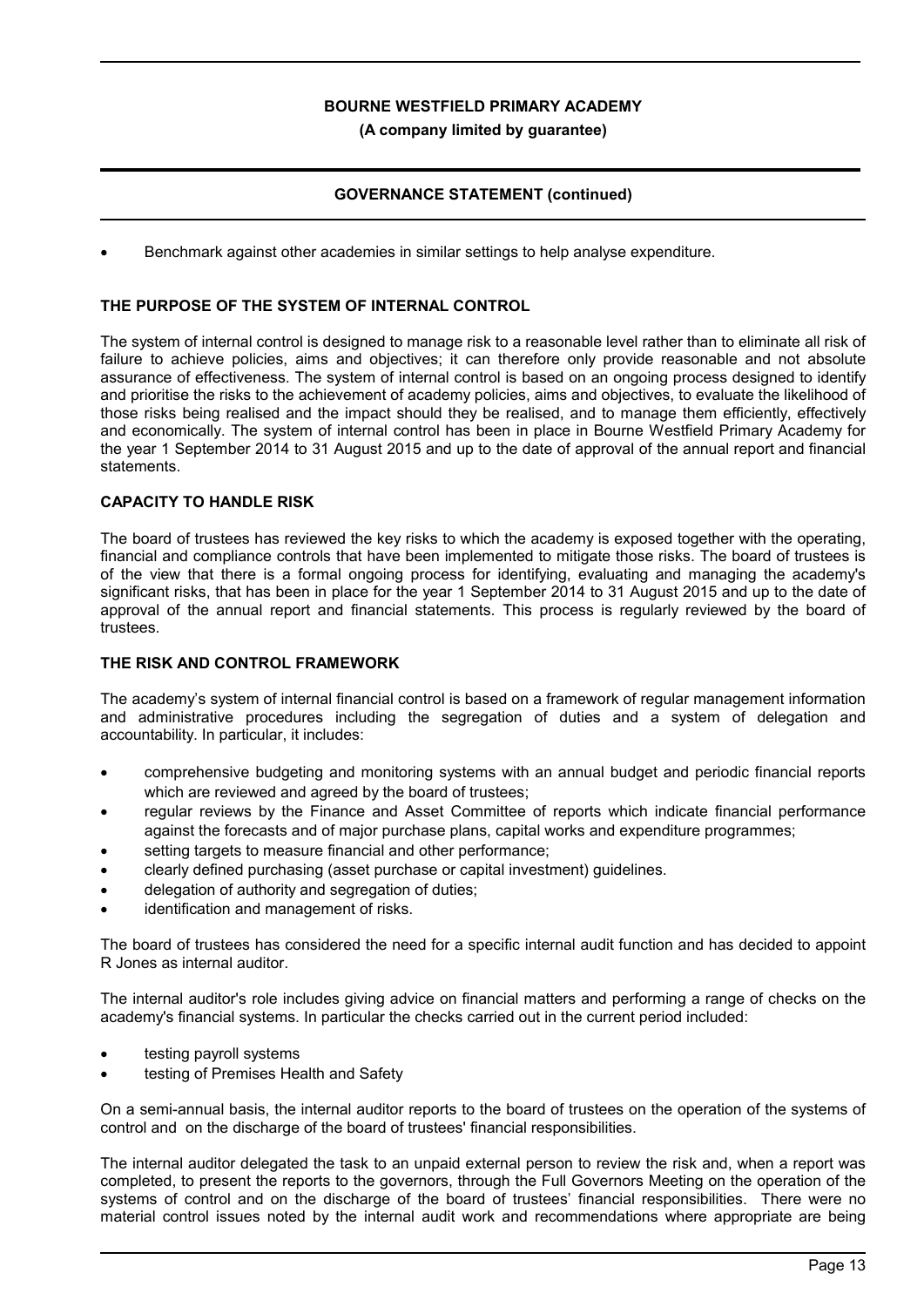**(A company limited by guarantee)**

## **GOVERNANCE STATEMENT (continued)**

Benchmark against other academies in similar settings to help analyse expenditure.

#### **THE PURPOSE OF THE SYSTEM OF INTERNAL CONTROL**

The system of internal control is designed to manage risk to a reasonable level rather than to eliminate all risk of failure to achieve policies, aims and objectives; it can therefore only provide reasonable and not absolute assurance of effectiveness. The system of internal control is based on an ongoing process designed to identify and prioritise the risks to the achievement of academy policies, aims and objectives, to evaluate the likelihood of those risks being realised and the impact should they be realised, and to manage them efficiently, effectively and economically. The system of internal control has been in place in Bourne Westfield Primary Academy for the year 1 September 2014 to 31 August 2015 and up to the date of approval of the annual report and financial statements.

#### **CAPACITY TO HANDLE RISK**

The board of trustees has reviewed the key risks to which the academy is exposed together with the operating, financial and compliance controls that have been implemented to mitigate those risks. The board of trustees is of the view that there is a formal ongoing process for identifying, evaluating and managing the academy's significant risks, that has been in place for the year 1 September 2014 to 31 August 2015 and up to the date of approval of the annual report and financial statements. This process is regularly reviewed by the board of trustees.

#### **THE RISK AND CONTROL FRAMEWORK**

The academy's system of internal financial control is based on a framework of regular management information and administrative procedures including the segregation of duties and a system of delegation and accountability. In particular, it includes:

- comprehensive budgeting and monitoring systems with an annual budget and periodic financial reports which are reviewed and agreed by the board of trustees;
- regular reviews by the Finance and Asset Committee of reports which indicate financial performance against the forecasts and of major purchase plans, capital works and expenditure programmes;
- setting targets to measure financial and other performance:
- clearly defined purchasing (asset purchase or capital investment) guidelines.
- delegation of authority and segregation of duties;
- identification and management of risks.

The board of trustees has considered the need for a specific internal audit function and has decided to appoint R Jones as internal auditor.

The internal auditor's role includes giving advice on financial matters and performing a range of checks on the academy's financial systems. In particular the checks carried out in the current period included:

- testing payroll systems
- testing of Premises Health and Safety

On a semi-annual basis, the internal auditor reports to the board of trustees on the operation of the systems of control and on the discharge of the board of trustees' financial responsibilities.

The internal auditor delegated the task to an unpaid external person to review the risk and, when a report was completed, to present the reports to the governors, through the Full Governors Meeting on the operation of the systems of control and on the discharge of the board of trustees' financial responsibilities. There were no material control issues noted by the internal audit work and recommendations where appropriate are being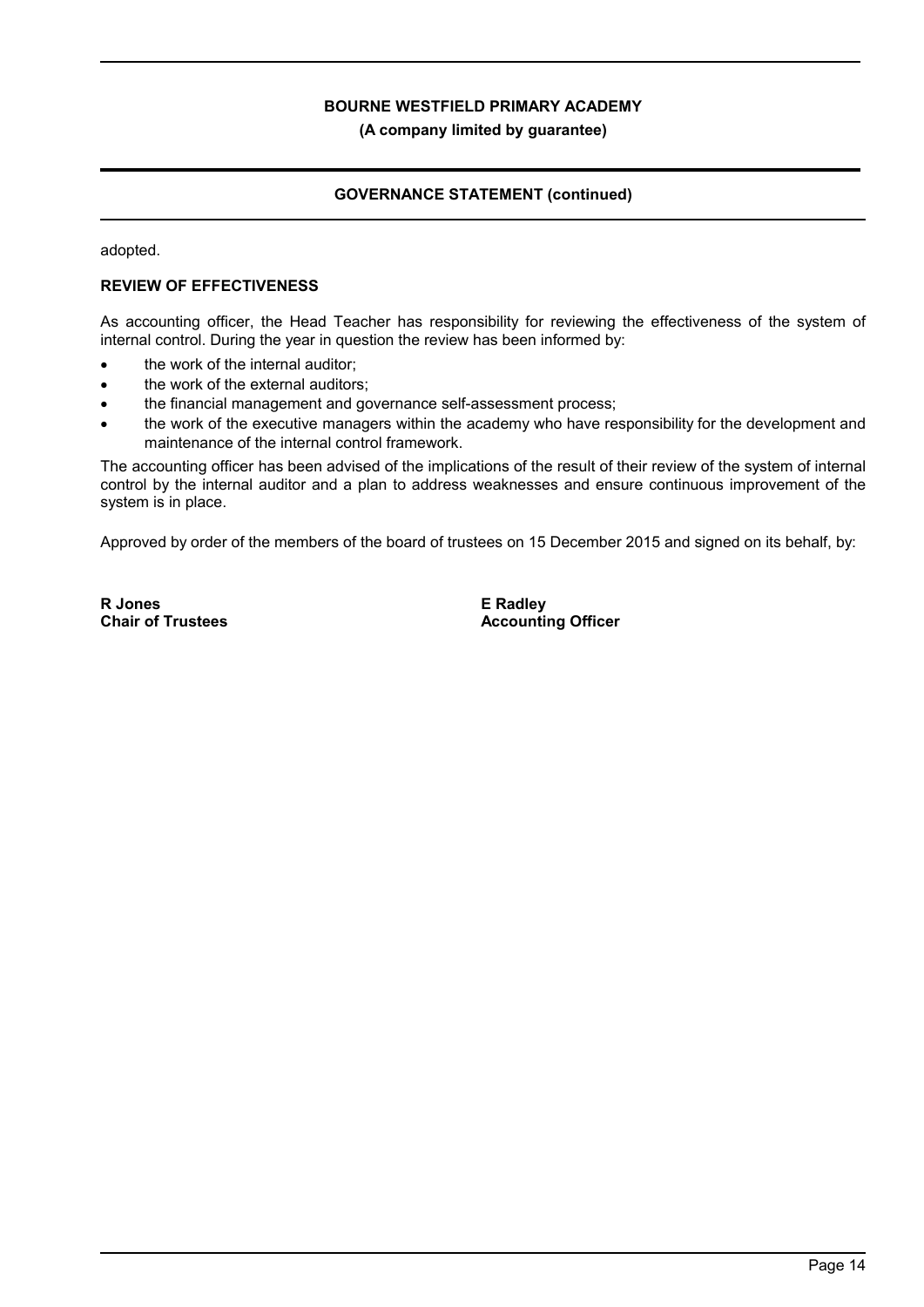**(A company limited by guarantee)**

## **GOVERNANCE STATEMENT (continued)**

adopted.

### **REVIEW OF EFFECTIVENESS**

As accounting officer, the Head Teacher has responsibility for reviewing the effectiveness of the system of internal control. During the year in question the review has been informed by:

- the work of the internal auditor;
- the work of the external auditors;
- the financial management and governance self-assessment process;
- the work of the executive managers within the academy who have responsibility for the development and maintenance of the internal control framework.

The accounting officer has been advised of the implications of the result of their review of the system of internal control by the internal auditor and a plan to address weaknesses and ensure continuous improvement of the system is in place.

Approved by order of the members of the board of trustees on 15 December 2015 and signed on its behalf, by:

**R Jones Chair of Trustees** **E Radley Accounting Officer**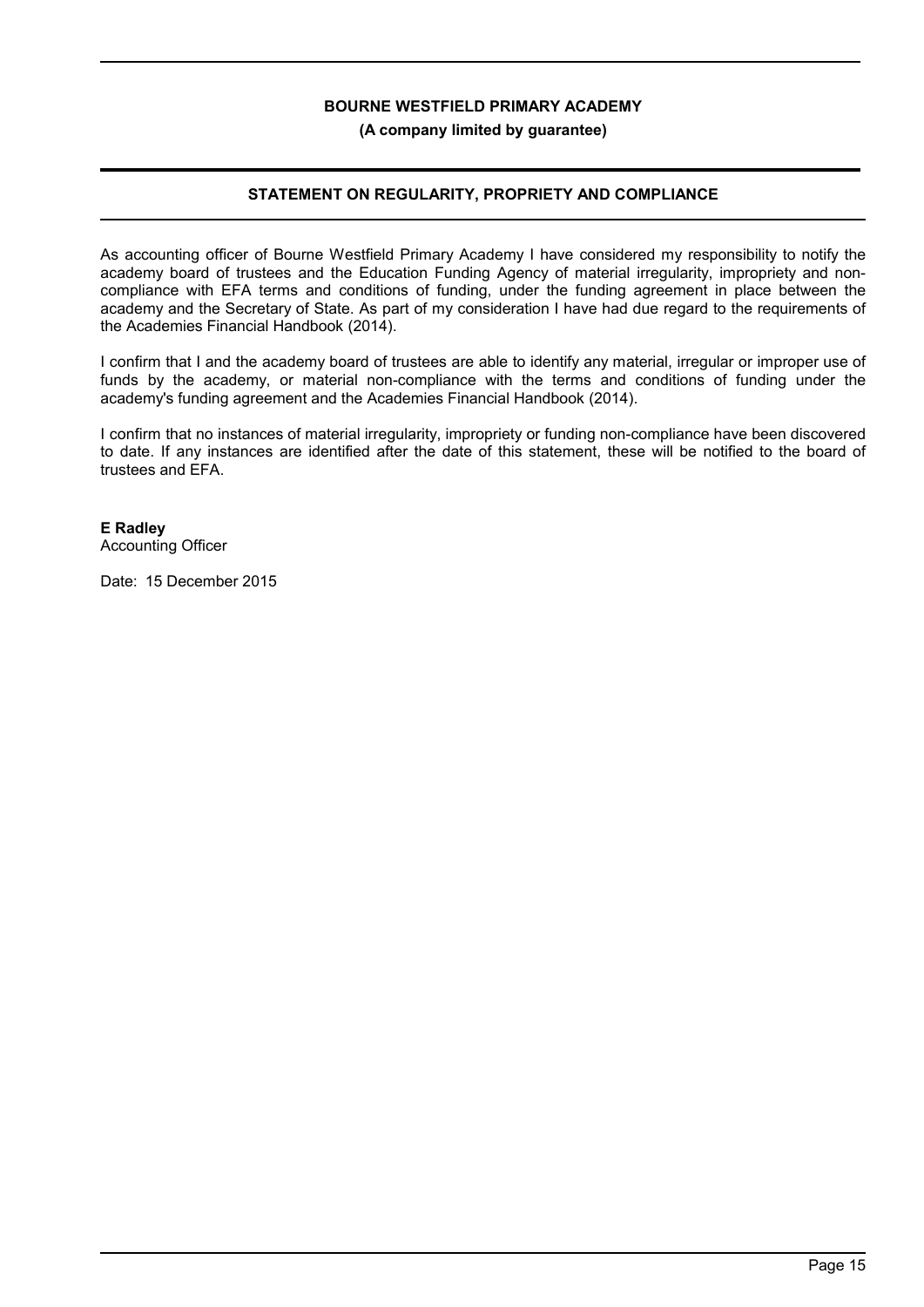**(A company limited by guarantee)**

## **STATEMENT ON REGULARITY, PROPRIETY AND COMPLIANCE**

As accounting officer of Bourne Westfield Primary Academy I have considered my responsibility to notify the academy board of trustees and the Education Funding Agency of material irregularity, impropriety and noncompliance with EFA terms and conditions of funding, under the funding agreement in place between the academy and the Secretary of State. As part of my consideration I have had due regard to the requirements of the Academies Financial Handbook (2014).

I confirm that I and the academy board of trustees are able to identify any material, irregular or improper use of funds by the academy, or material non-compliance with the terms and conditions of funding under the academy's funding agreement and the Academies Financial Handbook (2014).

I confirm that no instances of material irregularity, impropriety or funding non-compliance have been discovered to date. If any instances are identified after the date of this statement, these will be notified to the board of trustees and EFA.

**E Radley** Accounting Officer

Date: 15 December 2015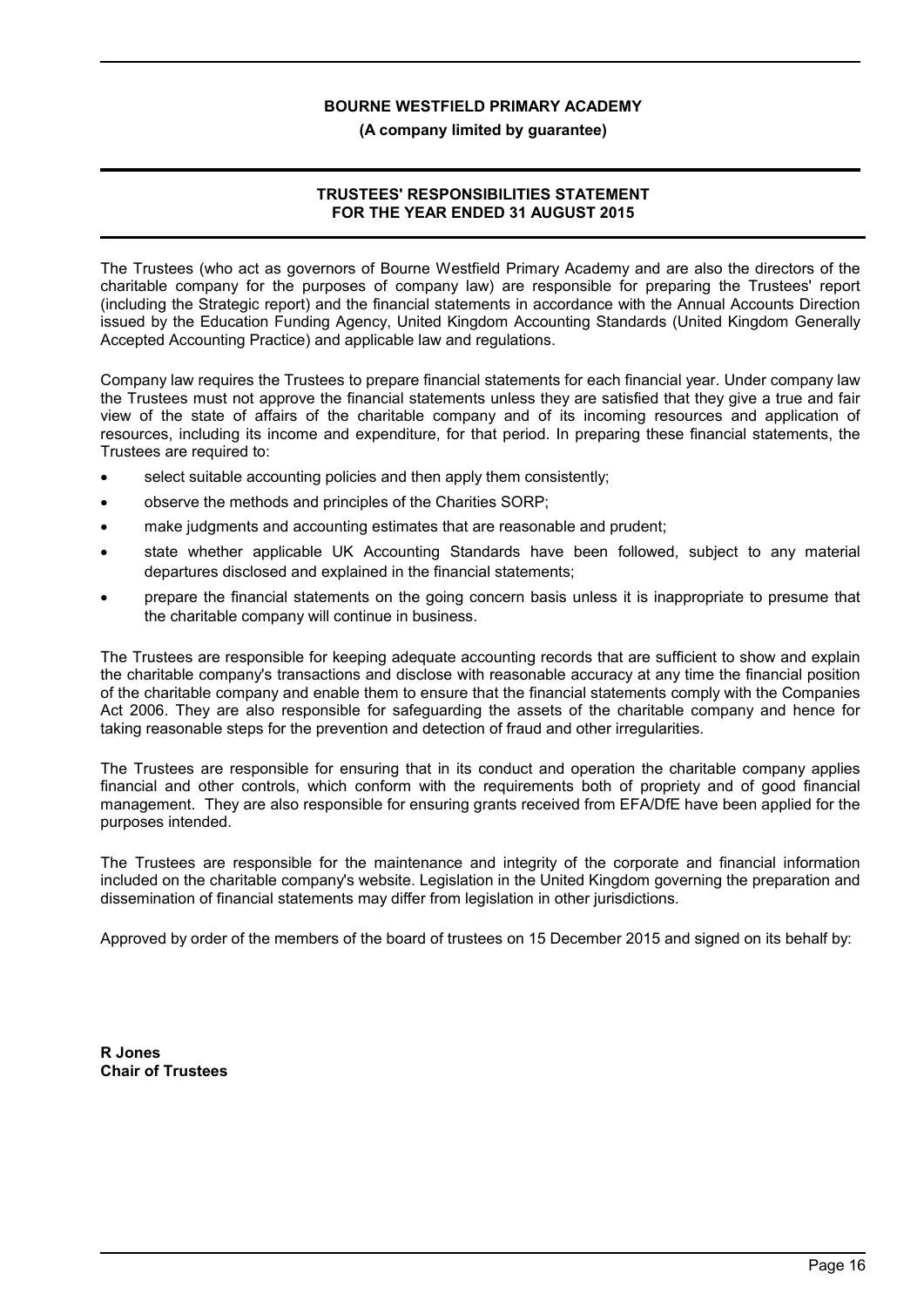#### **(A company limited by guarantee)**

## **TRUSTEES' RESPONSIBILITIES STATEMENT FOR THE YEAR ENDED 31 AUGUST 2015**

The Trustees (who act as governors of Bourne Westfield Primary Academy and are also the directors of the charitable company for the purposes of company law) are responsible for preparing the Trustees' report (including the Strategic report) and the financial statements in accordance with the Annual Accounts Direction issued by the Education Funding Agency, United Kingdom Accounting Standards (United Kingdom Generally Accepted Accounting Practice) and applicable law and regulations.

Company law requires the Trustees to prepare financial statements for each financial year. Under company law the Trustees must not approve the financial statements unless they are satisfied that they give a true and fair view of the state of affairs of the charitable company and of its incoming resources and application of resources, including its income and expenditure, for that period. In preparing these financial statements, the Trustees are required to:

- select suitable accounting policies and then apply them consistently;
- observe the methods and principles of the Charities SORP;
- make judgments and accounting estimates that are reasonable and prudent;
- state whether applicable UK Accounting Standards have been followed, subject to any material departures disclosed and explained in the financial statements;
- prepare the financial statements on the going concern basis unless it is inappropriate to presume that the charitable company will continue in business.

The Trustees are responsible for keeping adequate accounting records that are sufficient to show and explain the charitable company's transactions and disclose with reasonable accuracy at any time the financial position of the charitable company and enable them to ensure that the financial statements comply with the Companies Act 2006. They are also responsible for safeguarding the assets of the charitable company and hence for taking reasonable steps for the prevention and detection of fraud and other irregularities.

The Trustees are responsible for ensuring that in its conduct and operation the charitable company applies financial and other controls, which conform with the requirements both of propriety and of good financial management. They are also responsible for ensuring grants received from EFA/DfE have been applied for the purposes intended.

The Trustees are responsible for the maintenance and integrity of the corporate and financial information included on the charitable company's website. Legislation in the United Kingdom governing the preparation and dissemination of financial statements may differ from legislation in other jurisdictions.

Approved by order of the members of the board of trustees on 15 December 2015 and signed on its behalf by:

**R Jones Chair of Trustees**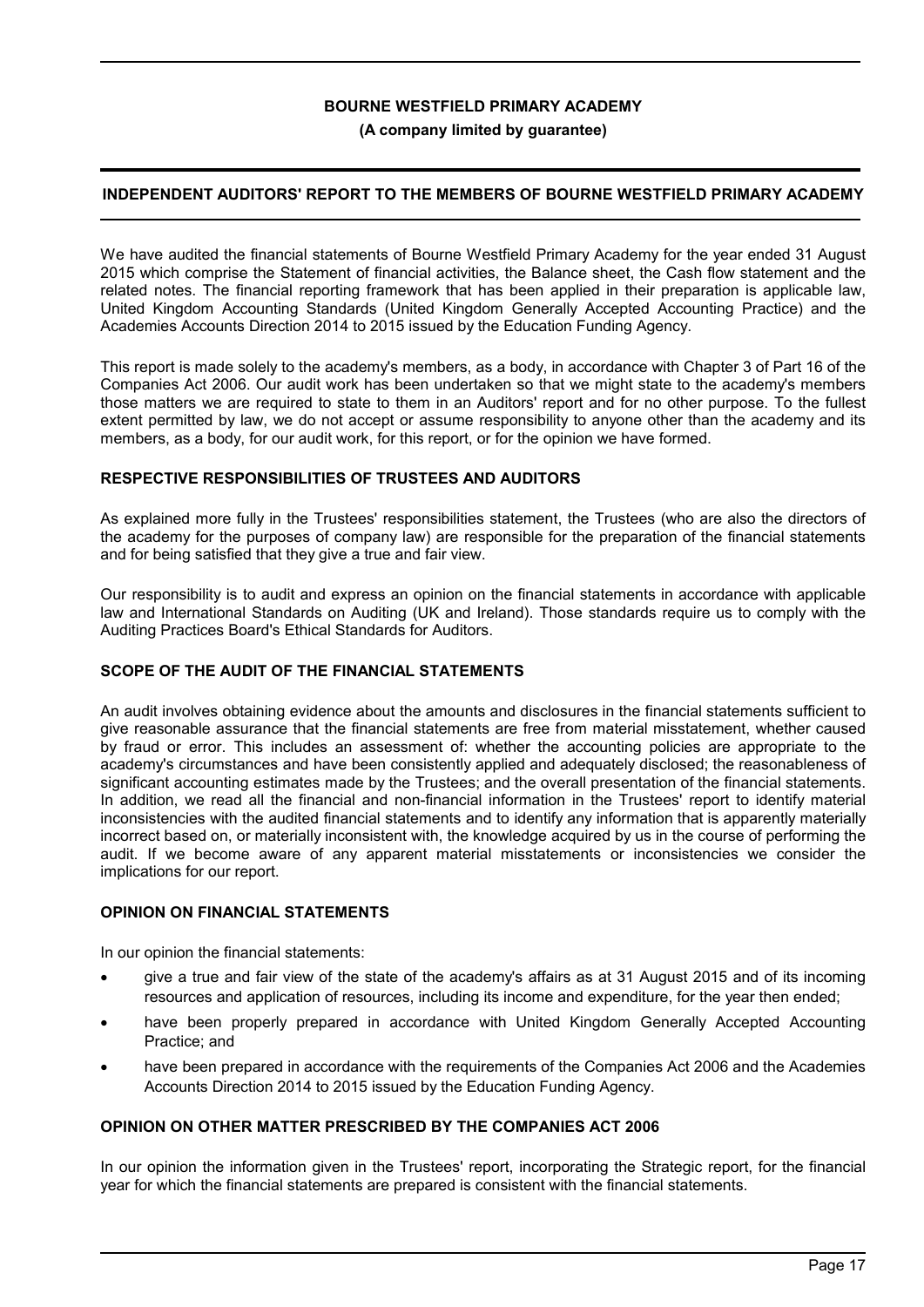#### **(A company limited by guarantee)**

## **INDEPENDENT AUDITORS' REPORT TO THE MEMBERS OF BOURNE WESTFIELD PRIMARY ACADEMY**

We have audited the financial statements of Bourne Westfield Primary Academy for the year ended 31 August 2015 which comprise the Statement of financial activities, the Balance sheet, the Cash flow statement and the related notes. The financial reporting framework that has been applied in their preparation is applicable law, United Kingdom Accounting Standards (United Kingdom Generally Accepted Accounting Practice) and the Academies Accounts Direction 2014 to 2015 issued by the Education Funding Agency.

This report is made solely to the academy's members, as a body, in accordance with Chapter 3 of Part 16 of the Companies Act 2006. Our audit work has been undertaken so that we might state to the academy's members those matters we are required to state to them in an Auditors' report and for no other purpose. To the fullest extent permitted by law, we do not accept or assume responsibility to anyone other than the academy and its members, as a body, for our audit work, for this report, or for the opinion we have formed.

#### **RESPECTIVE RESPONSIBILITIES OF TRUSTEES AND AUDITORS**

As explained more fully in the Trustees' responsibilities statement, the Trustees (who are also the directors of the academy for the purposes of company law) are responsible for the preparation of the financial statements and for being satisfied that they give a true and fair view.

Our responsibility is to audit and express an opinion on the financial statements in accordance with applicable law and International Standards on Auditing (UK and Ireland). Those standards require us to comply with the Auditing Practices Board's Ethical Standards for Auditors.

#### **SCOPE OF THE AUDIT OF THE FINANCIAL STATEMENTS**

An audit involves obtaining evidence about the amounts and disclosures in the financial statements sufficient to give reasonable assurance that the financial statements are free from material misstatement, whether caused by fraud or error. This includes an assessment of: whether the accounting policies are appropriate to the academy's circumstances and have been consistently applied and adequately disclosed; the reasonableness of significant accounting estimates made by the Trustees; and the overall presentation of the financial statements. In addition, we read all the financial and non-financial information in the Trustees' report to identify material inconsistencies with the audited financial statements and to identify any information that is apparently materially incorrect based on, or materially inconsistent with, the knowledge acquired by us in the course of performing the audit. If we become aware of any apparent material misstatements or inconsistencies we consider the implications for our report.

#### **OPINION ON FINANCIAL STATEMENTS**

In our opinion the financial statements:

- give a true and fair view of the state of the academy's affairs as at 31 August 2015 and of its incoming resources and application of resources, including its income and expenditure, for the year then ended;
- have been properly prepared in accordance with United Kingdom Generally Accepted Accounting Practice; and
- have been prepared in accordance with the requirements of the Companies Act 2006 and the Academies Accounts Direction 2014 to 2015 issued by the Education Funding Agency.

#### **OPINION ON OTHER MATTER PRESCRIBED BY THE COMPANIES ACT 2006**

In our opinion the information given in the Trustees' report, incorporating the Strategic report, for the financial year for which the financial statements are prepared is consistent with the financial statements.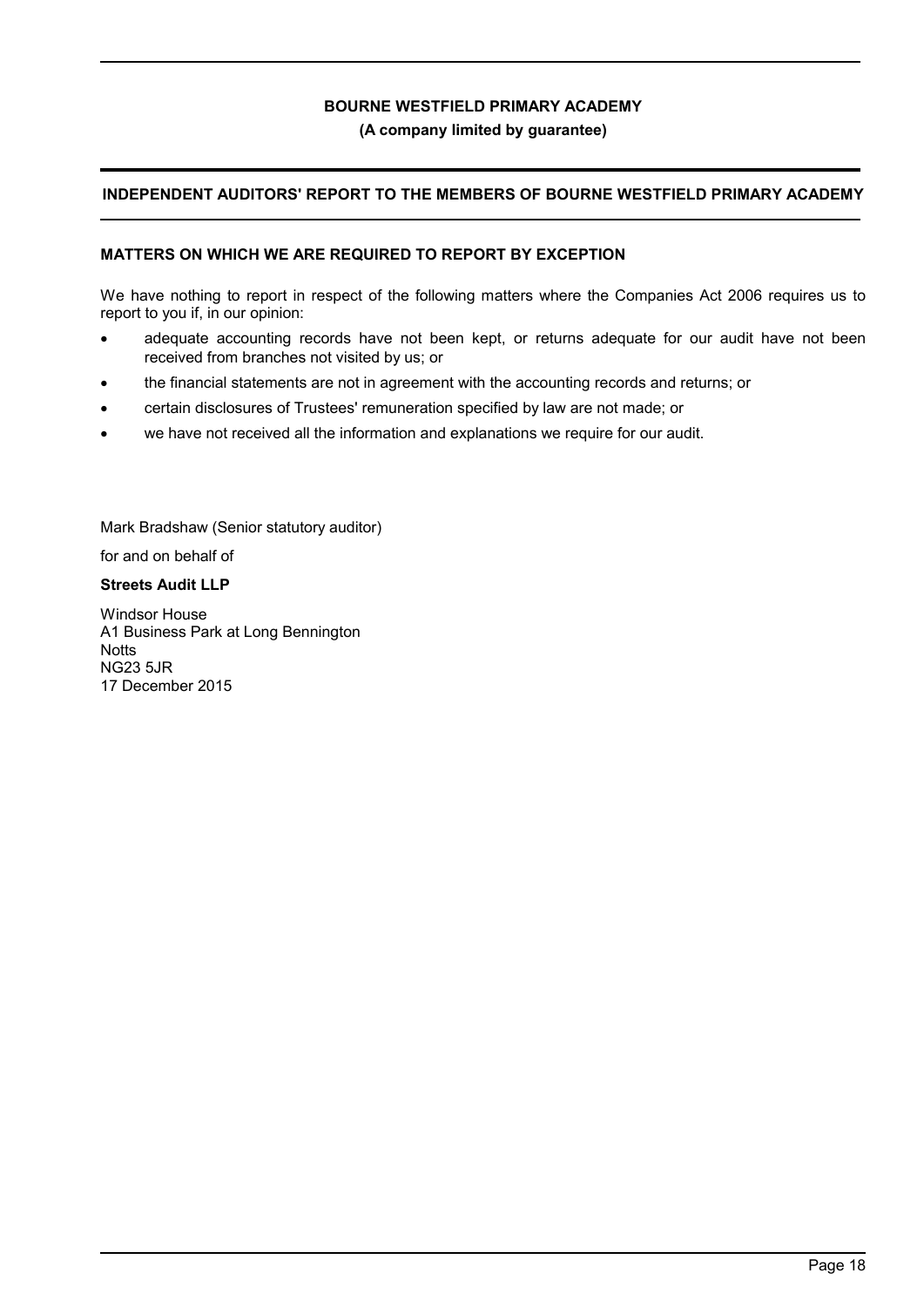**(A company limited by guarantee)**

## **INDEPENDENT AUDITORS' REPORT TO THE MEMBERS OF BOURNE WESTFIELD PRIMARY ACADEMY**

#### **MATTERS ON WHICH WE ARE REQUIRED TO REPORT BY EXCEPTION**

We have nothing to report in respect of the following matters where the Companies Act 2006 requires us to report to you if, in our opinion:

- adequate accounting records have not been kept, or returns adequate for our audit have not been received from branches not visited by us; or
- the financial statements are not in agreement with the accounting records and returns; or
- certain disclosures of Trustees' remuneration specified by law are not made; or Ī
- we have not received all the information and explanations we require for our audit.

Mark Bradshaw (Senior statutory auditor)

for and on behalf of

**Streets Audit LLP**

Windsor House A1 Business Park at Long Bennington **Notts** NG23 5JR 17 December 2015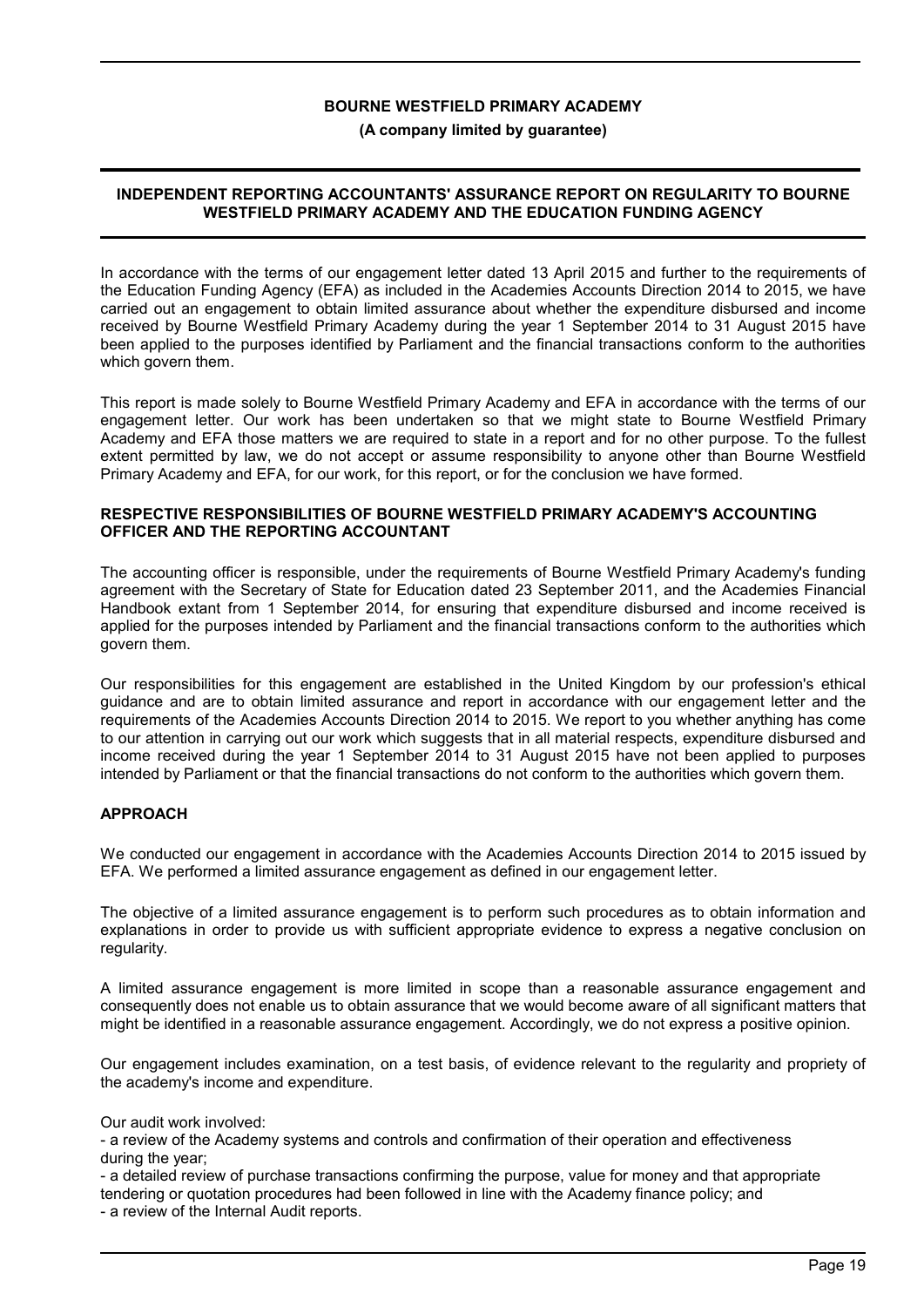#### **(A company limited by guarantee)**

#### **INDEPENDENT REPORTING ACCOUNTANTS' ASSURANCE REPORT ON REGULARITY TO BOURNE WESTFIELD PRIMARY ACADEMY AND THE EDUCATION FUNDING AGENCY**

In accordance with the terms of our engagement letter dated 13 April 2015 and further to the requirements of the Education Funding Agency (EFA) as included in the Academies Accounts Direction 2014 to 2015, we have carried out an engagement to obtain limited assurance about whether the expenditure disbursed and income received by Bourne Westfield Primary Academy during the year 1 September 2014 to 31 August 2015 have been applied to the purposes identified by Parliament and the financial transactions conform to the authorities which govern them.

This report is made solely to Bourne Westfield Primary Academy and EFA in accordance with the terms of our engagement letter. Our work has been undertaken so that we might state to Bourne Westfield Primary Academy and EFA those matters we are required to state in a report and for no other purpose. To the fullest extent permitted by law, we do not accept or assume responsibility to anyone other than Bourne Westfield Primary Academy and EFA, for our work, for this report, or for the conclusion we have formed.

#### **RESPECTIVE RESPONSIBILITIES OF BOURNE WESTFIELD PRIMARY ACADEMY'S ACCOUNTING OFFICER AND THE REPORTING ACCOUNTANT**

The accounting officer is responsible, under the requirements of Bourne Westfield Primary Academy's funding agreement with the Secretary of State for Education dated 23 September 2011, and the Academies Financial Handbook extant from 1 September 2014, for ensuring that expenditure disbursed and income received is applied for the purposes intended by Parliament and the financial transactions conform to the authorities which govern them.

Our responsibilities for this engagement are established in the United Kingdom by our profession's ethical guidance and are to obtain limited assurance and report in accordance with our engagement letter and the requirements of the Academies Accounts Direction 2014 to 2015. We report to you whether anything has come to our attention in carrying out our work which suggests that in all material respects, expenditure disbursed and income received during the year 1 September 2014 to 31 August 2015 have not been applied to purposes intended by Parliament or that the financial transactions do not conform to the authorities which govern them.

#### **APPROACH**

We conducted our engagement in accordance with the Academies Accounts Direction 2014 to 2015 issued by EFA. We performed a limited assurance engagement as defined in our engagement letter.

The objective of a limited assurance engagement is to perform such procedures as to obtain information and explanations in order to provide us with sufficient appropriate evidence to express a negative conclusion on regularity.

A limited assurance engagement is more limited in scope than a reasonable assurance engagement and consequently does not enable us to obtain assurance that we would become aware of all significant matters that might be identified in a reasonable assurance engagement. Accordingly, we do not express a positive opinion.

Our engagement includes examination, on a test basis, of evidence relevant to the regularity and propriety of the academy's income and expenditure.

Our audit work involved:

- a review of the Academy systems and controls and confirmation of their operation and effectiveness during the year;

- a detailed review of purchase transactions confirming the purpose, value for money and that appropriate tendering or quotation procedures had been followed in line with the Academy finance policy; and - a review of the Internal Audit reports.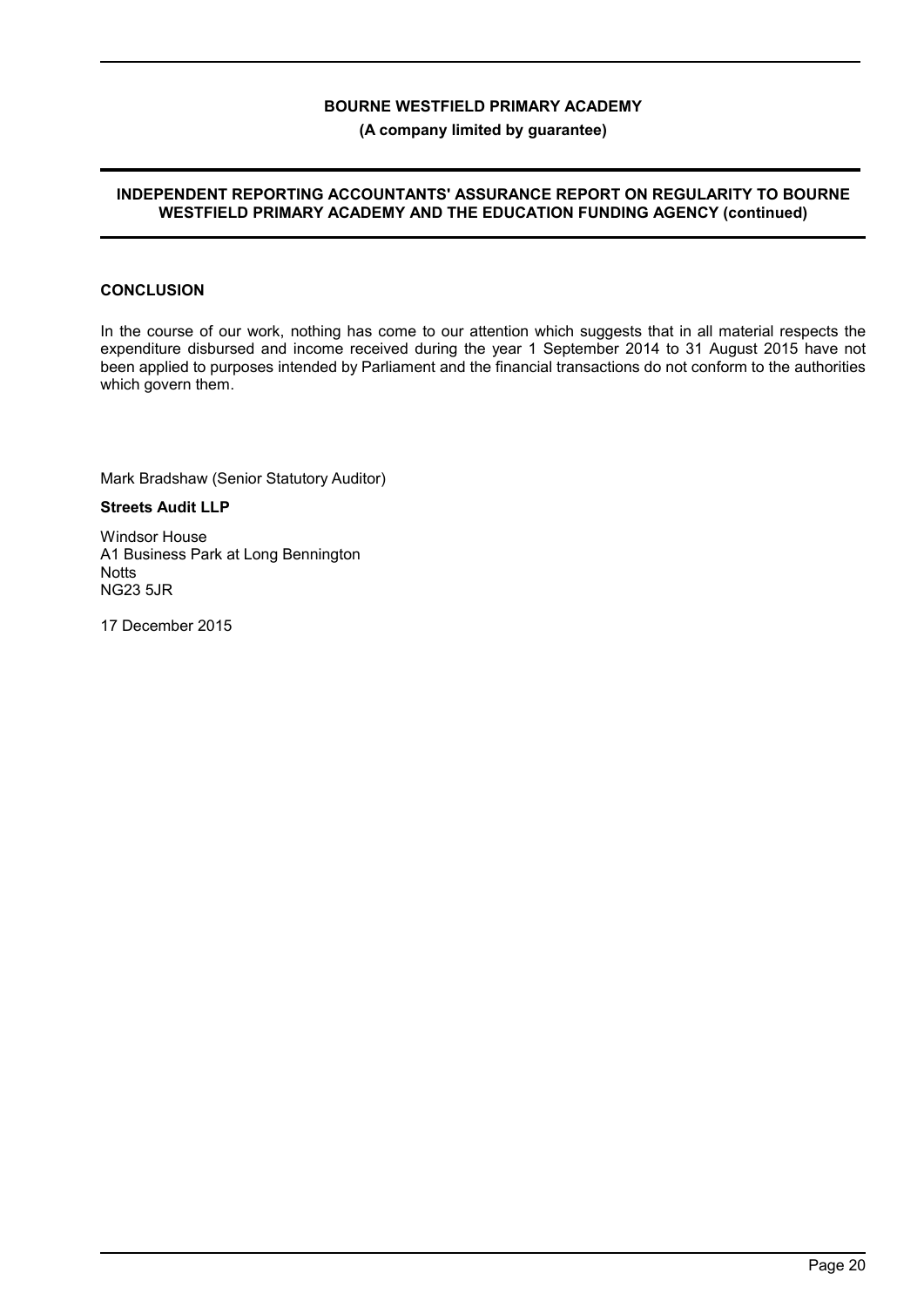#### **(A company limited by guarantee)**

### **INDEPENDENT REPORTING ACCOUNTANTS' ASSURANCE REPORT ON REGULARITY TO BOURNE WESTFIELD PRIMARY ACADEMY AND THE EDUCATION FUNDING AGENCY (continued)**

## **CONCLUSION**

In the course of our work, nothing has come to our attention which suggests that in all material respects the expenditure disbursed and income received during the year 1 September 2014 to 31 August 2015 have not been applied to purposes intended by Parliament and the financial transactions do not conform to the authorities which govern them.

Mark Bradshaw (Senior Statutory Auditor)

**Streets Audit LLP**

Windsor House A1 Business Park at Long Bennington **Notts** NG23 5JR

17 December 2015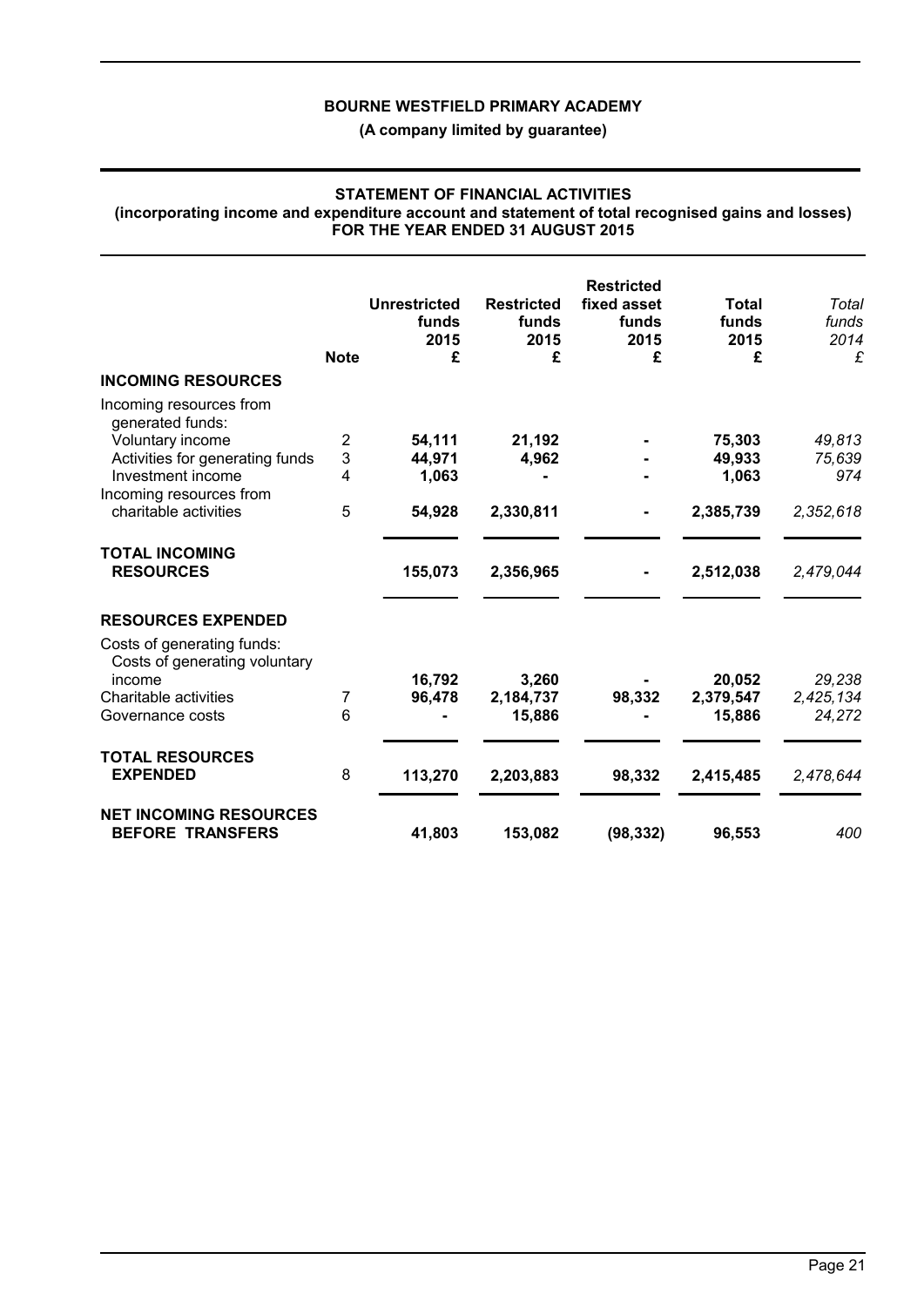**(A company limited by guarantee)**

#### **STATEMENT OF FINANCIAL ACTIVITIES (incorporating income and expenditure account and statement of total recognised gains and losses) FOR THE YEAR ENDED 31 AUGUST 2015**

|                                                                       | <b>Note</b> | <b>Unrestricted</b><br>funds<br>2015<br>£ | <b>Restricted</b><br>funds<br>2015<br>£ | <b>Restricted</b><br>fixed asset<br>funds<br>2015<br>£ | <b>Total</b><br>funds<br>2015<br>£ | Total<br>funds<br>2014<br>£ |
|-----------------------------------------------------------------------|-------------|-------------------------------------------|-----------------------------------------|--------------------------------------------------------|------------------------------------|-----------------------------|
| <b>INCOMING RESOURCES</b>                                             |             |                                           |                                         |                                                        |                                    |                             |
| Incoming resources from<br>generated funds:                           |             |                                           |                                         |                                                        |                                    |                             |
| Voluntary income                                                      | 2           | 54,111                                    | 21,192                                  |                                                        | 75,303                             | 49,813                      |
| Activities for generating funds                                       | 3           | 44,971                                    | 4,962                                   |                                                        | 49,933                             | 75,639                      |
| Investment income<br>Incoming resources from                          | 4           | 1,063                                     |                                         |                                                        | 1,063                              | 974                         |
| charitable activities                                                 | 5           | 54,928                                    | 2,330,811                               |                                                        | 2,385,739                          | 2,352,618                   |
| <b>TOTAL INCOMING</b><br><b>RESOURCES</b>                             |             | 155,073                                   | 2,356,965                               |                                                        | 2,512,038                          | 2,479,044                   |
| <b>RESOURCES EXPENDED</b>                                             |             |                                           |                                         |                                                        |                                    |                             |
| Costs of generating funds:<br>Costs of generating voluntary<br>income |             | 16,792                                    | 3,260                                   |                                                        | 20,052                             | 29,238                      |
| Charitable activities                                                 | 7           | 96,478                                    | 2,184,737                               | 98,332                                                 | 2,379,547                          | 2,425,134                   |
| Governance costs                                                      | 6           |                                           | 15,886                                  |                                                        | 15,886                             | 24,272                      |
| <b>TOTAL RESOURCES</b><br><b>EXPENDED</b>                             | 8           | 113,270                                   | 2,203,883                               | 98,332                                                 | 2,415,485                          | 2,478,644                   |
| <b>NET INCOMING RESOURCES</b><br><b>BEFORE TRANSFERS</b>              |             | 41,803                                    | 153,082                                 | (98, 332)                                              | 96,553                             | 400                         |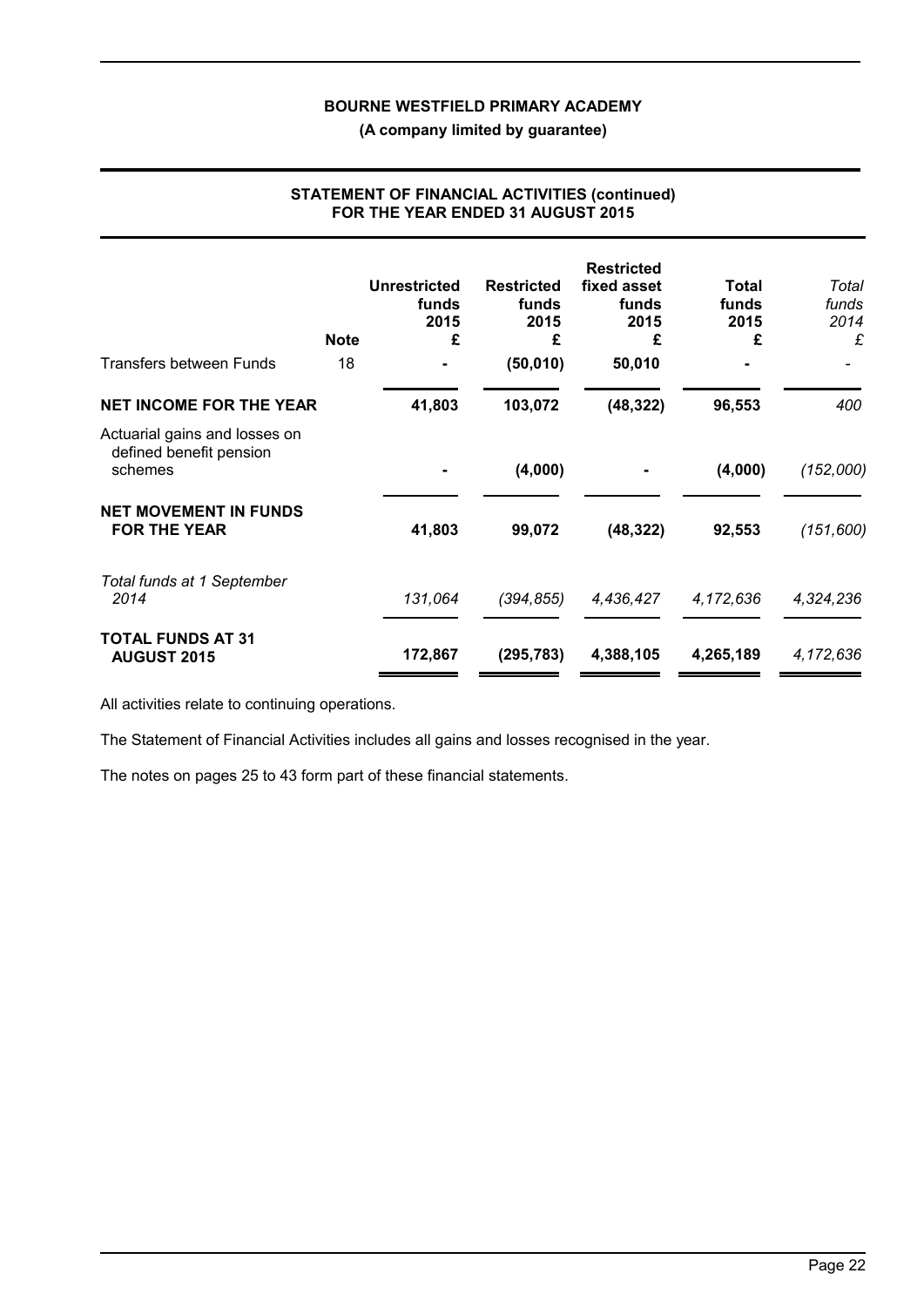**(A company limited by guarantee)**

| Transfers between Funds                                             | <b>Note</b><br>18 | <b>Unrestricted</b><br>funds<br>2015<br>£ | <b>Restricted</b><br>funds<br>2015<br>£<br>(50, 010) | <b>Restricted</b><br>fixed asset<br>funds<br>2015<br>£<br>50,010 | Total<br>funds<br>2015<br>£ | Total<br>funds<br>2014<br>£ |
|---------------------------------------------------------------------|-------------------|-------------------------------------------|------------------------------------------------------|------------------------------------------------------------------|-----------------------------|-----------------------------|
| <b>NET INCOME FOR THE YEAR</b>                                      |                   | 41,803                                    | 103,072                                              | (48, 322)                                                        | 96,553                      | 400                         |
|                                                                     |                   |                                           |                                                      |                                                                  |                             |                             |
| Actuarial gains and losses on<br>defined benefit pension<br>schemes |                   |                                           | (4,000)                                              |                                                                  | (4,000)                     | (152,000)                   |
| <b>NET MOVEMENT IN FUNDS</b><br><b>FOR THE YEAR</b>                 |                   | 41,803                                    | 99,072                                               | (48, 322)                                                        | 92,553                      | (151, 600)                  |
| Total funds at 1 September<br>2014                                  |                   | 131,064                                   | (394,855)                                            | 4,436,427                                                        | 4,172,636                   | 4,324,236                   |
| <b>TOTAL FUNDS AT 31</b><br><b>AUGUST 2015</b>                      |                   | 172,867                                   | (295, 783)                                           | 4,388,105                                                        | 4,265,189                   | 4,172,636                   |

#### **STATEMENT OF FINANCIAL ACTIVITIES (continued) FOR THE YEAR ENDED 31 AUGUST 2015**

All activities relate to continuing operations.

The Statement of Financial Activities includes all gains and losses recognised in the year.

The notes on pages 25 to 43 form part of these financial statements.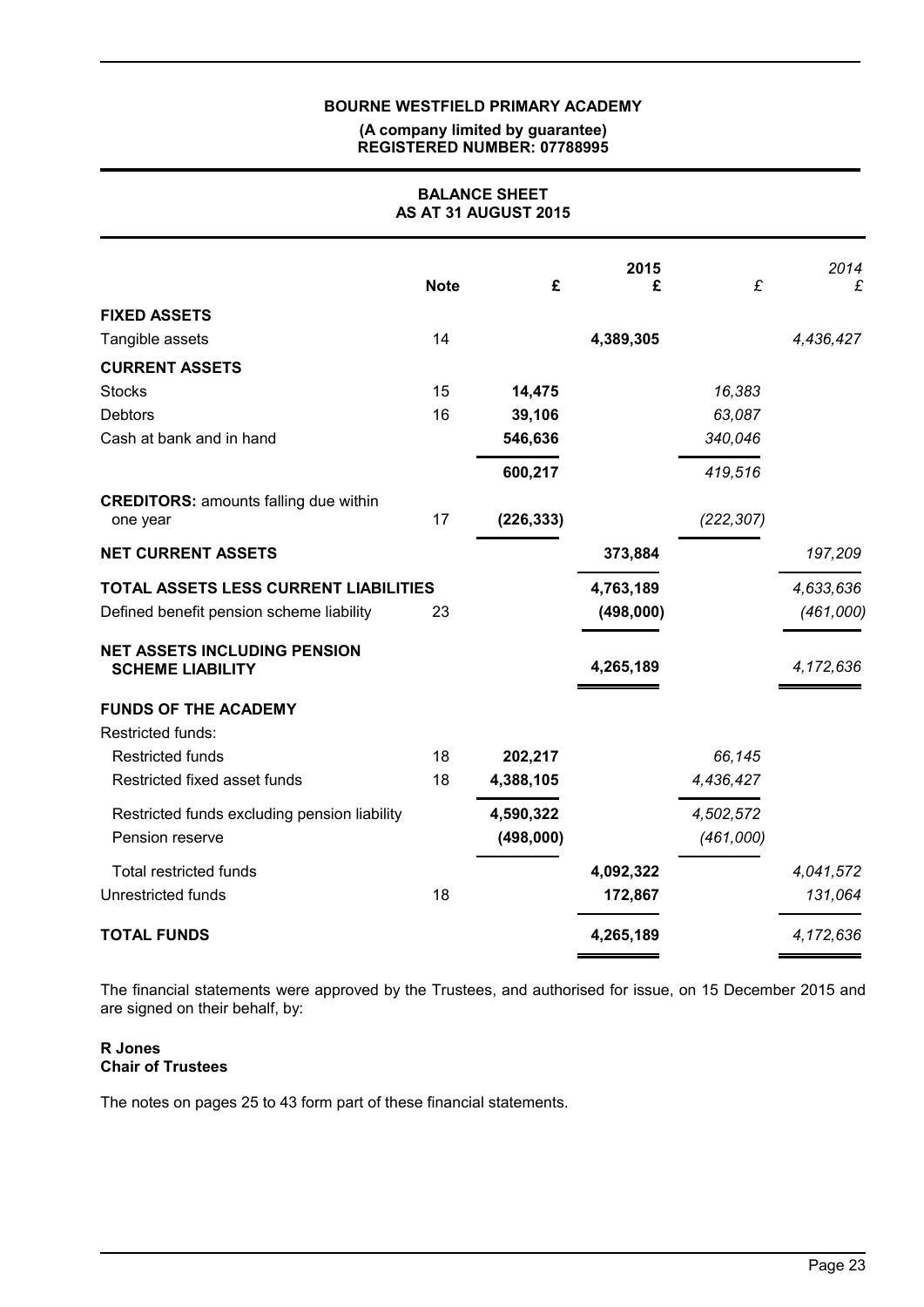### **(A company limited by guarantee) REGISTERED NUMBER: 07788995**

|                                                                |             | <b>BALANCE SHEET</b><br>AS AT 31 AUGUST 2015 |           |            |           |
|----------------------------------------------------------------|-------------|----------------------------------------------|-----------|------------|-----------|
|                                                                | <b>Note</b> | £                                            | 2015<br>£ | £          | 2014<br>£ |
| <b>FIXED ASSETS</b>                                            |             |                                              |           |            |           |
| Tangible assets                                                | 14          |                                              | 4,389,305 |            | 4,436,427 |
| <b>CURRENT ASSETS</b>                                          |             |                                              |           |            |           |
| <b>Stocks</b>                                                  | 15          | 14,475                                       |           | 16,383     |           |
| <b>Debtors</b>                                                 | 16          | 39,106                                       |           | 63,087     |           |
| Cash at bank and in hand                                       |             | 546,636                                      |           | 340,046    |           |
|                                                                |             | 600,217                                      |           | 419,516    |           |
| <b>CREDITORS: amounts falling due within</b><br>one year       | 17          | (226, 333)                                   |           | (222, 307) |           |
| <b>NET CURRENT ASSETS</b>                                      |             |                                              | 373,884   |            | 197,209   |
| <b>TOTAL ASSETS LESS CURRENT LIABILITIES</b>                   |             |                                              | 4,763,189 |            | 4,633,636 |
| Defined benefit pension scheme liability                       | 23          |                                              | (498,000) |            | (461,000) |
| <b>NET ASSETS INCLUDING PENSION</b><br><b>SCHEME LIABILITY</b> |             |                                              | 4,265,189 |            | 4,172,636 |
| <b>FUNDS OF THE ACADEMY</b>                                    |             |                                              |           |            |           |
| Restricted funds:                                              |             |                                              |           |            |           |
| <b>Restricted funds</b>                                        | 18          | 202,217                                      |           | 66,145     |           |
| Restricted fixed asset funds                                   | 18          | 4,388,105                                    |           | 4,436,427  |           |
| Restricted funds excluding pension liability                   |             | 4,590,322                                    |           | 4,502,572  |           |
| Pension reserve                                                |             | (498,000)                                    |           | (461,000)  |           |
| <b>Total restricted funds</b>                                  |             |                                              | 4,092,322 |            | 4,041,572 |
| Unrestricted funds                                             | 18          |                                              | 172,867   |            | 131,064   |
| <b>TOTAL FUNDS</b>                                             |             |                                              | 4,265,189 |            | 4,172,636 |

The financial statements were approved by the Trustees, and authorised for issue, on 15 December 2015 and are signed on their behalf, by:

#### **R Jones Chair of Trustees**

The notes on pages 25 to 43 form part of these financial statements.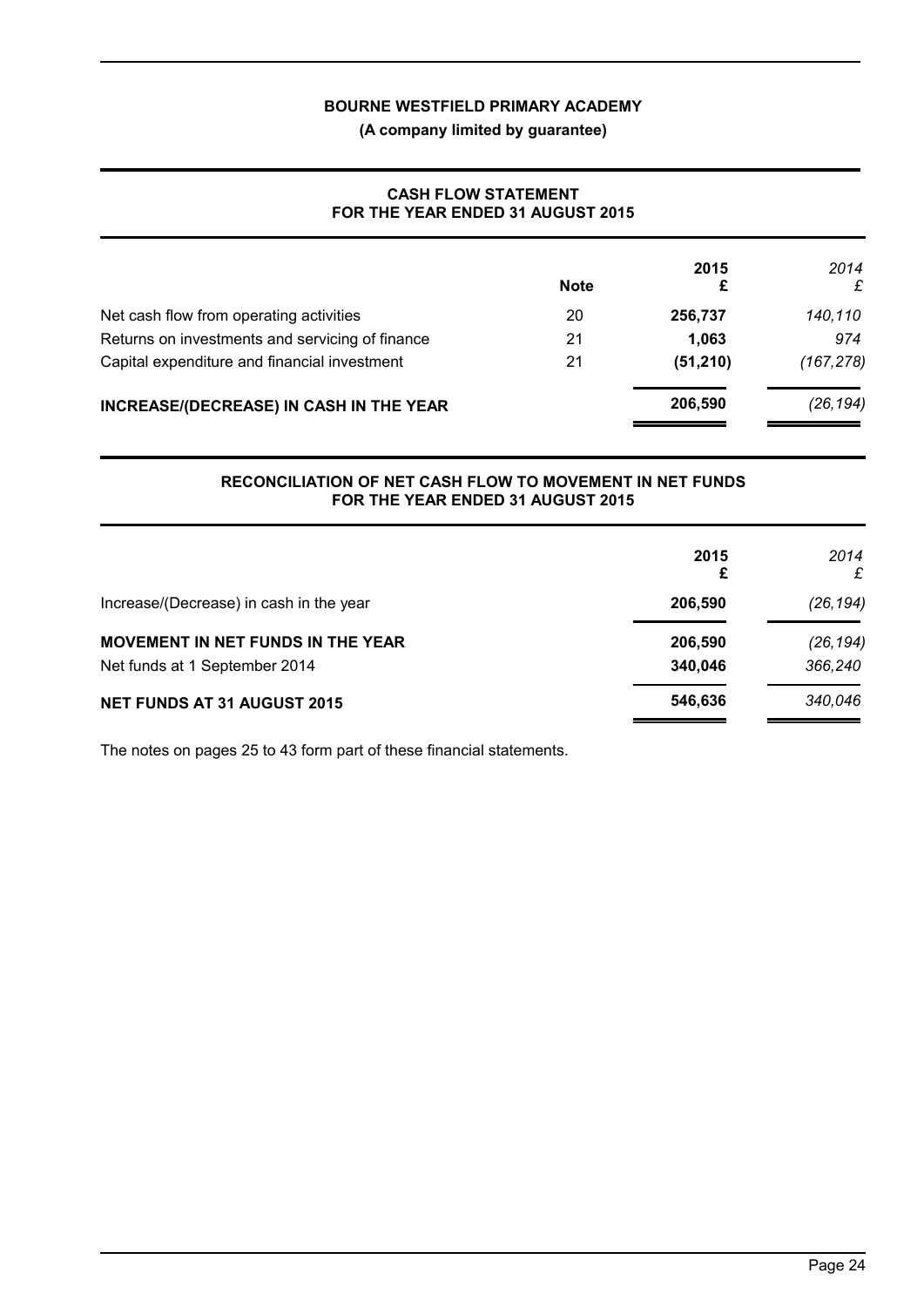**(A company limited by guarantee)**

## **CASH FLOW STATEMENT FOR THE YEAR ENDED 31 AUGUST 2015**

|                                                 | <b>Note</b> | 2015<br>£ | 2014<br>£  |
|-------------------------------------------------|-------------|-----------|------------|
| Net cash flow from operating activities         | 20          | 256,737   | 140,110    |
| Returns on investments and servicing of finance | 21          | 1.063     | 974        |
| Capital expenditure and financial investment    | 21          | (51, 210) | (167, 278) |
| INCREASE/(DECREASE) IN CASH IN THE YEAR         |             | 206,590   | (26, 194)  |

### **RECONCILIATION OF NET CASH FLOW TO MOVEMENT IN NET FUNDS FOR THE YEAR ENDED 31 AUGUST 2015**

|                                          | 2015<br>£ | 2014<br>£ |
|------------------------------------------|-----------|-----------|
| Increase/(Decrease) in cash in the year  | 206,590   | (26, 194) |
| <b>MOVEMENT IN NET FUNDS IN THE YEAR</b> | 206,590   | (26, 194) |
| Net funds at 1 September 2014            | 340,046   | 366,240   |
| <b>NET FUNDS AT 31 AUGUST 2015</b>       | 546,636   | 340,046   |

The notes on pages 25 to 43 form part of these financial statements.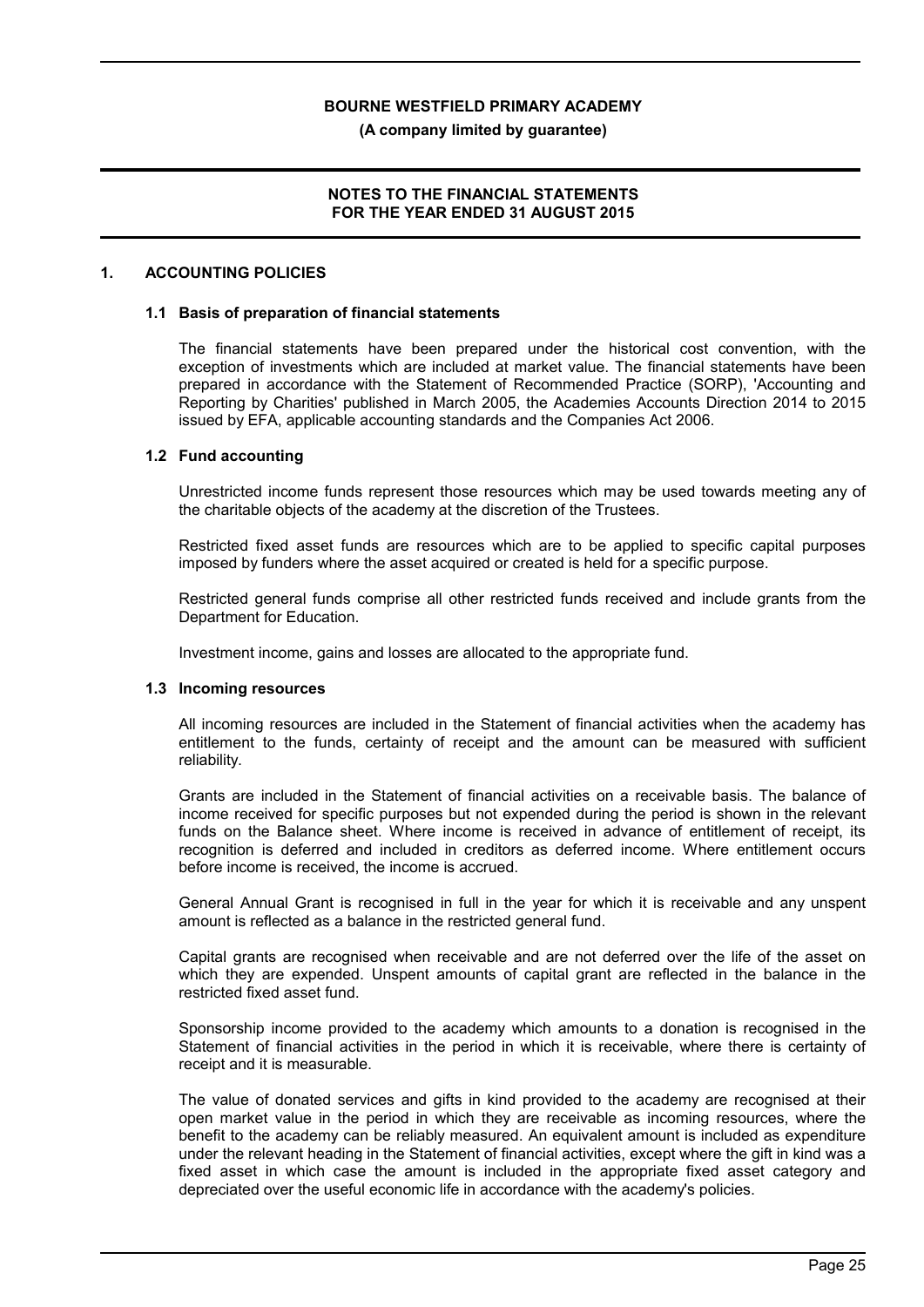**(A company limited by guarantee)**

### **NOTES TO THE FINANCIAL STATEMENTS FOR THE YEAR ENDED 31 AUGUST 2015**

#### **1. ACCOUNTING POLICIES**

#### **1.1 Basis of preparation of financial statements**

The financial statements have been prepared under the historical cost convention, with the exception of investments which are included at market value. The financial statements have been prepared in accordance with the Statement of Recommended Practice (SORP), 'Accounting and Reporting by Charities' published in March 2005, the Academies Accounts Direction 2014 to 2015 issued by EFA, applicable accounting standards and the Companies Act 2006.

#### **1.2 Fund accounting**

Unrestricted income funds represent those resources which may be used towards meeting any of the charitable objects of the academy at the discretion of the Trustees.

Restricted fixed asset funds are resources which are to be applied to specific capital purposes imposed by funders where the asset acquired or created is held for a specific purpose.

Restricted general funds comprise all other restricted funds received and include grants from the Department for Education.

Investment income, gains and losses are allocated to the appropriate fund.

#### **1.3 Incoming resources**

All incoming resources are included in the Statement of financial activities when the academy has entitlement to the funds, certainty of receipt and the amount can be measured with sufficient reliability.

Grants are included in the Statement of financial activities on a receivable basis. The balance of income received for specific purposes but not expended during the period is shown in the relevant funds on the Balance sheet. Where income is received in advance of entitlement of receipt, its recognition is deferred and included in creditors as deferred income. Where entitlement occurs before income is received, the income is accrued.

General Annual Grant is recognised in full in the year for which it is receivable and any unspent amount is reflected as a balance in the restricted general fund.

Capital grants are recognised when receivable and are not deferred over the life of the asset on which they are expended. Unspent amounts of capital grant are reflected in the balance in the restricted fixed asset fund.

Sponsorship income provided to the academy which amounts to a donation is recognised in the Statement of financial activities in the period in which it is receivable, where there is certainty of receipt and it is measurable.

The value of donated services and gifts in kind provided to the academy are recognised at their open market value in the period in which they are receivable as incoming resources, where the benefit to the academy can be reliably measured. An equivalent amount is included as expenditure under the relevant heading in the Statement of financial activities, except where the gift in kind was a fixed asset in which case the amount is included in the appropriate fixed asset category and depreciated over the useful economic life in accordance with the academy's policies.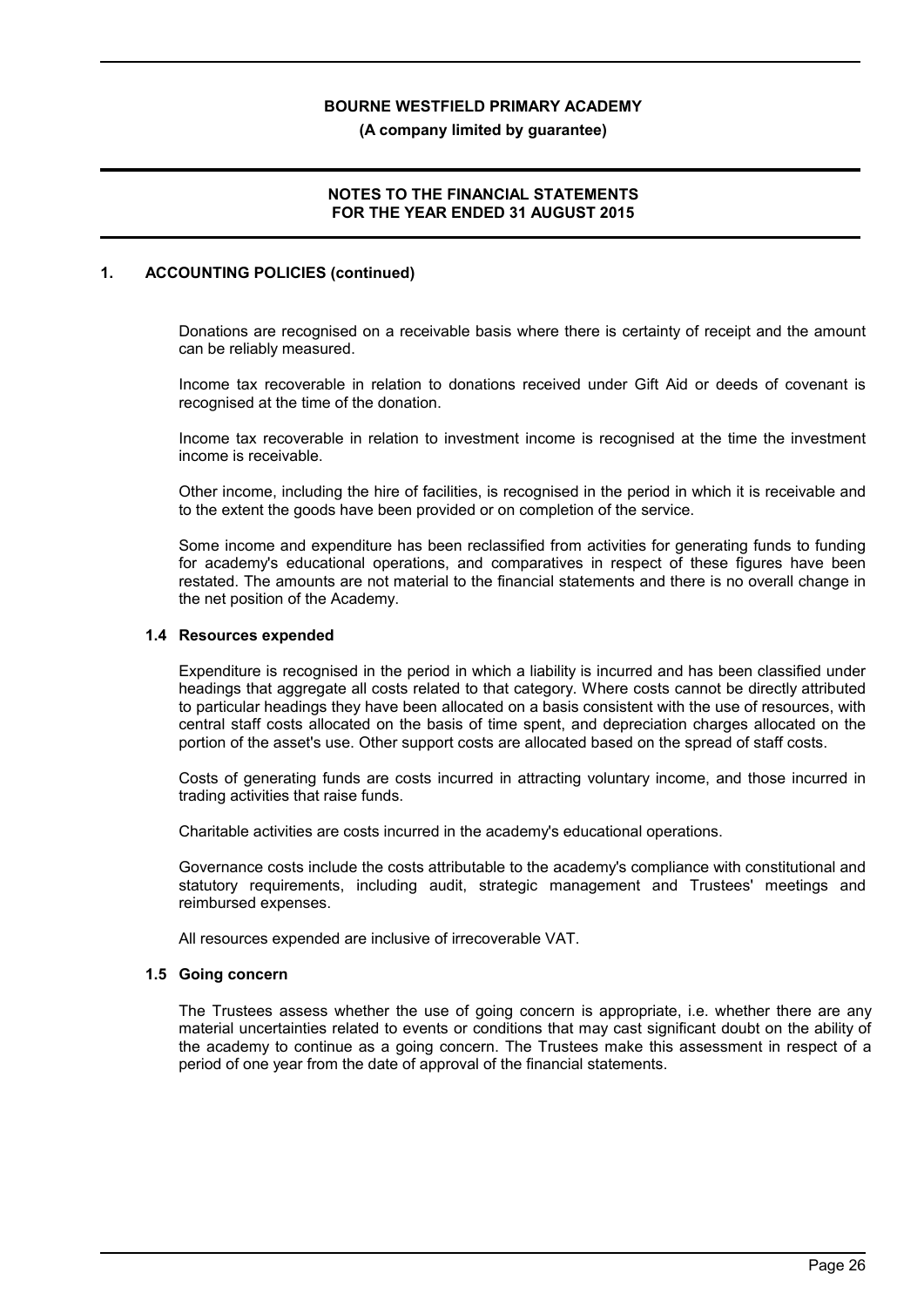**(A company limited by guarantee)**

## **NOTES TO THE FINANCIAL STATEMENTS FOR THE YEAR ENDED 31 AUGUST 2015**

#### **1. ACCOUNTING POLICIES (continued)**

Donations are recognised on a receivable basis where there is certainty of receipt and the amount can be reliably measured.

Income tax recoverable in relation to donations received under Gift Aid or deeds of covenant is recognised at the time of the donation.

Income tax recoverable in relation to investment income is recognised at the time the investment income is receivable.

Other income, including the hire of facilities, is recognised in the period in which it is receivable and to the extent the goods have been provided or on completion of the service.

Some income and expenditure has been reclassified from activities for generating funds to funding for academy's educational operations, and comparatives in respect of these figures have been restated. The amounts are not material to the financial statements and there is no overall change in the net position of the Academy.

#### **1.4 Resources expended**

Expenditure is recognised in the period in which a liability is incurred and has been classified under headings that aggregate all costs related to that category. Where costs cannot be directly attributed to particular headings they have been allocated on a basis consistent with the use of resources, with central staff costs allocated on the basis of time spent, and depreciation charges allocated on the portion of the asset's use. Other support costs are allocated based on the spread of staff costs.

Costs of generating funds are costs incurred in attracting voluntary income, and those incurred in trading activities that raise funds.

Charitable activities are costs incurred in the academy's educational operations.

Governance costs include the costs attributable to the academy's compliance with constitutional and statutory requirements, including audit, strategic management and Trustees' meetings and reimbursed expenses.

All resources expended are inclusive of irrecoverable VAT.

#### **1.5 Going concern**

The Trustees assess whether the use of going concern is appropriate, i.e. whether there are any material uncertainties related to events or conditions that may cast significant doubt on the ability of the academy to continue as a going concern. The Trustees make this assessment in respect of a period of one year from the date of approval of the financial statements.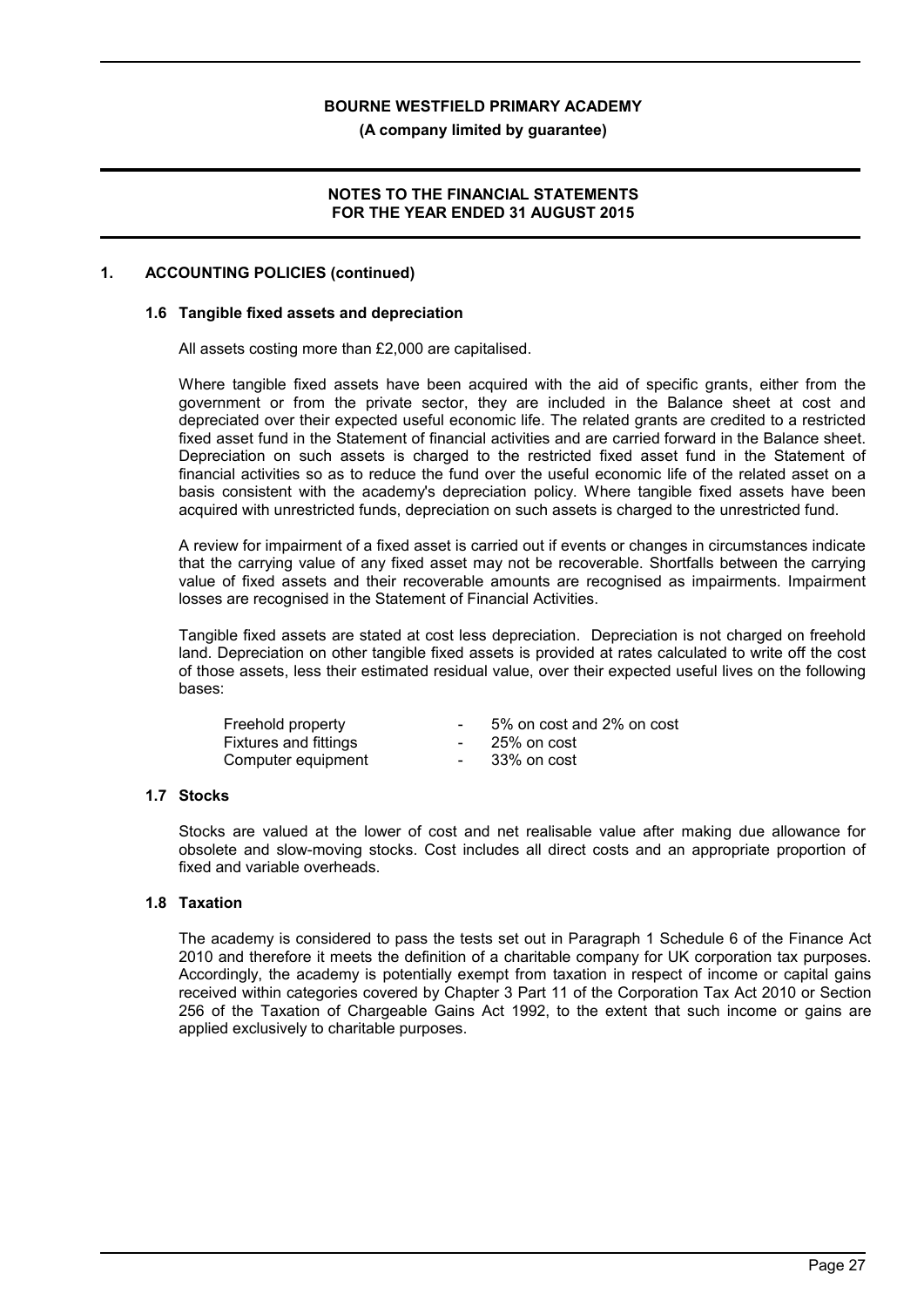**(A company limited by guarantee)**

### **NOTES TO THE FINANCIAL STATEMENTS FOR THE YEAR ENDED 31 AUGUST 2015**

#### **1. ACCOUNTING POLICIES (continued)**

#### **1.6 Tangible fixed assets and depreciation**

All assets costing more than £2,000 are capitalised.

Where tangible fixed assets have been acquired with the aid of specific grants, either from the government or from the private sector, they are included in the Balance sheet at cost and depreciated over their expected useful economic life. The related grants are credited to a restricted fixed asset fund in the Statement of financial activities and are carried forward in the Balance sheet. Depreciation on such assets is charged to the restricted fixed asset fund in the Statement of financial activities so as to reduce the fund over the useful economic life of the related asset on a basis consistent with the academy's depreciation policy. Where tangible fixed assets have been acquired with unrestricted funds, depreciation on such assets is charged to the unrestricted fund.

A review for impairment of a fixed asset is carried out if events or changes in circumstances indicate that the carrying value of any fixed asset may not be recoverable. Shortfalls between the carrying value of fixed assets and their recoverable amounts are recognised as impairments. Impairment losses are recognised in the Statement of Financial Activities.

Tangible fixed assets are stated at cost less depreciation. Depreciation is not charged on freehold land. Depreciation on other tangible fixed assets is provided at rates calculated to write off the cost of those assets, less their estimated residual value, over their expected useful lives on the following bases:

| Freehold property     | $\overline{\phantom{0}}$ | 5% on cost and 2% on cost |
|-----------------------|--------------------------|---------------------------|
| Fixtures and fittings | $\sim$                   | 25% on cost               |
| Computer equipment    |                          | 33% on cost               |

#### **1.7 Stocks**

Stocks are valued at the lower of cost and net realisable value after making due allowance for obsolete and slow-moving stocks. Cost includes all direct costs and an appropriate proportion of fixed and variable overheads.

#### **1.8 Taxation**

The academy is considered to pass the tests set out in Paragraph 1 Schedule 6 of the Finance Act 2010 and therefore it meets the definition of a charitable company for UK corporation tax purposes. Accordingly, the academy is potentially exempt from taxation in respect of income or capital gains received within categories covered by Chapter 3 Part 11 of the Corporation Tax Act 2010 or Section 256 of the Taxation of Chargeable Gains Act 1992, to the extent that such income or gains are applied exclusively to charitable purposes.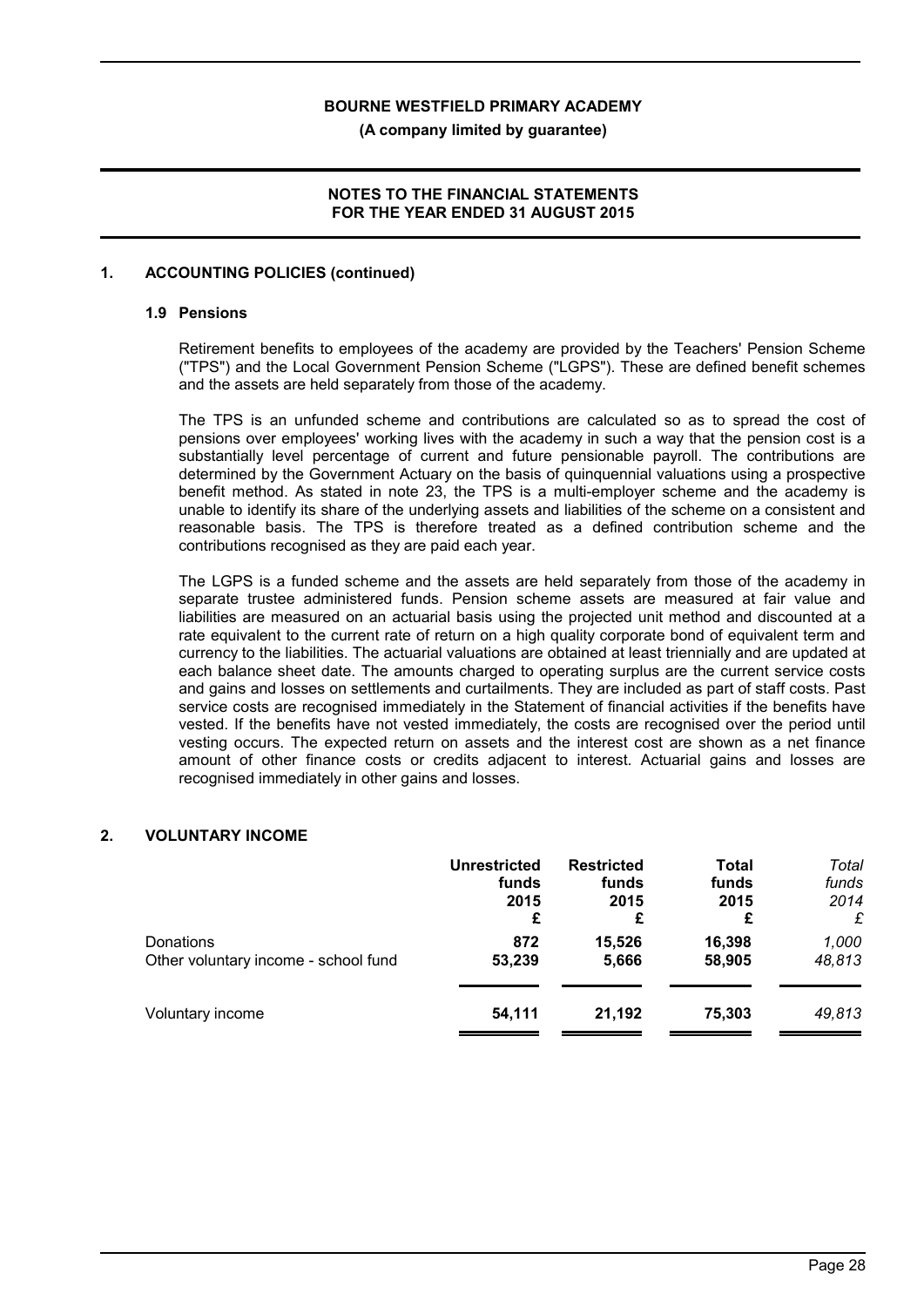**(A company limited by guarantee)**

## **NOTES TO THE FINANCIAL STATEMENTS FOR THE YEAR ENDED 31 AUGUST 2015**

### **1. ACCOUNTING POLICIES (continued)**

#### **1.9 Pensions**

Retirement benefits to employees of the academy are provided by the Teachers' Pension Scheme ("TPS") and the Local Government Pension Scheme ("LGPS"). These are defined benefit schemes and the assets are held separately from those of the academy.

The TPS is an unfunded scheme and contributions are calculated so as to spread the cost of pensions over employees' working lives with the academy in such a way that the pension cost is a substantially level percentage of current and future pensionable payroll. The contributions are determined by the Government Actuary on the basis of quinquennial valuations using a prospective benefit method. As stated in note 23, the TPS is a multi-employer scheme and the academy is unable to identify its share of the underlying assets and liabilities of the scheme on a consistent and reasonable basis. The TPS is therefore treated as a defined contribution scheme and the contributions recognised as they are paid each year.

The LGPS is a funded scheme and the assets are held separately from those of the academy in separate trustee administered funds. Pension scheme assets are measured at fair value and liabilities are measured on an actuarial basis using the projected unit method and discounted at a rate equivalent to the current rate of return on a high quality corporate bond of equivalent term and currency to the liabilities. The actuarial valuations are obtained at least triennially and are updated at each balance sheet date. The amounts charged to operating surplus are the current service costs and gains and losses on settlements and curtailments. They are included as part of staff costs. Past service costs are recognised immediately in the Statement of financial activities if the benefits have vested. If the benefits have not vested immediately, the costs are recognised over the period until vesting occurs. The expected return on assets and the interest cost are shown as a net finance amount of other finance costs or credits adjacent to interest. Actuarial gains and losses are recognised immediately in other gains and losses.

#### **2. VOLUNTARY INCOME**

|                                      | <b>Unrestricted</b> | <b>Restricted</b> | Total  | Total  |
|--------------------------------------|---------------------|-------------------|--------|--------|
|                                      | funds               | funds             | funds  | funds  |
|                                      | 2015                | 2015              | 2015   | 2014   |
|                                      | £                   | £                 | £      | £      |
| Donations                            | 872                 | 15.526            | 16,398 | 1,000  |
| Other voluntary income - school fund | 53,239              | 5,666             | 58,905 | 48,813 |
| Voluntary income                     | 54,111              | 21.192            | 75,303 | 49,813 |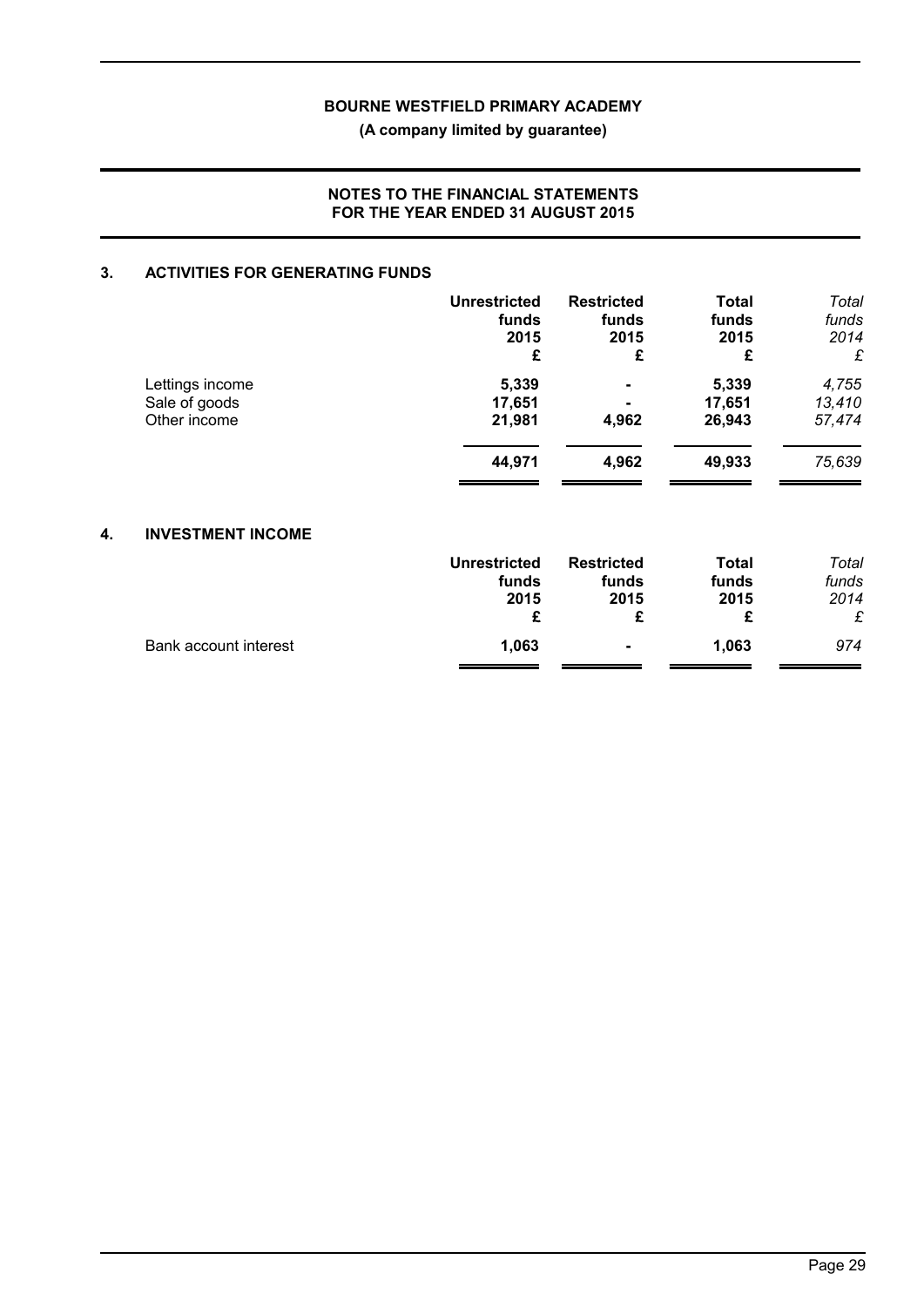**(A company limited by guarantee)**

## **NOTES TO THE FINANCIAL STATEMENTS FOR THE YEAR ENDED 31 AUGUST 2015**

#### **3. ACTIVITIES FOR GENERATING FUNDS**

|                 | <b>Unrestricted</b><br>funds<br>2015<br>£ | <b>Restricted</b><br>funds<br>2015<br>£ | Total<br>funds<br>2015<br>£ | Total<br>funds<br>2014<br>£ |
|-----------------|-------------------------------------------|-----------------------------------------|-----------------------------|-----------------------------|
| Lettings income | 5,339                                     | $\blacksquare$                          | 5,339                       | 4,755                       |
| Sale of goods   | 17,651                                    | $\blacksquare$                          | 17,651                      | 13,410                      |
| Other income    | 21,981                                    | 4,962                                   | 26,943                      | 57,474                      |
|                 | 44,971                                    | 4,962                                   | 49,933                      | 75,639                      |

### **4. INVESTMENT INCOME**

|                       | <b>Unrestricted</b> | Restricted     | Total | Total |
|-----------------------|---------------------|----------------|-------|-------|
|                       | funds               | funds          | funds | funds |
|                       | 2015                | 2015           | 2015  | 2014  |
|                       |                     |                |       | £     |
| Bank account interest | 1,063               | $\blacksquare$ | 1.063 | 974   |
|                       |                     |                |       |       |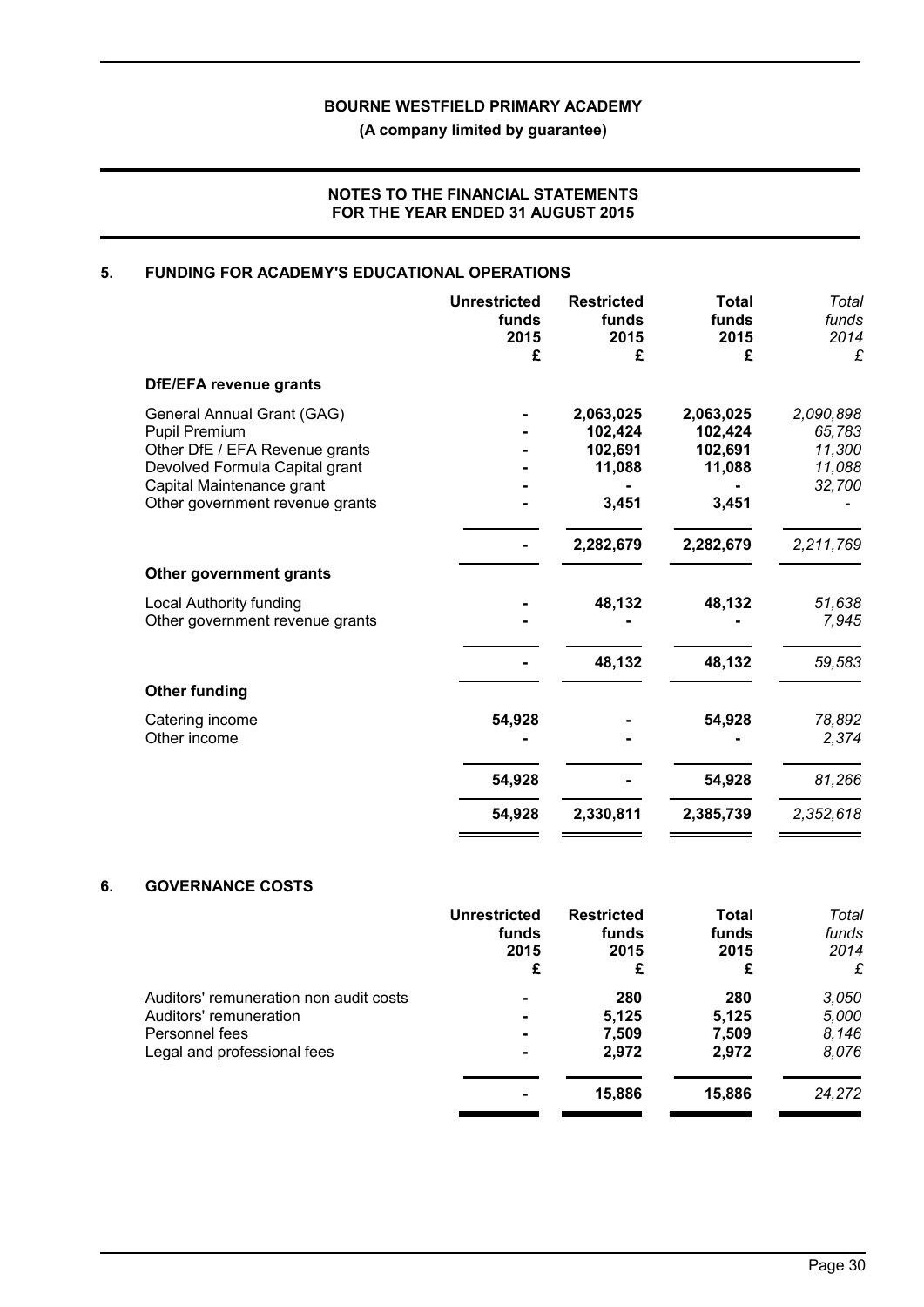**(A company limited by guarantee)**

## **NOTES TO THE FINANCIAL STATEMENTS FOR THE YEAR ENDED 31 AUGUST 2015**

## **5. FUNDING FOR ACADEMY'S EDUCATIONAL OPERATIONS**

|                                                                                                                                                                                 | <b>Unrestricted</b><br>funds<br>2015<br>£ | <b>Restricted</b><br>funds<br>2015<br>£            | <b>Total</b><br>funds<br>2015<br>£                 | Total<br>funds<br>2014<br>£                       |
|---------------------------------------------------------------------------------------------------------------------------------------------------------------------------------|-------------------------------------------|----------------------------------------------------|----------------------------------------------------|---------------------------------------------------|
| <b>DfE/EFA revenue grants</b>                                                                                                                                                   |                                           |                                                    |                                                    |                                                   |
| General Annual Grant (GAG)<br>Pupil Premium<br>Other DfE / EFA Revenue grants<br>Devolved Formula Capital grant<br>Capital Maintenance grant<br>Other government revenue grants |                                           | 2,063,025<br>102,424<br>102,691<br>11,088<br>3,451 | 2,063,025<br>102,424<br>102,691<br>11,088<br>3,451 | 2,090,898<br>65,783<br>11,300<br>11,088<br>32,700 |
|                                                                                                                                                                                 |                                           | 2,282,679                                          | 2,282,679                                          | 2,211,769                                         |
| Other government grants                                                                                                                                                         |                                           |                                                    |                                                    |                                                   |
| <b>Local Authority funding</b><br>Other government revenue grants                                                                                                               |                                           | 48,132                                             | 48,132                                             | 51,638<br>7,945                                   |
|                                                                                                                                                                                 |                                           | 48,132                                             | 48,132                                             | 59,583                                            |
| <b>Other funding</b>                                                                                                                                                            |                                           |                                                    |                                                    |                                                   |
| Catering income<br>Other income                                                                                                                                                 | 54,928                                    |                                                    | 54,928                                             | 78,892<br>2,374                                   |
|                                                                                                                                                                                 | 54,928                                    |                                                    | 54,928                                             | 81,266                                            |
|                                                                                                                                                                                 | 54,928                                    | 2,330,811                                          | 2,385,739                                          | 2,352,618                                         |

## **6. GOVERNANCE COSTS**

|                                        | <b>Unrestricted</b>      | <b>Restricted</b> | <b>Total</b> | Total  |
|----------------------------------------|--------------------------|-------------------|--------------|--------|
|                                        | funds                    | funds             | funds        | funds  |
|                                        | 2015                     | 2015              | 2015         | 2014   |
|                                        | £                        | £                 | £            | £      |
| Auditors' remuneration non audit costs | $\blacksquare$           | 280               | 280          | 3,050  |
| Auditors' remuneration                 | $\overline{\phantom{0}}$ | 5,125             | 5,125        | 5,000  |
| Personnel fees                         | $\overline{\phantom{0}}$ | 7.509             | 7,509        | 8,146  |
| Legal and professional fees            |                          | 2,972             | 2,972        | 8,076  |
|                                        | $\overline{\phantom{0}}$ | 15,886            | 15,886       | 24,272 |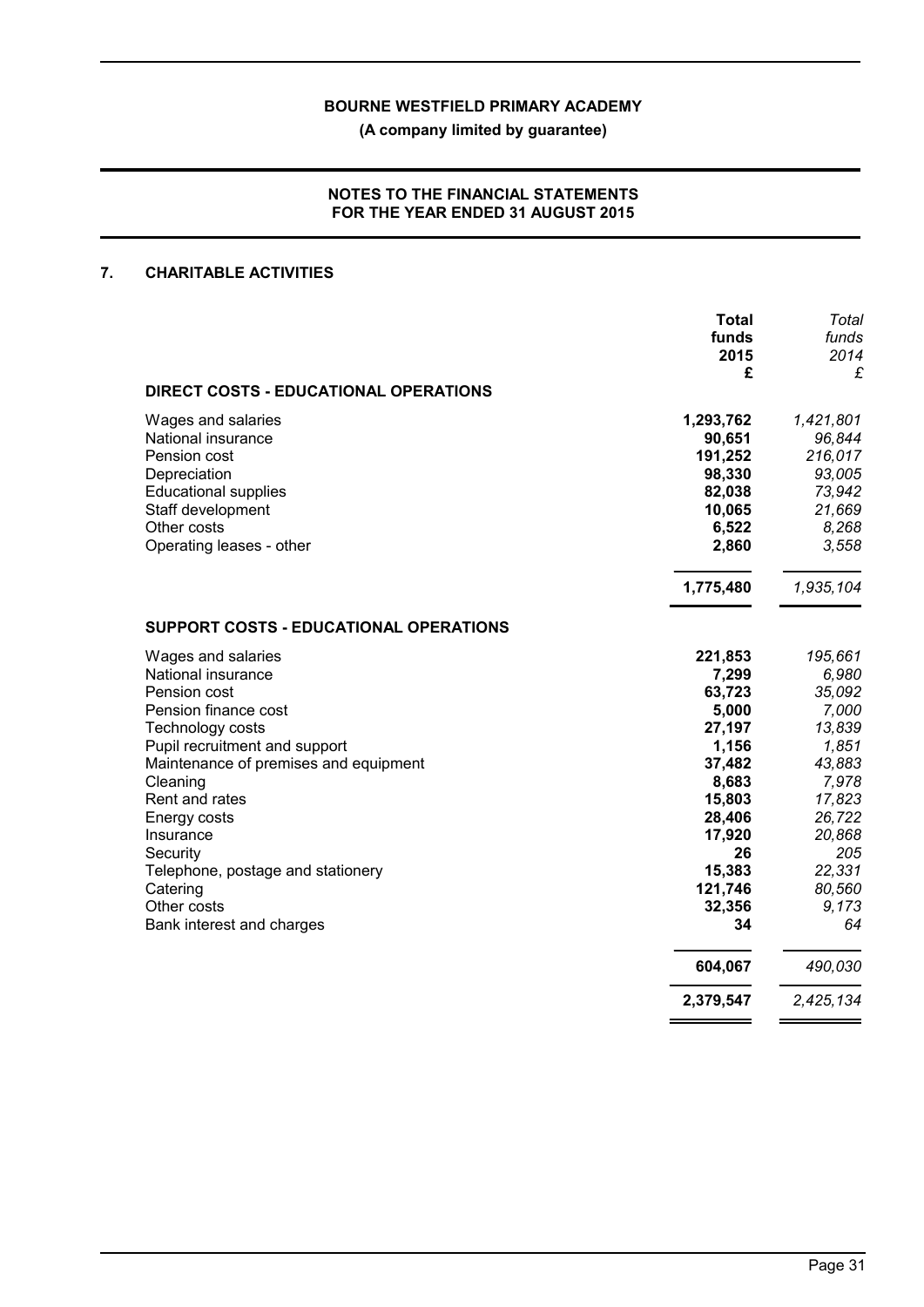**(A company limited by guarantee)**

## **NOTES TO THE FINANCIAL STATEMENTS FOR THE YEAR ENDED 31 AUGUST 2015**

### **7. CHARITABLE ACTIVITIES**

|                                                                                                                                                                                                                                                                                                                                                    | <b>Total</b><br>funds<br>2015<br>£                                                                                                                 | Total<br>funds<br>2014<br>£                                                                                                                       |
|----------------------------------------------------------------------------------------------------------------------------------------------------------------------------------------------------------------------------------------------------------------------------------------------------------------------------------------------------|----------------------------------------------------------------------------------------------------------------------------------------------------|---------------------------------------------------------------------------------------------------------------------------------------------------|
| <b>DIRECT COSTS - EDUCATIONAL OPERATIONS</b>                                                                                                                                                                                                                                                                                                       |                                                                                                                                                    |                                                                                                                                                   |
| Wages and salaries<br>National insurance<br>Pension cost<br>Depreciation<br><b>Educational supplies</b><br>Staff development<br>Other costs<br>Operating leases - other                                                                                                                                                                            | 1,293,762<br>90,651<br>191,252<br>98,330<br>82,038<br>10,065<br>6,522<br>2,860                                                                     | 1,421,801<br>96,844<br>216,017<br>93,005<br>73,942<br>21,669<br>8,268<br>3,558                                                                    |
|                                                                                                                                                                                                                                                                                                                                                    | 1,775,480                                                                                                                                          | 1,935,104                                                                                                                                         |
| SUPPORT COSTS - EDUCATIONAL OPERATIONS                                                                                                                                                                                                                                                                                                             |                                                                                                                                                    |                                                                                                                                                   |
| Wages and salaries<br>National insurance<br>Pension cost<br>Pension finance cost<br>Technology costs<br>Pupil recruitment and support<br>Maintenance of premises and equipment<br>Cleaning<br>Rent and rates<br>Energy costs<br>Insurance<br>Security<br>Telephone, postage and stationery<br>Catering<br>Other costs<br>Bank interest and charges | 221,853<br>7,299<br>63,723<br>5,000<br>27,197<br>1,156<br>37,482<br>8,683<br>15,803<br>28,406<br>17,920<br>26<br>15,383<br>121,746<br>32,356<br>34 | 195,661<br>6,980<br>35,092<br>7,000<br>13,839<br>1,851<br>43,883<br>7,978<br>17,823<br>26,722<br>20,868<br>205<br>22,331<br>80,560<br>9,173<br>64 |
|                                                                                                                                                                                                                                                                                                                                                    | 604,067                                                                                                                                            | 490,030                                                                                                                                           |
|                                                                                                                                                                                                                                                                                                                                                    | 2,379,547                                                                                                                                          | 2,425,134                                                                                                                                         |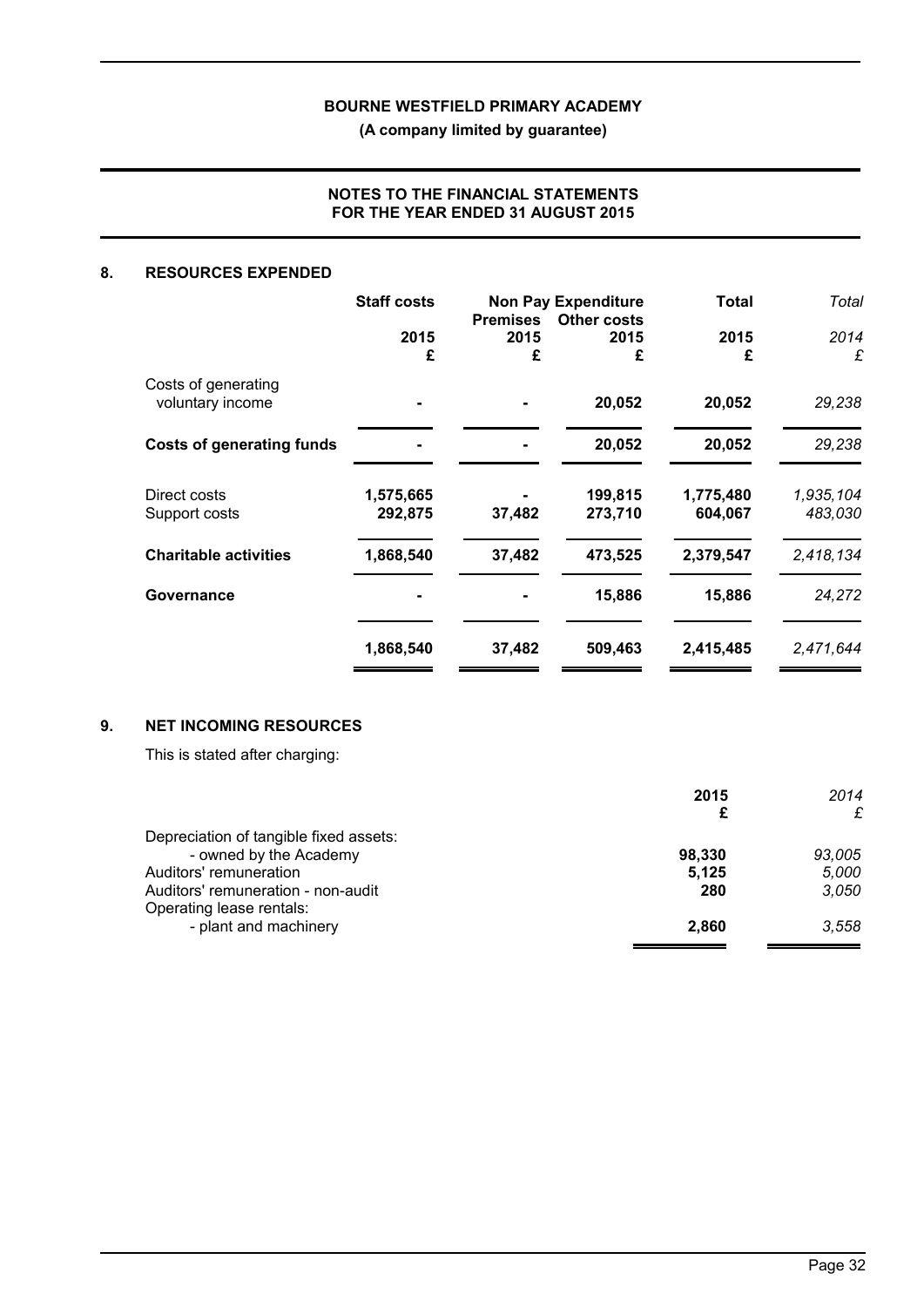**(A company limited by guarantee)**

## **NOTES TO THE FINANCIAL STATEMENTS FOR THE YEAR ENDED 31 AUGUST 2015**

#### **8. RESOURCES EXPENDED**

|                                         | <b>Staff costs</b>   | <b>Premises</b> | <b>Non Pay Expenditure</b><br><b>Other costs</b> | Total                | Total                |
|-----------------------------------------|----------------------|-----------------|--------------------------------------------------|----------------------|----------------------|
|                                         | 2015<br>£            | 2015<br>£       | 2015<br>£                                        | 2015<br>£            | 2014<br>£            |
| Costs of generating<br>voluntary income |                      |                 | 20,052                                           | 20,052               | 29,238               |
| Costs of generating funds               |                      |                 | 20,052                                           | 20,052               | 29,238               |
| Direct costs<br>Support costs           | 1,575,665<br>292,875 | 37,482          | 199,815<br>273,710                               | 1,775,480<br>604,067 | 1,935,104<br>483,030 |
| <b>Charitable activities</b>            | 1,868,540            | 37,482          | 473,525                                          | 2,379,547            | 2,418,134            |
| Governance                              |                      |                 | 15,886                                           | 15,886               | 24,272               |
|                                         | 1,868,540            | 37,482          | 509,463                                          | 2,415,485            | 2,471,644            |

## **9. NET INCOMING RESOURCES**

This is stated after charging:

| 2015   | 2014   |
|--------|--------|
| £      | £      |
|        |        |
| 98.330 | 93.005 |
| 5,125  | 5.000  |
| 280    | 3.050  |
|        |        |
| 2.860  | 3,558  |
|        |        |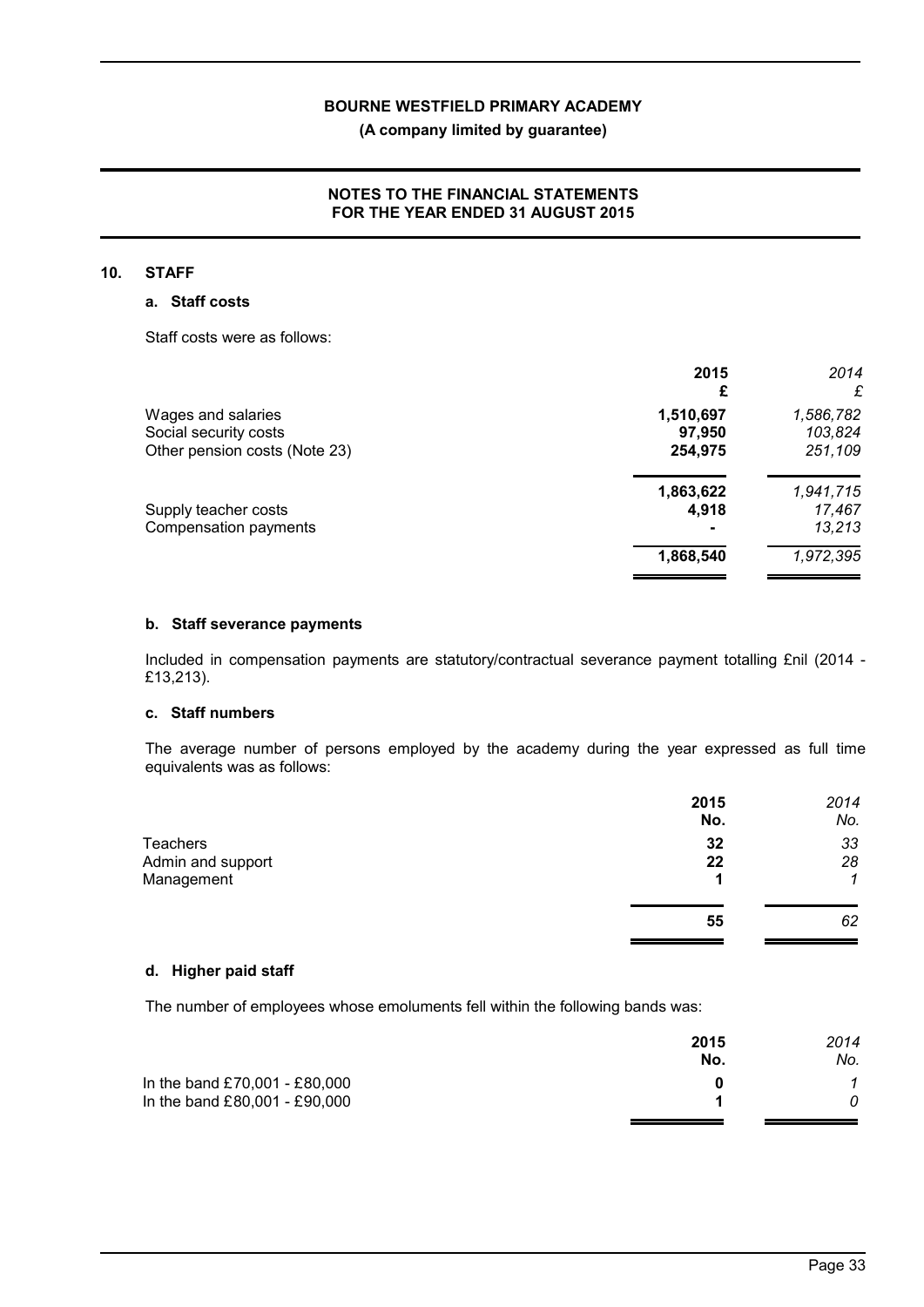**(A company limited by guarantee)**

## **NOTES TO THE FINANCIAL STATEMENTS FOR THE YEAR ENDED 31 AUGUST 2015**

#### **10. STAFF**

### **a. Staff costs**

Staff costs were as follows:

|                               | 2015<br>£ | 2014<br>£ |
|-------------------------------|-----------|-----------|
| Wages and salaries            | 1,510,697 | 1,586,782 |
| Social security costs         | 97,950    | 103,824   |
| Other pension costs (Note 23) | 254,975   | 251,109   |
|                               | 1,863,622 | 1,941,715 |
| Supply teacher costs          | 4,918     | 17,467    |
| Compensation payments         |           | 13,213    |
|                               | 1,868,540 | 1,972,395 |

#### **b. Staff severance payments**

Included in compensation payments are statutory/contractual severance payment totalling £nil (2014 - £13,213).

#### **c. Staff numbers**

The average number of persons employed by the academy during the year expressed as full time equivalents was as follows:

|                                 | 2015<br>No. | 2014<br>No. |
|---------------------------------|-------------|-------------|
| <b>Teachers</b>                 | 32<br>22    | 33<br>28    |
| Admin and support<br>Management | 1           | 1           |
|                                 | 55          | 62          |
|                                 |             |             |

## **d. Higher paid staff**

The number of employees whose emoluments fell within the following bands was:

|                               | 2015<br>No. | 2014<br>No. |
|-------------------------------|-------------|-------------|
| In the band £70,001 - £80,000 |             |             |
| In the band £80,001 - £90,000 |             |             |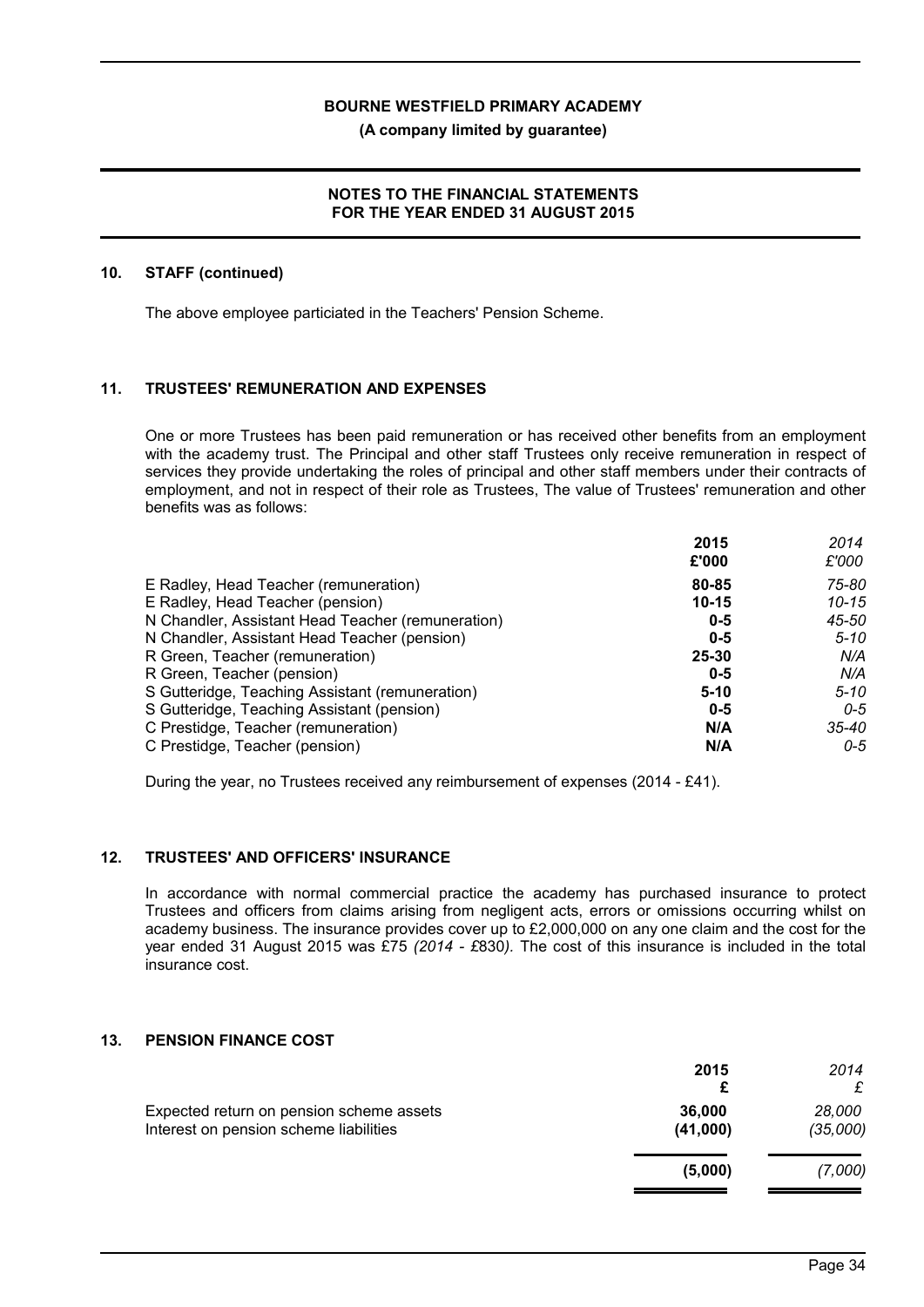**(A company limited by guarantee)**

### **NOTES TO THE FINANCIAL STATEMENTS FOR THE YEAR ENDED 31 AUGUST 2015**

#### **10. STAFF (continued)**

The above employee particiated in the Teachers' Pension Scheme.

#### **11. TRUSTEES' REMUNERATION AND EXPENSES**

One or more Trustees has been paid remuneration or has received other benefits from an employment with the academy trust. The Principal and other staff Trustees only receive remuneration in respect of services they provide undertaking the roles of principal and other staff members under their contracts of employment, and not in respect of their role as Trustees, The value of Trustees' remuneration and other benefits was as follows:

| 2015      | 2014      |
|-----------|-----------|
|           | £'000     |
| 80-85     | 75-80     |
| $10 - 15$ | $10 - 15$ |
| $0 - 5$   | 45-50     |
| $0 - 5$   | $5 - 10$  |
| 25-30     | N/A       |
| $0 - 5$   | N/A       |
| $5-10$    | $5 - 10$  |
| $0 - 5$   | 0-5       |
| N/A       | 35-40     |
| N/A       | 0-5       |
|           | £'000     |

During the year, no Trustees received any reimbursement of expenses (2014 - £41).

#### **12. TRUSTEES' AND OFFICERS' INSURANCE**

In accordance with normal commercial practice the academy has purchased insurance to protect Trustees and officers from claims arising from negligent acts, errors or omissions occurring whilst on academy business. The insurance provides cover up to £2,000,000 on any one claim and the cost for the year ended 31 August 2015 was £75 *(2014 - £*830*).* The cost of this insurance is included in the total insurance cost.

#### **13. PENSION FINANCE COST**

|                                                                                    | 2015               | 2014<br>£          |
|------------------------------------------------------------------------------------|--------------------|--------------------|
| Expected return on pension scheme assets<br>Interest on pension scheme liabilities | 36,000<br>(41,000) | 28,000<br>(35,000) |
|                                                                                    | (5,000)            | (7,000)            |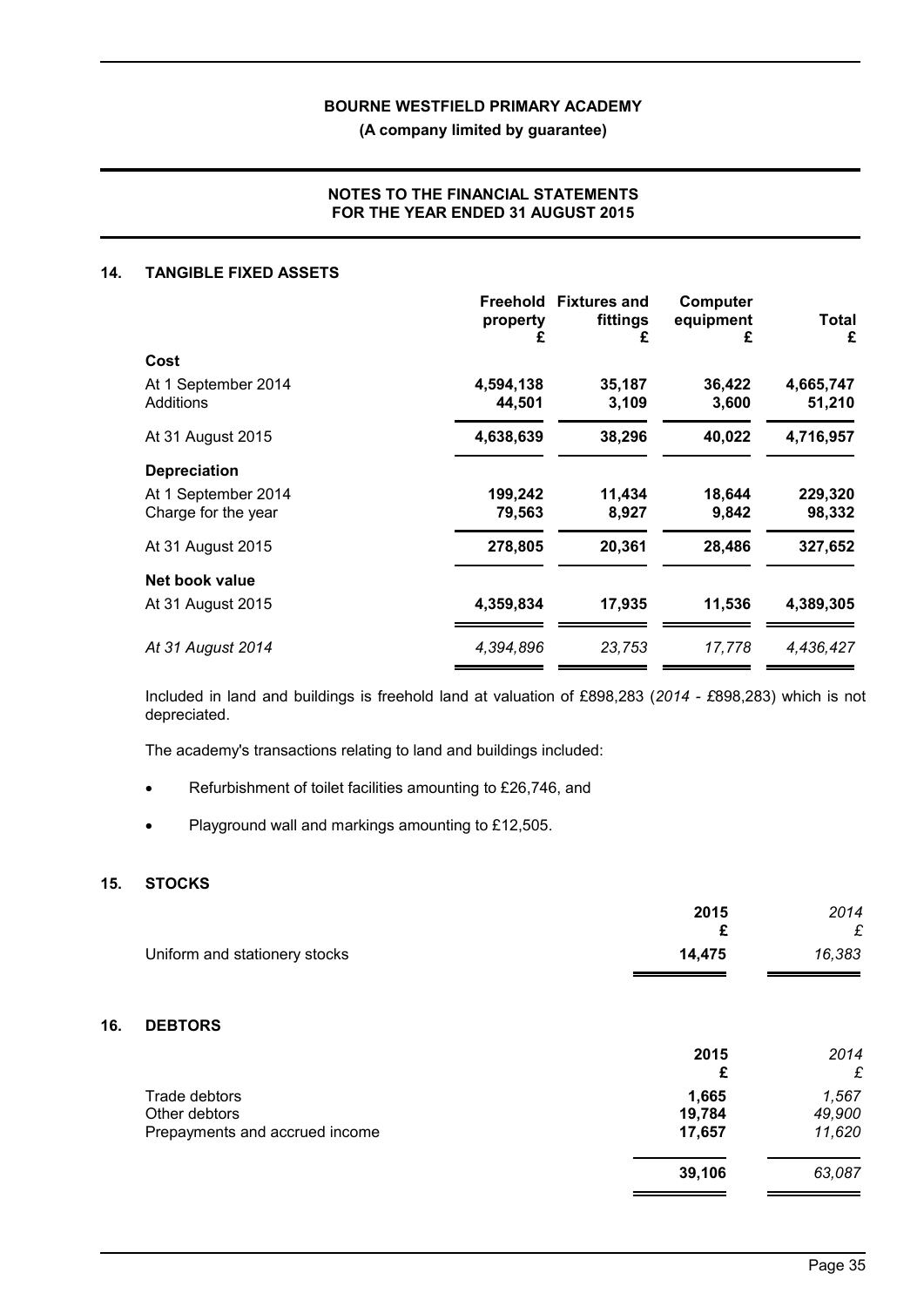**(A company limited by guarantee)**

## **NOTES TO THE FINANCIAL STATEMENTS FOR THE YEAR ENDED 31 AUGUST 2015**

#### **14. TANGIBLE FIXED ASSETS**

| property<br>£       | fittings<br>£   | Computer<br>equipment<br>£      | Total<br>£          |
|---------------------|-----------------|---------------------------------|---------------------|
|                     |                 |                                 |                     |
| 4,594,138<br>44,501 | 35,187<br>3,109 | 36,422<br>3,600                 | 4,665,747<br>51,210 |
| 4,638,639           | 38,296          | 40,022                          | 4,716,957           |
|                     |                 |                                 |                     |
| 199,242<br>79,563   | 11,434<br>8,927 | 18,644<br>9,842                 | 229,320<br>98,332   |
| 278,805             | 20,361          | 28,486                          | 327,652             |
|                     |                 |                                 |                     |
| 4,359,834           | 17,935          | 11,536                          | 4,389,305           |
| 4,394,896           | 23,753          | 17,778                          | 4,436,427           |
|                     |                 | <b>Fixtures and</b><br>Freehold |                     |

Included in land and buildings is freehold land at valuation of £898,283 (*2014 - £*898,283) which is not depreciated.

The academy's transactions relating to land and buildings included:

- Refurbishment of toilet facilities amounting to £26,746, and
- Playground wall and markings amounting to £12,505.

## **15. STOCKS**

|     |                                                                  | 2015<br>£                 | 2014<br>£                 |
|-----|------------------------------------------------------------------|---------------------------|---------------------------|
|     | Uniform and stationery stocks                                    | 14,475                    | 16,383                    |
| 16. | <b>DEBTORS</b>                                                   |                           |                           |
|     |                                                                  | 2015<br>£                 | 2014<br>£                 |
|     | Trade debtors<br>Other debtors<br>Prepayments and accrued income | 1,665<br>19,784<br>17,657 | 1,567<br>49,900<br>11,620 |
|     |                                                                  | 39,106                    | 63,087                    |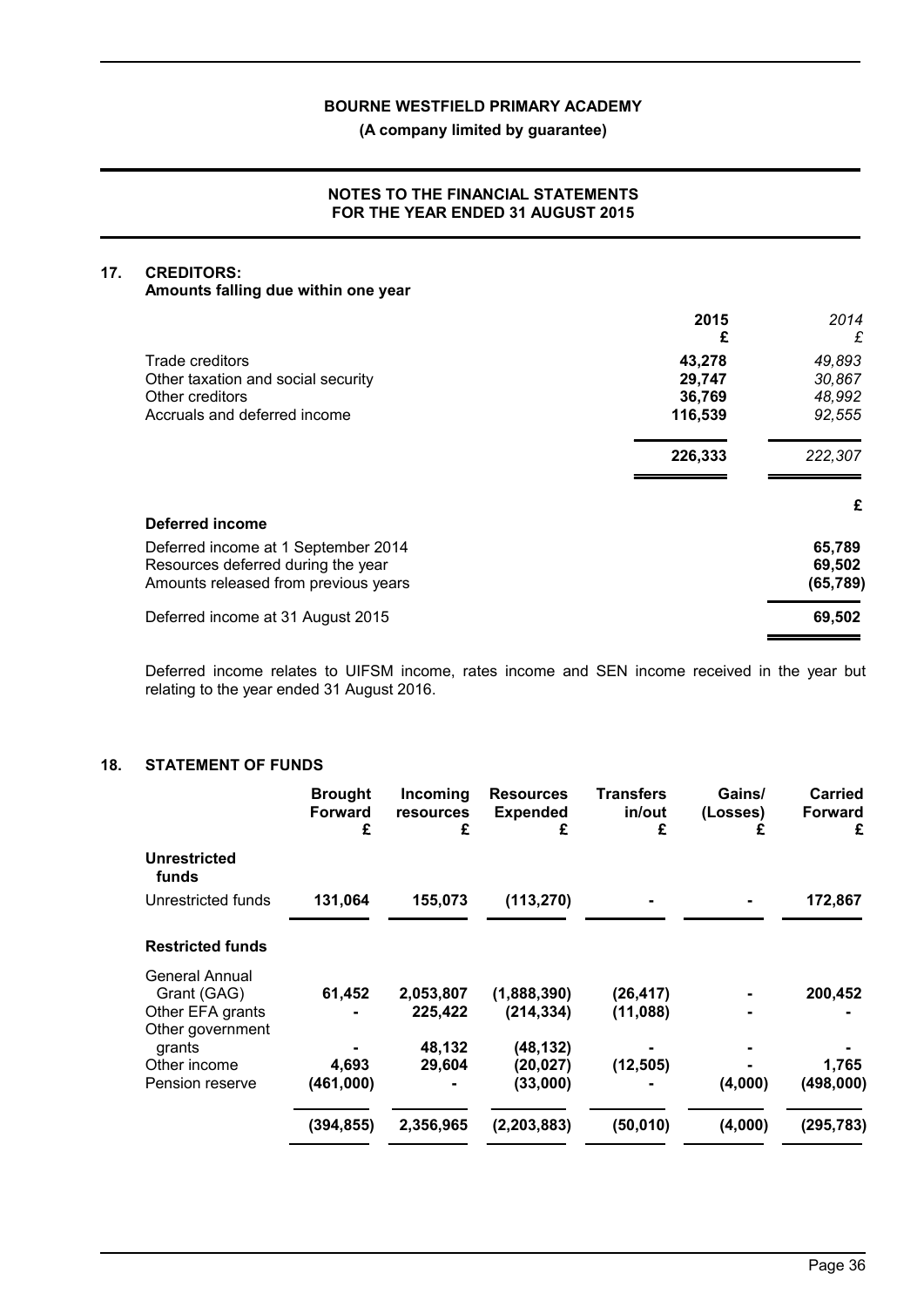**(A company limited by guarantee)**

## **NOTES TO THE FINANCIAL STATEMENTS FOR THE YEAR ENDED 31 AUGUST 2015**

## **17. CREDITORS:**

**Amounts falling due within one year**

|                                      | 2015<br>£ | 2014<br>£ |
|--------------------------------------|-----------|-----------|
| Trade creditors                      | 43,278    | 49,893    |
| Other taxation and social security   | 29,747    | 30,867    |
| Other creditors                      | 36,769    | 48,992    |
| Accruals and deferred income         | 116,539   | 92,555    |
|                                      | 226,333   | 222,307   |
| <b>Deferred income</b>               |           | £         |
| Deferred income at 1 September 2014  |           | 65,789    |
| Resources deferred during the year   |           | 69,502    |
|                                      |           |           |
| Amounts released from previous years |           | (65, 789) |
| Deferred income at 31 August 2015    |           | 69,502    |

Deferred income relates to UIFSM income, rates income and SEN income received in the year but relating to the year ended 31 August 2016.

## **18. STATEMENT OF FUNDS**

|                                                                              | <b>Brought</b><br><b>Forward</b><br>£ | Incoming<br>resources<br>£ | <b>Resources</b><br><b>Expended</b><br>£ | <b>Transfers</b><br>in/out<br>£ | Gains/<br>(Losses)<br>£ | <b>Carried</b><br>Forward<br>£ |
|------------------------------------------------------------------------------|---------------------------------------|----------------------------|------------------------------------------|---------------------------------|-------------------------|--------------------------------|
| <b>Unrestricted</b><br>funds                                                 |                                       |                            |                                          |                                 |                         |                                |
| Unrestricted funds                                                           | 131,064                               | 155,073                    | (113, 270)                               |                                 |                         | 172,867                        |
| <b>Restricted funds</b>                                                      |                                       |                            |                                          |                                 |                         |                                |
| <b>General Annual</b><br>Grant (GAG)<br>Other EFA grants<br>Other government | 61,452                                | 2,053,807<br>225,422       | (1,888,390)<br>(214, 334)                | (26,417)<br>(11,088)            |                         | 200,452                        |
| grants<br>Other income<br>Pension reserve                                    | 4,693<br>(461,000)                    | 48,132<br>29,604           | (48, 132)<br>(20, 027)<br>(33,000)       | (12, 505)                       | (4,000)                 | 1,765<br>(498,000)             |
|                                                                              | (394, 855)                            | 2,356,965                  | (2, 203, 883)                            | (50, 010)                       | (4,000)                 | (295, 783)                     |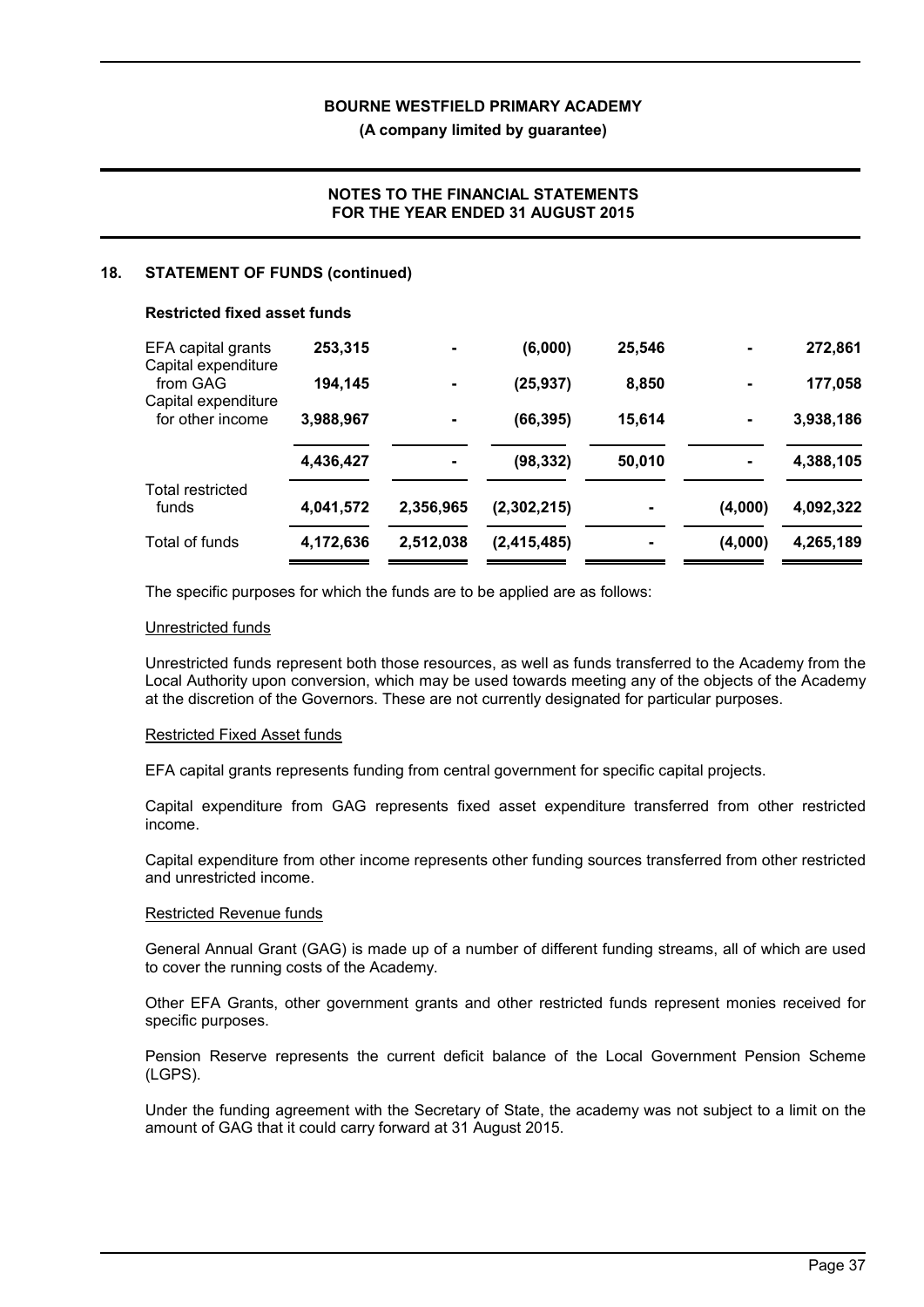**(A company limited by guarantee)**

## **NOTES TO THE FINANCIAL STATEMENTS FOR THE YEAR ENDED 31 AUGUST 2015**

#### **18. STATEMENT OF FUNDS (continued)**

#### **Restricted fixed asset funds**

| EFA capital grants                      | 253,315   |           | (6,000)     | 25,546 |         | 272,861   |
|-----------------------------------------|-----------|-----------|-------------|--------|---------|-----------|
| Capital expenditure<br>from GAG         | 194,145   | ۰         | (25, 937)   | 8,850  |         | 177,058   |
| Capital expenditure<br>for other income | 3,988,967 |           | (66, 395)   | 15,614 |         | 3,938,186 |
|                                         | 4,436,427 | ۰         | (98,332)    | 50,010 |         | 4,388,105 |
| <b>Total restricted</b><br>funds        | 4,041,572 | 2,356,965 | (2,302,215) |        | (4,000) | 4,092,322 |
| Total of funds                          | 4,172,636 | 2,512,038 | (2,415,485) |        | (4,000) | 4,265,189 |

The specific purposes for which the funds are to be applied are as follows:

#### Unrestricted funds

Unrestricted funds represent both those resources, as well as funds transferred to the Academy from the Local Authority upon conversion, which may be used towards meeting any of the objects of the Academy at the discretion of the Governors. These are not currently designated for particular purposes.

#### Restricted Fixed Asset funds

EFA capital grants represents funding from central government for specific capital projects.

Capital expenditure from GAG represents fixed asset expenditure transferred from other restricted income.

Capital expenditure from other income represents other funding sources transferred from other restricted and unrestricted income.

#### Restricted Revenue funds

General Annual Grant (GAG) is made up of a number of different funding streams, all of which are used to cover the running costs of the Academy.

Other EFA Grants, other government grants and other restricted funds represent monies received for specific purposes.

Pension Reserve represents the current deficit balance of the Local Government Pension Scheme (LGPS).

Under the funding agreement with the Secretary of State, the academy was not subject to a limit on the amount of GAG that it could carry forward at 31 August 2015.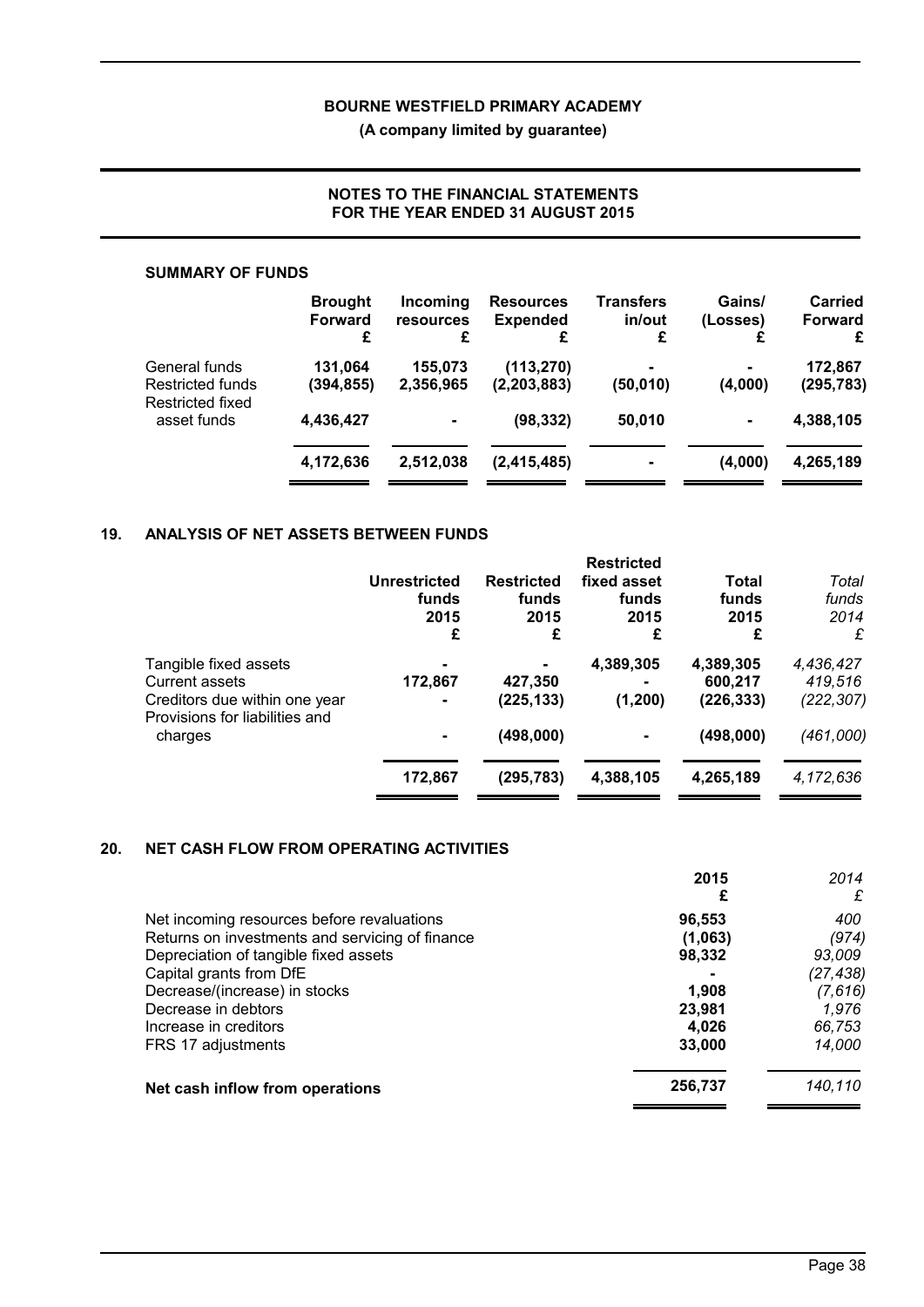**(A company limited by guarantee)**

## **NOTES TO THE FINANCIAL STATEMENTS FOR THE YEAR ENDED 31 AUGUST 2015**

#### **SUMMARY OF FUNDS**

|                                      | <b>Brought</b><br><b>Forward</b><br>£ | <b>Incoming</b><br>resources<br>£ | <b>Resources</b><br><b>Expended</b><br>£ | Transfers<br>in/out<br>£ | Gains/<br>(Losses)<br>£ | <b>Carried</b><br><b>Forward</b><br>£ |
|--------------------------------------|---------------------------------------|-----------------------------------|------------------------------------------|--------------------------|-------------------------|---------------------------------------|
| General funds                        | 131,064                               | 155,073                           | (113, 270)                               | $\blacksquare$           | $\blacksquare$          | 172,867                               |
| Restricted funds<br>Restricted fixed | (394, 855)                            | 2,356,965                         | (2, 203, 883)                            | (50,010)                 | (4,000)                 | (295,783)                             |
| asset funds                          | 4,436,427                             | ۰                                 | (98, 332)                                | 50,010                   | $\blacksquare$          | 4,388,105                             |
|                                      | 4,172,636                             | 2,512,038                         | (2, 415, 485)                            | $\blacksquare$           | (4,000)                 | 4,265,189                             |

## **19. ANALYSIS OF NET ASSETS BETWEEN FUNDS**

|                                                                          | <b>Unrestricted</b><br>funds<br>2015<br>£ | <b>Restricted</b><br>funds<br>2015<br>£ | <b>Restricted</b><br>fixed asset<br>funds<br>2015<br>£ | Total<br>funds<br>2015<br>£        | Total<br>funds<br>2014<br>£        |
|--------------------------------------------------------------------------|-------------------------------------------|-----------------------------------------|--------------------------------------------------------|------------------------------------|------------------------------------|
| Tangible fixed assets<br>Current assets<br>Creditors due within one year | 172,867<br>$\blacksquare$                 | 427,350<br>(225, 133)                   | 4,389,305<br>(1,200)                                   | 4,389,305<br>600,217<br>(226, 333) | 4,436,427<br>419,516<br>(222, 307) |
| Provisions for liabilities and<br>charges                                | ۰.                                        | (498,000)                               | $\blacksquare$                                         | (498,000)                          | (461,000)                          |
|                                                                          | 172,867                                   | (295, 783)                              | 4,388,105                                              | 4,265,189                          | 4,172,636                          |

## **20. NET CASH FLOW FROM OPERATING ACTIVITIES**

|                                                 | 2015<br>£ | 2014<br>£ |
|-------------------------------------------------|-----------|-----------|
| Net incoming resources before revaluations      | 96,553    | 400       |
| Returns on investments and servicing of finance | (1,063)   | (974)     |
| Depreciation of tangible fixed assets           | 98,332    | 93,009    |
| Capital grants from DfE                         |           | (27, 438) |
| Decrease/(increase) in stocks                   | 1,908     | (7,616)   |
| Decrease in debtors                             | 23,981    | 1,976     |
| Increase in creditors                           | 4,026     | 66,753    |
| FRS 17 adjustments                              | 33,000    | 14,000    |
| Net cash inflow from operations                 | 256,737   | 140,110   |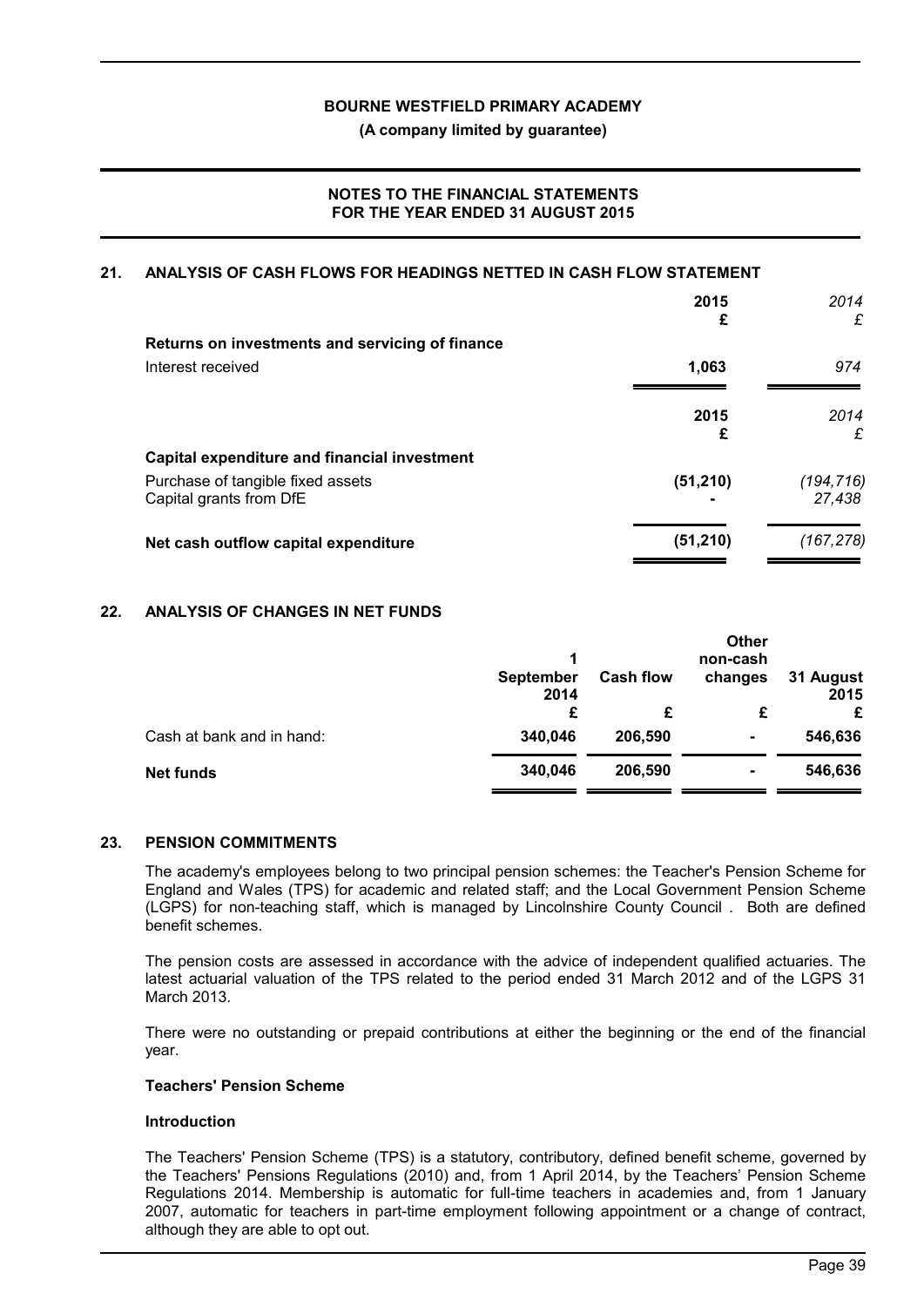**(A company limited by guarantee)**

## **NOTES TO THE FINANCIAL STATEMENTS FOR THE YEAR ENDED 31 AUGUST 2015**

## **21. ANALYSIS OF CASH FLOWS FOR HEADINGS NETTED IN CASH FLOW STATEMENT**

|                                                              | 2015<br>£ | 2014<br>£            |
|--------------------------------------------------------------|-----------|----------------------|
| Returns on investments and servicing of finance              |           |                      |
| Interest received                                            | 1,063     | 974                  |
|                                                              |           |                      |
|                                                              | 2015<br>£ | 2014<br>£            |
| Capital expenditure and financial investment                 |           |                      |
| Purchase of tangible fixed assets<br>Capital grants from DfE | (51, 210) | (194, 716)<br>27,438 |
| Net cash outflow capital expenditure                         | (51, 210) | (167,278)            |

#### **22. ANALYSIS OF CHANGES IN NET FUNDS**

|                           | 1                        |                  | <b>Other</b><br>non-cash |                   |
|---------------------------|--------------------------|------------------|--------------------------|-------------------|
|                           | <b>September</b><br>2014 | <b>Cash flow</b> | changes                  | 31 August<br>2015 |
|                           | £                        | £                | £                        | £                 |
| Cash at bank and in hand: | 340,046                  | 206,590          | $\blacksquare$           | 546,636           |
| <b>Net funds</b>          | 340,046                  | 206,590          | $\blacksquare$           | 546,636           |
|                           |                          |                  |                          |                   |

#### **23. PENSION COMMITMENTS**

The academy's employees belong to two principal pension schemes: the Teacher's Pension Scheme for England and Wales (TPS) for academic and related staff; and the Local Government Pension Scheme (LGPS) for non-teaching staff, which is managed by Lincolnshire County Council . Both are defined benefit schemes.

The pension costs are assessed in accordance with the advice of independent qualified actuaries. The latest actuarial valuation of the TPS related to the period ended 31 March 2012 and of the LGPS 31 March 2013.

There were no outstanding or prepaid contributions at either the beginning or the end of the financial year.

#### **Teachers' Pension Scheme**

### **Introduction**

The Teachers' Pension Scheme (TPS) is a statutory, contributory, defined benefit scheme, governed by the Teachers' Pensions Regulations (2010) and, from 1 April 2014, by the Teachers' Pension Scheme Regulations 2014. Membership is automatic for full-time teachers in academies and, from 1 January 2007, automatic for teachers in part-time employment following appointment or a change of contract, although they are able to opt out.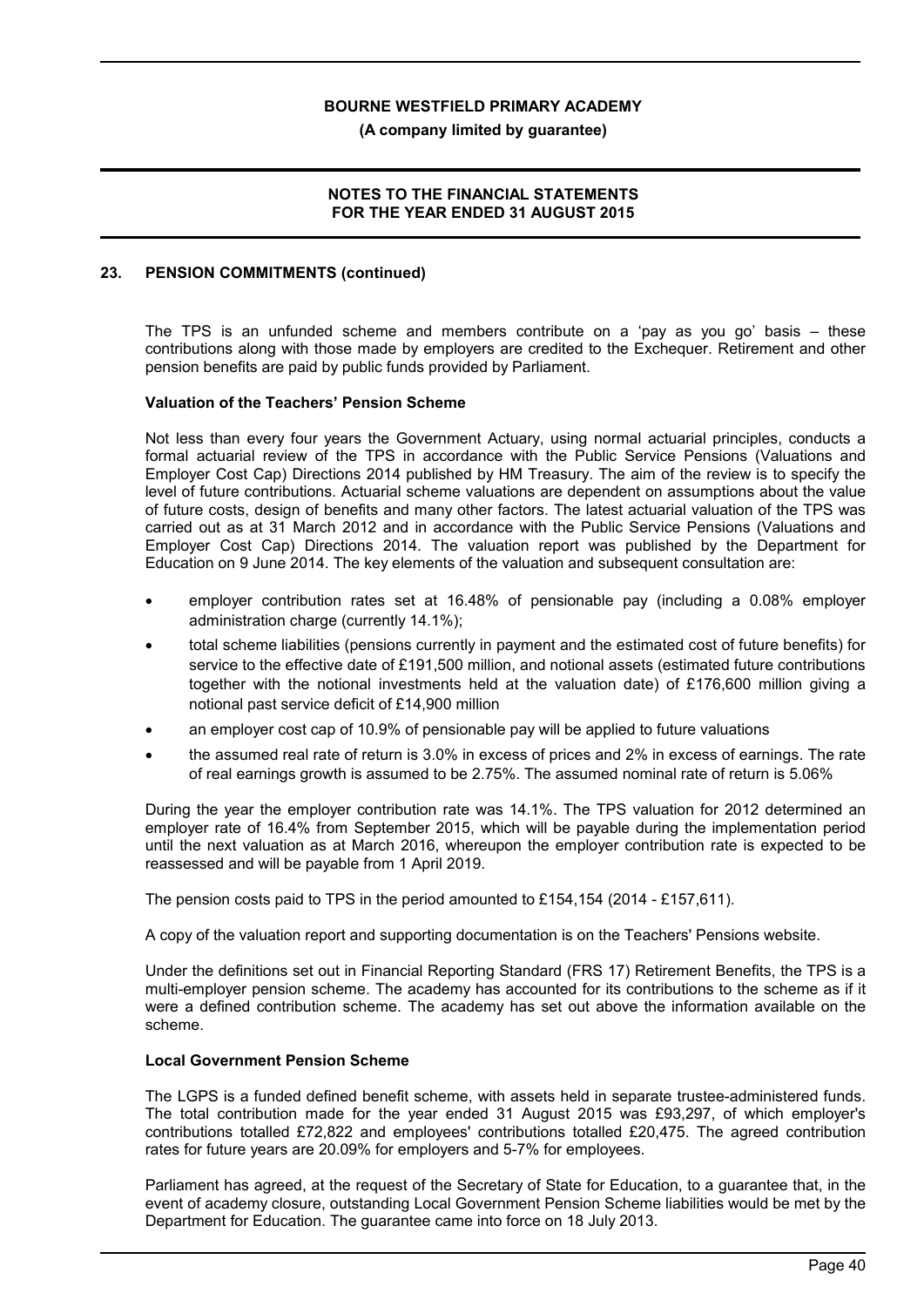**(A company limited by guarantee)**

### **NOTES TO THE FINANCIAL STATEMENTS FOR THE YEAR ENDED 31 AUGUST 2015**

#### **23. PENSION COMMITMENTS (continued)**

The TPS is an unfunded scheme and members contribute on a 'pay as you go' basis – these contributions along with those made by employers are credited to the Exchequer. Retirement and other pension benefits are paid by public funds provided by Parliament.

#### **Valuation of the Teachers' Pension Scheme**

Not less than every four years the Government Actuary, using normal actuarial principles, conducts a formal actuarial review of the TPS in accordance with the Public Service Pensions (Valuations and Employer Cost Cap) Directions 2014 published by HM Treasury. The aim of the review is to specify the level of future contributions. Actuarial scheme valuations are dependent on assumptions about the value of future costs, design of benefits and many other factors. The latest actuarial valuation of the TPS was carried out as at 31 March 2012 and in accordance with the Public Service Pensions (Valuations and Employer Cost Cap) Directions 2014. The valuation report was published by the Department for Education on 9 June 2014. The key elements of the valuation and subsequent consultation are:

- employer contribution rates set at 16.48% of pensionable pay (including a 0.08% employer administration charge (currently 14.1%);
- total scheme liabilities (pensions currently in payment and the estimated cost of future benefits) for service to the effective date of £191,500 million, and notional assets (estimated future contributions together with the notional investments held at the valuation date) of £176,600 million giving a notional past service deficit of £14,900 million
- an employer cost cap of 10.9% of pensionable pay will be applied to future valuations
- the assumed real rate of return is 3.0% in excess of prices and 2% in excess of earnings. The rate of real earnings growth is assumed to be 2.75%. The assumed nominal rate of return is 5.06%

During the year the employer contribution rate was 14.1%. The TPS valuation for 2012 determined an employer rate of 16.4% from September 2015, which will be payable during the implementation period until the next valuation as at March 2016, whereupon the employer contribution rate is expected to be reassessed and will be payable from 1 April 2019.

The pension costs paid to TPS in the period amounted to £154,154 (2014 - £157,611).

A copy of the valuation report and supporting documentation is on the Teachers' Pensions website.

Under the definitions set out in Financial Reporting Standard (FRS 17) Retirement Benefits, the TPS is a multi-employer pension scheme. The academy has accounted for its contributions to the scheme as if it were a defined contribution scheme. The academy has set out above the information available on the scheme.

#### **Local Government Pension Scheme**

The LGPS is a funded defined benefit scheme, with assets held in separate trustee-administered funds. The total contribution made for the year ended 31 August 2015 was £93,297, of which employer's contributions totalled £72,822 and employees' contributions totalled £20,475. The agreed contribution rates for future years are 20.09% for employers and 5-7% for employees.

Parliament has agreed, at the request of the Secretary of State for Education, to a guarantee that, in the event of academy closure, outstanding Local Government Pension Scheme liabilities would be met by the Department for Education. The guarantee came into force on 18 July 2013.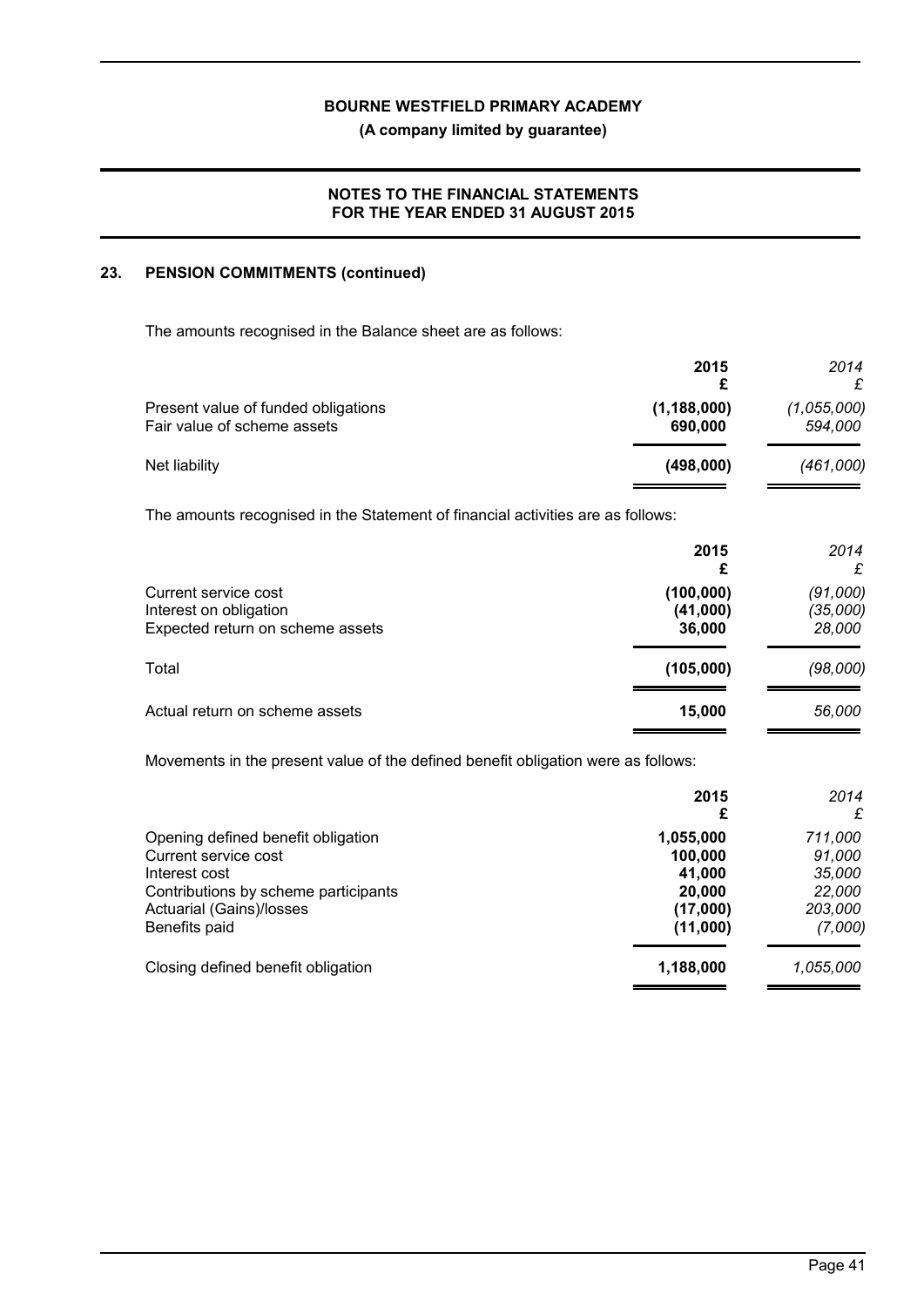**(A company limited by guarantee)**

## **NOTES TO THE FINANCIAL STATEMENTS FOR THE YEAR ENDED 31 AUGUST 2015**

## **23. PENSION COMMITMENTS (continued)**

The amounts recognised in the Balance sheet are as follows:

| (1, 188, 000)<br>Present value of funded obligations<br>Fair value of scheme assets<br>690,000<br>(498,000)<br>Net liability<br>The amounts recognised in the Statement of financial activities are as follows:<br>2015<br>£<br>(100, 000)<br>Current service cost<br>(41,000)<br>Interest on obligation<br>36,000<br>Expected return on scheme assets<br>Total<br>(105,000)<br>Actual return on scheme assets<br>15,000<br>Movements in the present value of the defined benefit obligation were as follows:<br>2015<br>£<br>1,055,000<br>Opening defined benefit obligation<br>Current service cost<br>100,000<br>Interest cost<br>41,000<br>20,000<br>Contributions by scheme participants<br>Actuarial (Gains)/losses<br>(17,000)<br>Benefits paid<br>(11,000)<br>1,188,000<br>Closing defined benefit obligation | 2015<br>£ | 2014<br>£                                                   |
|-----------------------------------------------------------------------------------------------------------------------------------------------------------------------------------------------------------------------------------------------------------------------------------------------------------------------------------------------------------------------------------------------------------------------------------------------------------------------------------------------------------------------------------------------------------------------------------------------------------------------------------------------------------------------------------------------------------------------------------------------------------------------------------------------------------------------|-----------|-------------------------------------------------------------|
|                                                                                                                                                                                                                                                                                                                                                                                                                                                                                                                                                                                                                                                                                                                                                                                                                       |           | (1,055,000)<br>594,000                                      |
|                                                                                                                                                                                                                                                                                                                                                                                                                                                                                                                                                                                                                                                                                                                                                                                                                       |           | (461,000)                                                   |
|                                                                                                                                                                                                                                                                                                                                                                                                                                                                                                                                                                                                                                                                                                                                                                                                                       |           |                                                             |
|                                                                                                                                                                                                                                                                                                                                                                                                                                                                                                                                                                                                                                                                                                                                                                                                                       |           | 2014<br>£                                                   |
|                                                                                                                                                                                                                                                                                                                                                                                                                                                                                                                                                                                                                                                                                                                                                                                                                       |           | (91,000)<br>(35,000)<br>28,000                              |
|                                                                                                                                                                                                                                                                                                                                                                                                                                                                                                                                                                                                                                                                                                                                                                                                                       |           | (98,000)                                                    |
|                                                                                                                                                                                                                                                                                                                                                                                                                                                                                                                                                                                                                                                                                                                                                                                                                       |           | 56,000                                                      |
|                                                                                                                                                                                                                                                                                                                                                                                                                                                                                                                                                                                                                                                                                                                                                                                                                       |           |                                                             |
|                                                                                                                                                                                                                                                                                                                                                                                                                                                                                                                                                                                                                                                                                                                                                                                                                       |           | 2014<br>£                                                   |
|                                                                                                                                                                                                                                                                                                                                                                                                                                                                                                                                                                                                                                                                                                                                                                                                                       |           | 711,000<br>91,000<br>35,000<br>22,000<br>203,000<br>(7,000) |
|                                                                                                                                                                                                                                                                                                                                                                                                                                                                                                                                                                                                                                                                                                                                                                                                                       |           | 1,055,000                                                   |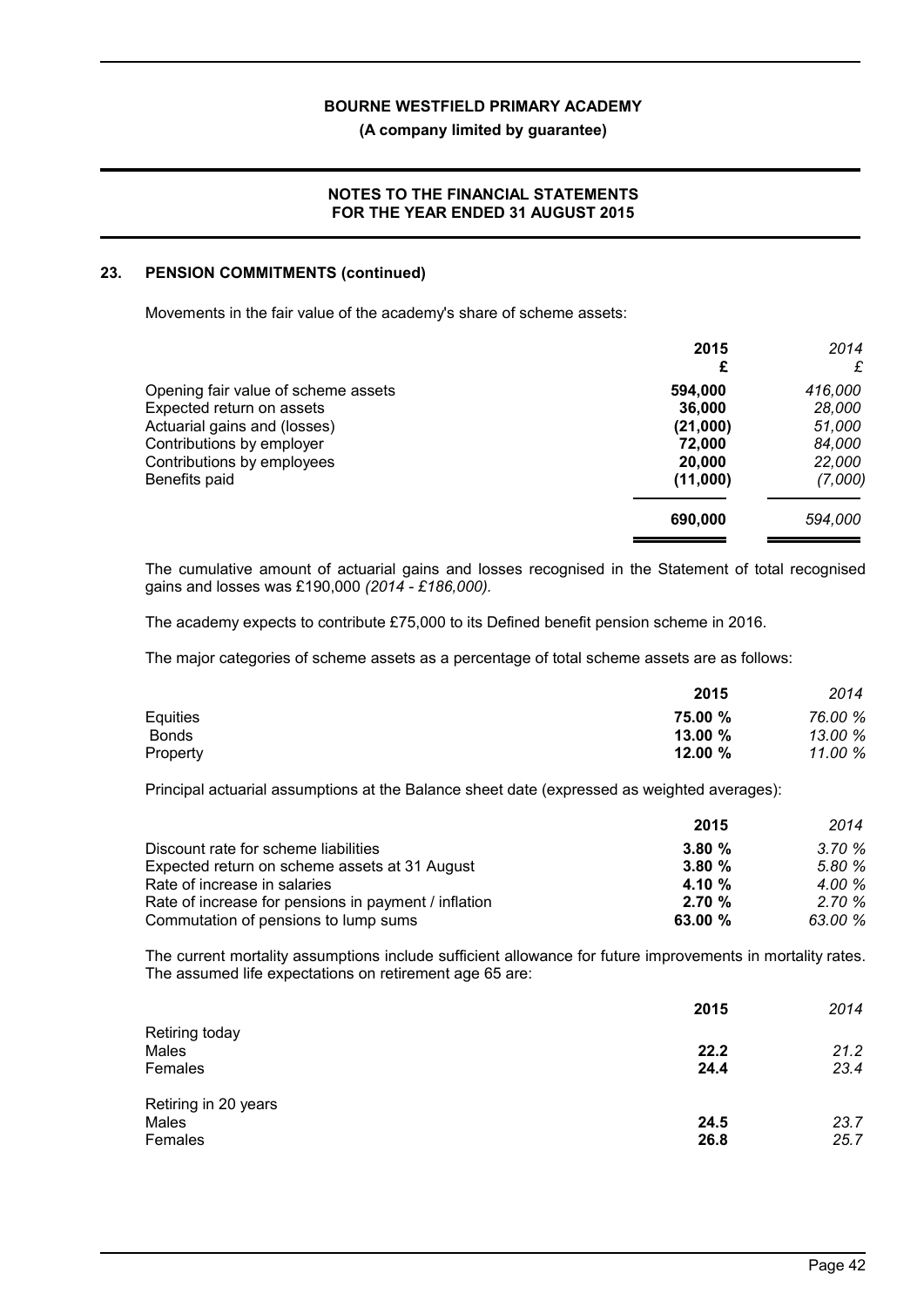**(A company limited by guarantee)**

## **NOTES TO THE FINANCIAL STATEMENTS FOR THE YEAR ENDED 31 AUGUST 2015**

#### **23. PENSION COMMITMENTS (continued)**

Movements in the fair value of the academy's share of scheme assets:

|                                     | 2015<br>£ | 2014<br>£ |
|-------------------------------------|-----------|-----------|
| Opening fair value of scheme assets | 594,000   | 416,000   |
| Expected return on assets           | 36,000    | 28,000    |
| Actuarial gains and (losses)        | (21,000)  | 51,000    |
| Contributions by employer           | 72,000    | 84,000    |
| Contributions by employees          | 20,000    | 22,000    |
| Benefits paid                       | (11,000)  | (7,000)   |
|                                     | 690,000   | 594,000   |

The cumulative amount of actuarial gains and losses recognised in the Statement of total recognised gains and losses was £190,000 *(2014 - £186,000).*

The academy expects to contribute £75,000 to its Defined benefit pension scheme in 2016.

The major categories of scheme assets as a percentage of total scheme assets are as follows:

|              | 2015      | 2014    |
|--------------|-----------|---------|
| Equities     | 75.00 %   | 76.00 % |
| <b>Bonds</b> | 13.00 %   | 13.00 % |
| Property     | 12.00 $%$ | 11.00 % |

Principal actuarial assumptions at the Balance sheet date (expressed as weighted averages):

|                                                      | 2015     | 2014    |
|------------------------------------------------------|----------|---------|
| Discount rate for scheme liabilities                 | 3.80%    | 3.70%   |
| Expected return on scheme assets at 31 August        | 3.80%    | 5.80 %  |
| Rate of increase in salaries                         | 4.10 $%$ | 4.00 %  |
| Rate of increase for pensions in payment / inflation | 2.70%    | 2.70 %  |
| Commutation of pensions to lump sums                 | 63.00 %  | 63.00 % |

The current mortality assumptions include sufficient allowance for future improvements in mortality rates. The assumed life expectations on retirement age 65 are:

|                      | 2015 | 2014 |
|----------------------|------|------|
| Retiring today       |      |      |
| Males                | 22.2 | 21.2 |
| Females              | 24.4 | 23.4 |
| Retiring in 20 years |      |      |
| Males                | 24.5 | 23.7 |
| Females              | 26.8 | 25.7 |